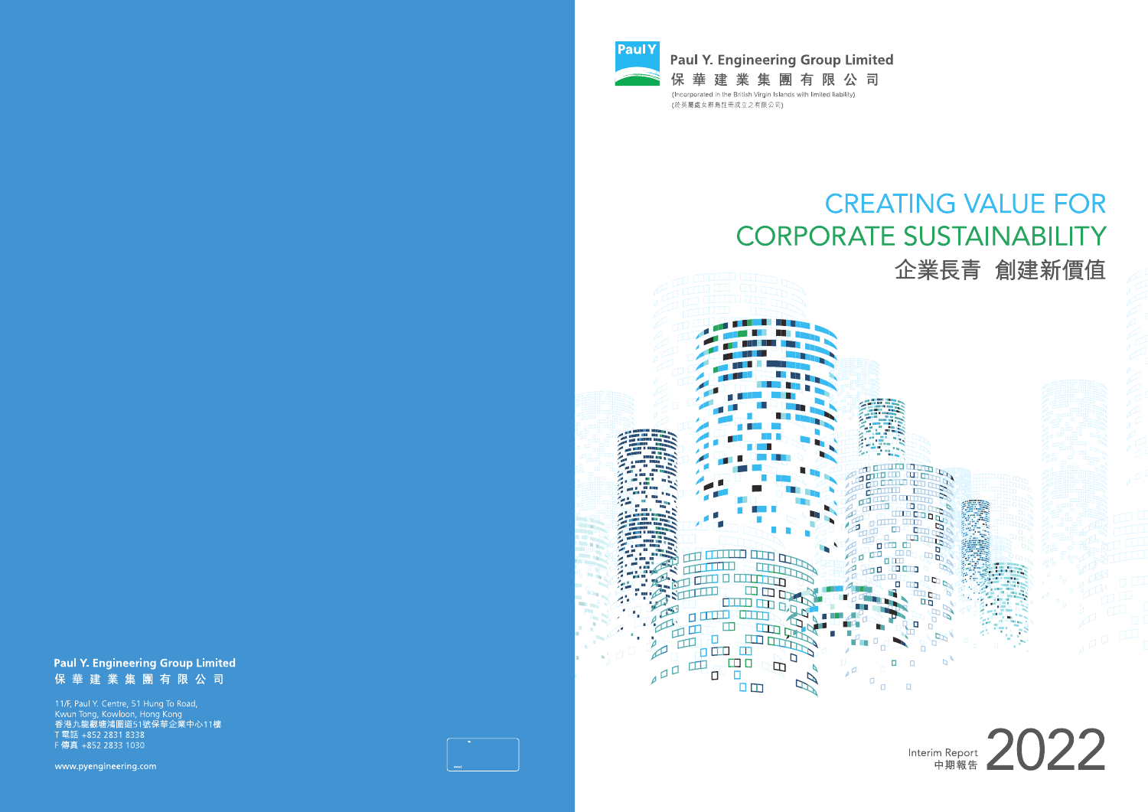

(於英屬處女群島註冊成立之有限公司)

 $\Box$ त्रवार

**ODD CHILL EDIT** 

E

 $\Box$ 

ם

TTO OTHER THE

 $\overline{a}$ 

نتا مفام آ

中国日中

 $\square$ <br/> $\square$ 

面面而由

 $\mathbf{H}$ 

 $400$ 

# **CREATING VALUE FOR CORPORATE SUSTAINABILITY**

**TST** THE E **AL BRITA** 

m min

**OL FRSS** 

'n

'n

 $\Box$ 

 $\Box$ 

п

h.

 $\overline{D}$ 

# 企業長青 創建新價值

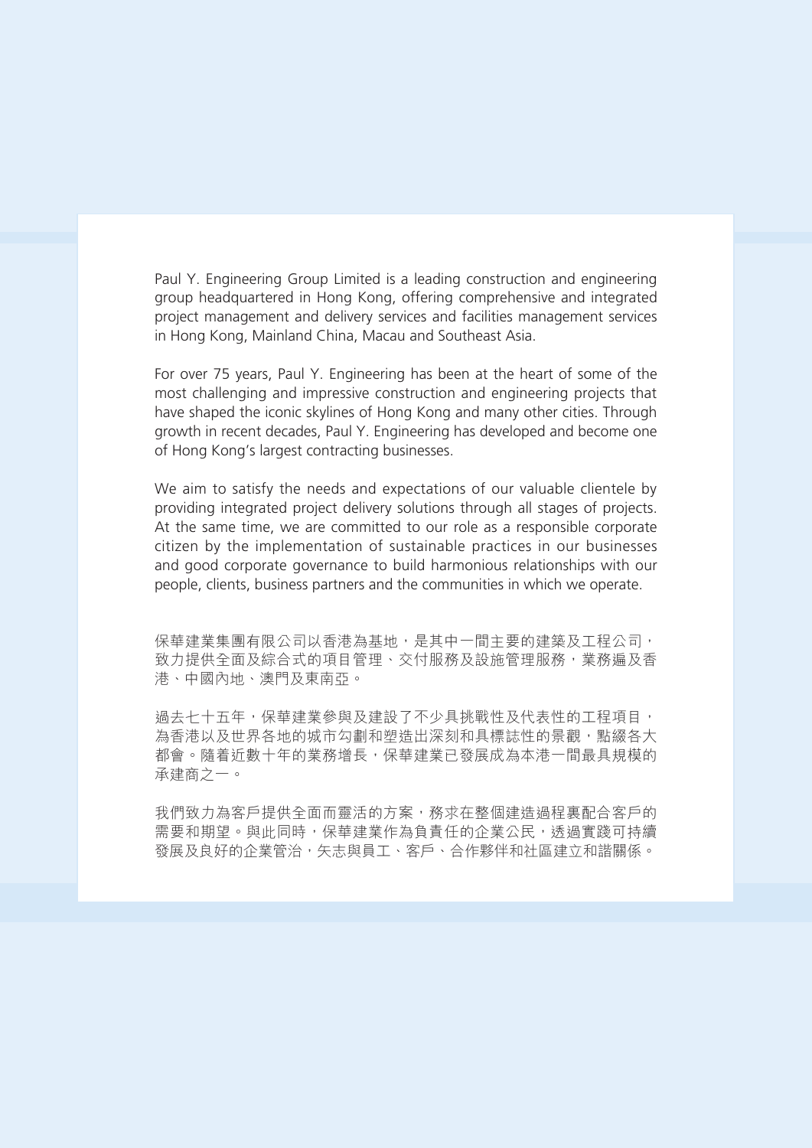Paul Y. Engineering Group Limited is a leading construction and engineering group headquartered in Hong Kong, offering comprehensive and integrated project management and delivery services and facilities management services in Hong Kong, Mainland China, Macau and Southeast Asia.

For over 75 years, Paul Y. Engineering has been at the heart of some of the most challenging and impressive construction and engineering projects that have shaped the iconic skylines of Hong Kong and many other cities. Through growth in recent decades, Paul Y. Engineering has developed and become one of Hong Kong's largest contracting businesses.

We aim to satisfy the needs and expectations of our valuable clientele by providing integrated project delivery solutions through all stages of projects. At the same time, we are committed to our role as a responsible corporate citizen by the implementation of sustainable practices in our businesses and good corporate governance to build harmonious relationships with our people, clients, business partners and the communities in which we operate.

保華建業集團有限公司以香港為基地,是其中一間主要的建築及工程公司, 致力提供全面及綜合式的項目管理、交付服務及設施管理服務,業務遍及香 港、中國內地、澳門及東南亞。

過去七十五年,保華建業參與及建設了不少具挑戰性及代表性的工程項目, 為香港以及世界各地的城市勾劃和塑造出深刻和具標誌性的景觀,點綴各大 都會。隨着近數十年的業務增長,保華建業已發展成為本港一間最具規模的 承建商之一。

我們致力為客戶提供全面而靈活的方案,務求在整個建造過程裏配合客戶的 需要和期望。與此同時,保華建業作為負責任的企業公民,透過實踐可持續 發展及良好的企業管治,矢志與員工、客戶、合作夥伴和社區建立和諧關係。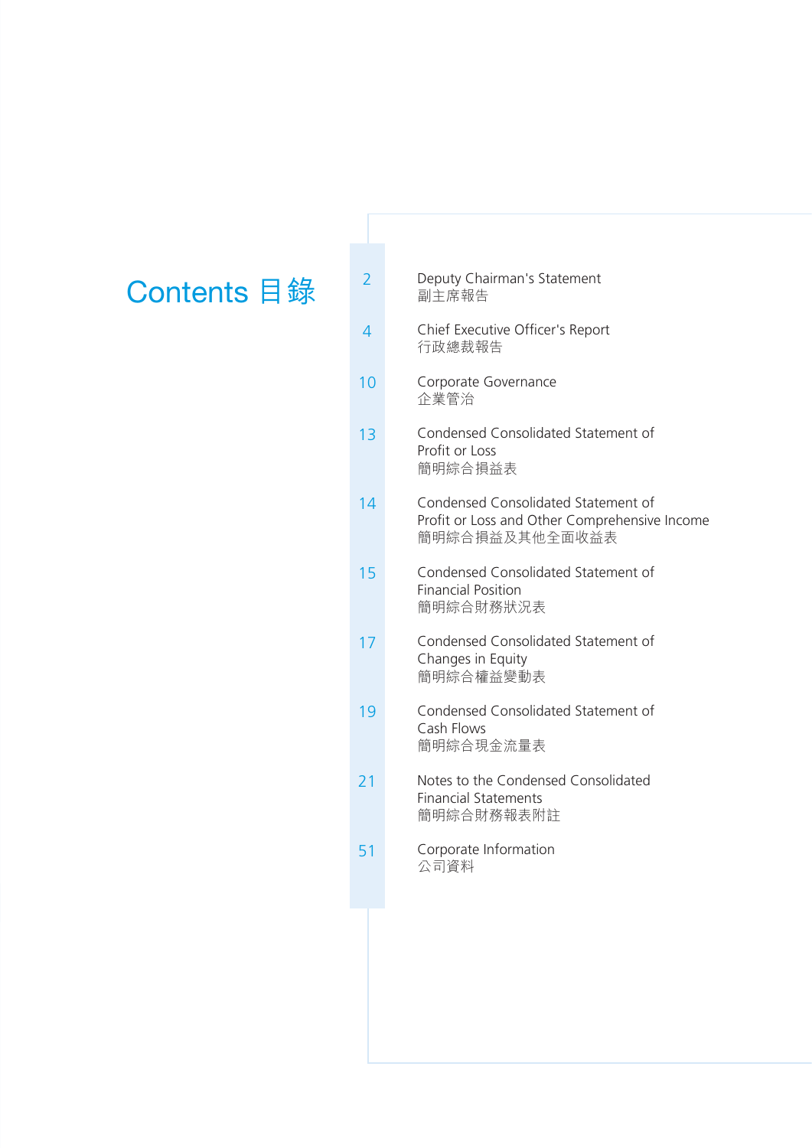- **Contents 目錄**<sup>2</sup> Deputy Chairman's Statement 副主席報告
	- 4 Chief Executive Officer's Report 行政總裁報告
	- 10 Corporate Governance 企業管治
	- 13 Condensed Consolidated Statement of Profit or Loss 簡明綜合損益表
	- 14 Condensed Consolidated Statement of Profit or Loss and Other Comprehensive Income 簡明綜合損益及其他全面收益表
	- 15 Condensed Consolidated Statement of Financial Position 簡明綜合財務狀況表
	- 17 Condensed Consolidated Statement of Changes in Equity 簡明綜合權益變動表
	- 19 Condensed Consolidated Statement of Cash Flows 簡明綜合現金流量表
	- 21 Notes to the Condensed Consolidated Financial Statements 簡明綜合財務報表附註
	- 51 Corporate Information 公司資料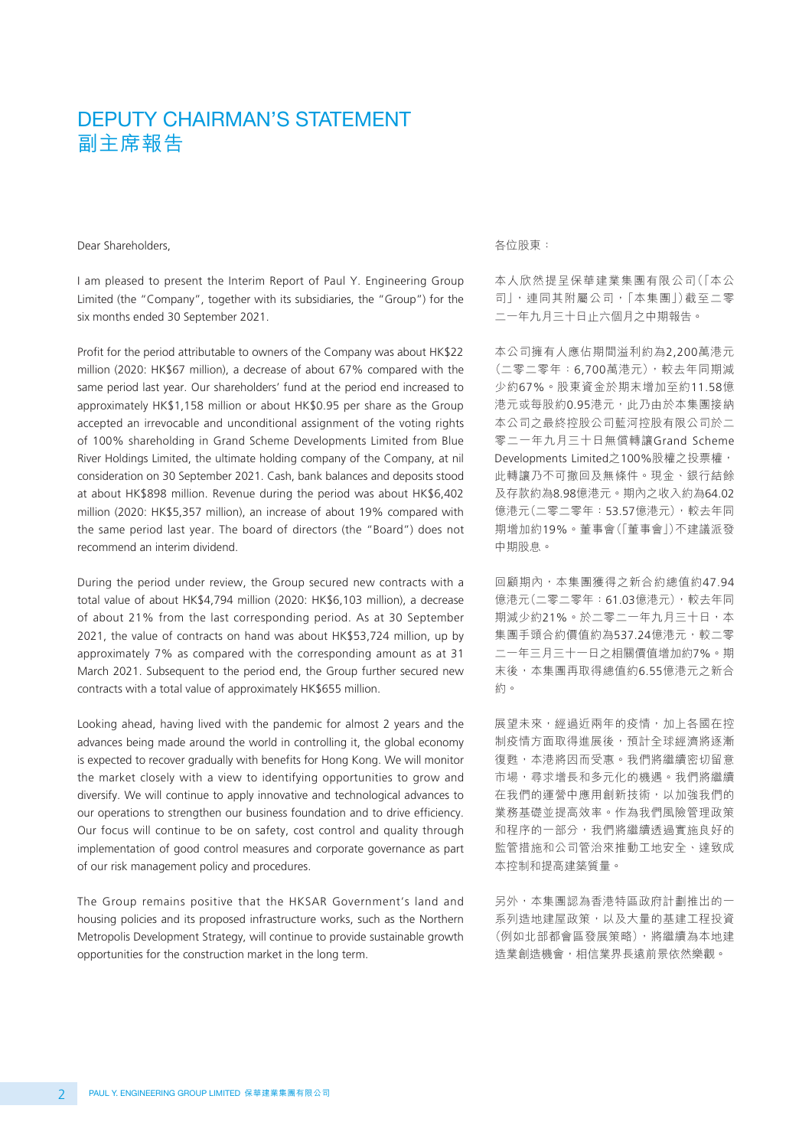# DEPUTY CHAIRMAN'S STATEMENT 副主席報告

Dear Shareholders,

I am pleased to present the Interim Report of Paul Y. Engineering Group Limited (the "Company", together with its subsidiaries, the "Group") for the six months ended 30 September 2021.

Profit for the period attributable to owners of the Company was about HK\$22 million (2020: HK\$67 million), a decrease of about 67% compared with the same period last year. Our shareholders' fund at the period end increased to approximately HK\$1,158 million or about HK\$0.95 per share as the Group accepted an irrevocable and unconditional assignment of the voting rights of 100% shareholding in Grand Scheme Developments Limited from Blue River Holdings Limited, the ultimate holding company of the Company, at nil consideration on 30 September 2021. Cash, bank balances and deposits stood at about HK\$898 million. Revenue during the period was about HK\$6,402 million (2020: HK\$5,357 million), an increase of about 19% compared with the same period last year. The board of directors (the "Board") does not recommend an interim dividend.

During the period under review, the Group secured new contracts with a total value of about HK\$4,794 million (2020: HK\$6,103 million), a decrease of about 21% from the last corresponding period. As at 30 September 2021, the value of contracts on hand was about HK\$53,724 million, up by approximately 7% as compared with the corresponding amount as at 31 March 2021. Subsequent to the period end, the Group further secured new contracts with a total value of approximately HK\$655 million.

Looking ahead, having lived with the pandemic for almost 2 years and the advances being made around the world in controlling it, the global economy is expected to recover gradually with benefits for Hong Kong. We will monitor the market closely with a view to identifying opportunities to grow and diversify. We will continue to apply innovative and technological advances to our operations to strengthen our business foundation and to drive efficiency. Our focus will continue to be on safety, cost control and quality through implementation of good control measures and corporate governance as part of our risk management policy and procedures.

The Group remains positive that the HKSAR Government's land and housing policies and its proposed infrastructure works, such as the Northern Metropolis Development Strategy, will continue to provide sustainable growth opportunities for the construction market in the long term.

各位股東:

本人欣然提呈保華建業集團有限公司(「本公 司」,連同其附屬公司,「本集團」)截至二零 二一年九月三十日止六個月之中期報告。

本公司擁有人應佔期間溢利約為2,200萬港元 (二零二零年:6,700萬港元),較去年同期減 少約67%。股東資金於期末增加至約11.58億 港元或每股約0.95港元,此乃由於本集團接納 本公司之最終控股公司藍河控股有限公司於二 零二一年九月三十日無償轉讓Grand Scheme Developments Limited之100%股權之投票權, 此轉讓乃不可撤回及無條件。現金、銀行結餘 及存款約為8.98億港元。期內之收入約為64.02 億港元(二零二零年:53.57億港元),較去年同 期增加約19%。董事會(「董事會」)不建議派發 中期股息。

回顧期內,本集團獲得之新合約總值約47.94 億港元(二零二零年:61.03億港元),較去年同 期減少約21%。於二零二一年九月三十日,本 集團手頭合約價值約為537.24億港元,較二零 二一年三月三十一日之相關價值增加約7%。期 末後,本集團再取得總值約6.55億港元之新合 約。

展望未來,經過近兩年的疫情,加上各國在控 制疫情方面取得進展後,預計全球經濟將逐漸 復甦,本港將因而受惠。我們將繼續密切留意 市場,尋求增長和多元化的機遇。我們將繼續 在我們的運營中應用創新技術,以加強我們的 業務基礎並提高效率。作為我們風險管理政策 和程序的一部分,我們將繼續透過實施良好的 監管措施和公司管治來推動工地安全、達致成 本控制和提高建築質量。

另外,本集團認為香港特區政府計劃推出的一 系列造地建屋政策,以及大量的基建工程投資 (例如北部都會區發展策略),將繼續為本地建 造業創造機會,相信業界長遠前景依然樂觀。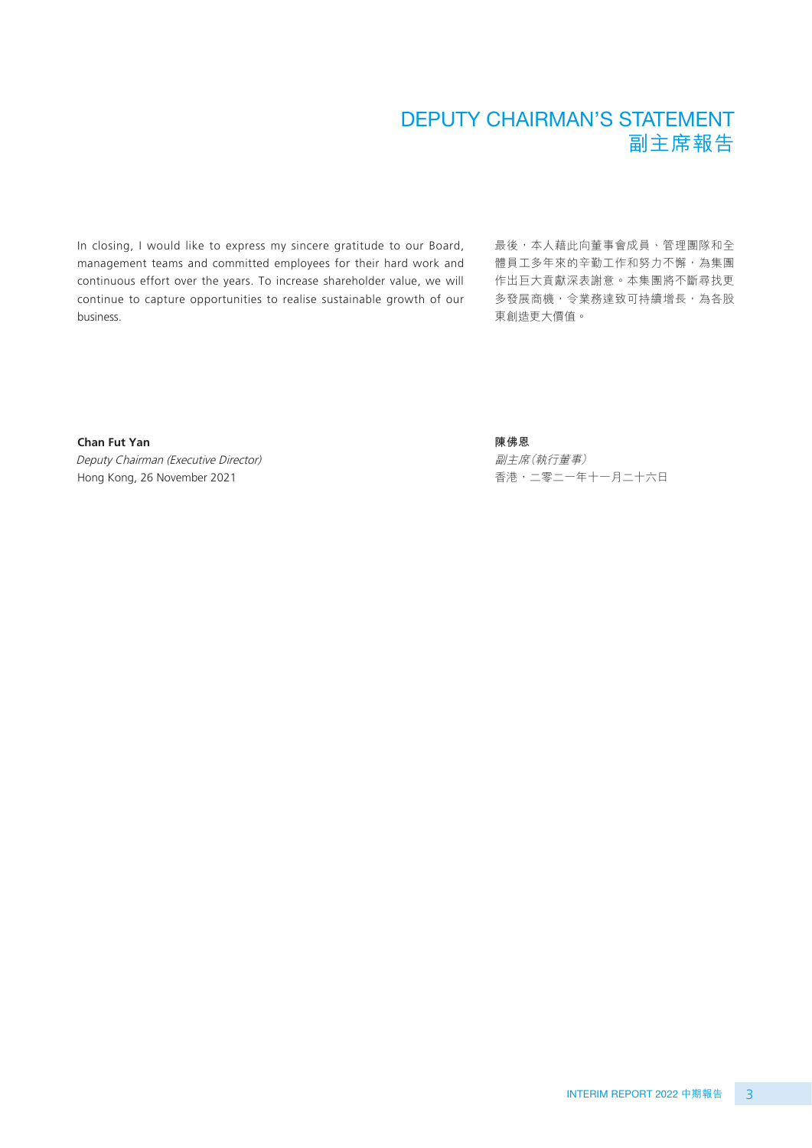# DEPUTY CHAIRMAN'S STATEMENT 副主席報告

In closing, I would like to express my sincere gratitude to our Board, management teams and committed employees for their hard work and continuous effort over the years. To increase shareholder value, we will continue to capture opportunities to realise sustainable growth of our business.

最後,本人藉此向董事會成員、管理團隊和全 體員工多年來的辛勤工作和努力不懈,為集團 作出巨大貢獻深表謝意。本集團將不斷尋找更 多發展商機,令業務達致可持續增長,為各股 東創造更大價值。

**Chan Fut Yan** Deputy Chairman (Executive Director) Hong Kong, 26 November 2021

#### **陳佛恩**

副主席(執行董事) 香港,二零二一年十一月二十六日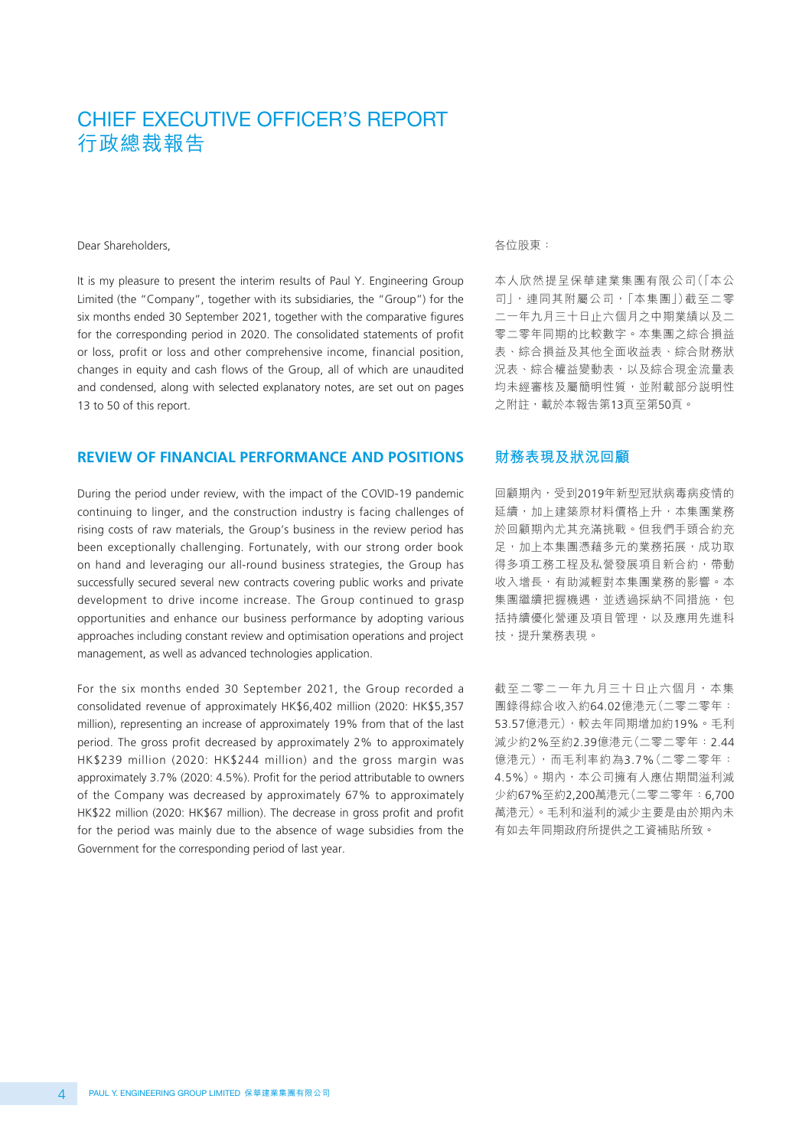Dear Shareholders,

It is my pleasure to present the interim results of Paul Y. Engineering Group Limited (the "Company", together with its subsidiaries, the "Group") for the six months ended 30 September 2021, together with the comparative figures for the corresponding period in 2020. The consolidated statements of profit or loss, profit or loss and other comprehensive income, financial position, changes in equity and cash flows of the Group, all of which are unaudited and condensed, along with selected explanatory notes, are set out on pages 13 to 50 of this report.

#### **REVIEW OF FINANCIAL PERFORMANCE AND POSITIONS**

During the period under review, with the impact of the COVID-19 pandemic continuing to linger, and the construction industry is facing challenges of rising costs of raw materials, the Group's business in the review period has been exceptionally challenging. Fortunately, with our strong order book on hand and leveraging our all-round business strategies, the Group has successfully secured several new contracts covering public works and private development to drive income increase. The Group continued to grasp opportunities and enhance our business performance by adopting various approaches including constant review and optimisation operations and project management, as well as advanced technologies application.

For the six months ended 30 September 2021, the Group recorded a consolidated revenue of approximately HK\$6,402 million (2020: HK\$5,357 million), representing an increase of approximately 19% from that of the last period. The gross profit decreased by approximately 2% to approximately HK\$239 million (2020: HK\$244 million) and the gross margin was approximately 3.7% (2020: 4.5%). Profit for the period attributable to owners of the Company was decreased by approximately 67% to approximately HK\$22 million (2020: HK\$67 million). The decrease in gross profit and profit for the period was mainly due to the absence of wage subsidies from the Government for the corresponding period of last year.

#### 各位股東:

本人欣然提呈保華建業集團有限公司(「本公 司」,連同其附屬公司,「本集團」)截至二零 二一年九月三十日止六個月之中期業績以及二 零二零年同期的比較數字。本集團之綜合損益 表、綜合損益及其他全面收益表、綜合財務狀 況表、綜合權益變動表,以及綜合現金流量表 均未經審核及屬簡明性質,並附載部分說明性 之附註,載於本報告第13頁至第50頁。

#### **財務表現及狀況回顧**

回顧期內,受到2019年新型冠狀病毒病疫情的 延續,加上建築原材料價格上升,本集團業務 於回顧期內尤其充滿挑戰。但我們手頭合約充 足,加上本集團憑藉多元的業務拓展,成功取 得多項工務工程及私營發展項目新合約,帶動 收入增長,有助減輕對本集團業務的影響。本 集團繼續把握機遇,並透過採納不同措施,包 括持續優化營運及項目管理,以及應用先進科 技,提升業務表現。

截至二零二一年九月三十日止六個月,本集 團錄得綜合收入約64.02億港元(二零二零年: 53.57億港元),較去年同期增加約19%。毛利 減少約2%至約2.39億港元(二零二零年:2.44 億港元),而毛利率約為3.7%(二零二零年: 4.5%)。期內,本公司擁有人應佔期間溢利減 少約67%至約2,200萬港元(二零二零年:6,700 萬港元)。毛利和溢利的減少主要是由於期內未 有如去年同期政府所提供之工資補貼所致。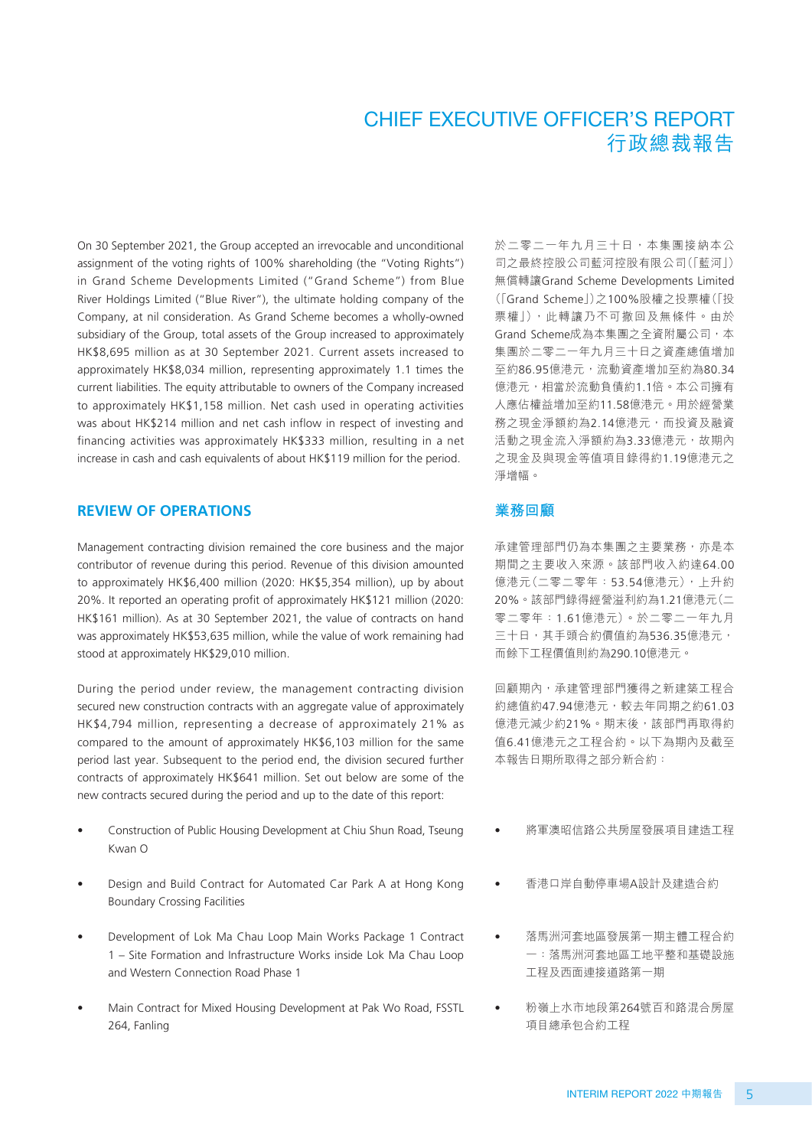On 30 September 2021, the Group accepted an irrevocable and unconditional assignment of the voting rights of 100% shareholding (the "Voting Rights") in Grand Scheme Developments Limited ("Grand Scheme") from Blue River Holdings Limited ("Blue River"), the ultimate holding company of the Company, at nil consideration. As Grand Scheme becomes a wholly-owned subsidiary of the Group, total assets of the Group increased to approximately HK\$8,695 million as at 30 September 2021. Current assets increased to approximately HK\$8,034 million, representing approximately 1.1 times the current liabilities. The equity attributable to owners of the Company increased to approximately HK\$1,158 million. Net cash used in operating activities was about HK\$214 million and net cash inflow in respect of investing and financing activities was approximately HK\$333 million, resulting in a net increase in cash and cash equivalents of about HK\$119 million for the period.

#### **REVIEW OF OPERATIONS**

Management contracting division remained the core business and the major contributor of revenue during this period. Revenue of this division amounted to approximately HK\$6,400 million (2020: HK\$5,354 million), up by about 20%. It reported an operating profit of approximately HK\$121 million (2020: HK\$161 million). As at 30 September 2021, the value of contracts on hand was approximately HK\$53,635 million, while the value of work remaining had stood at approximately HK\$29,010 million.

During the period under review, the management contracting division secured new construction contracts with an aggregate value of approximately HK\$4,794 million, representing a decrease of approximately 21% as compared to the amount of approximately HK\$6,103 million for the same period last year. Subsequent to the period end, the division secured further contracts of approximately HK\$641 million. Set out below are some of the new contracts secured during the period and up to the date of this report:

- Construction of Public Housing Development at Chiu Shun Road, Tseung Kwan O
- Design and Build Contract for Automated Car Park A at Hong Kong Boundary Crossing Facilities
- Development of Lok Ma Chau Loop Main Works Package 1 Contract 1 – Site Formation and Infrastructure Works inside Lok Ma Chau Loop and Western Connection Road Phase 1
- Main Contract for Mixed Housing Development at Pak Wo Road, FSSTL 264, Fanling

於二零二一年九月三十日,本集團接納本公 司之最終控股公司藍河控股有限公司(「藍河」) 無償轉讓Grand Scheme Developments Limited (「Grand Scheme」)之100%股權之投票權(「投 票權」),此轉讓乃不可撤回及無條件。由於 Grand Scheme成為本集團之全資附屬公司,本 集團於二零二一年九月三十日之資產總值增加 至約86.95億港元,流動資產增加至約為80.34 億港元,相當於流動負債約1.1倍。本公司擁有 人應佔權益增加至約11.58億港元。用於經營業 務之現金淨額約為2.14億港元,而投資及融資 活動之現金流入淨額約為3.33億港元,故期內 之現金及與現金等值項目錄得約1.19億港元之 淨增幅。

#### **業務回顧**

承建管理部門仍為本集團之主要業務,亦是本 期間之主要收入來源。該部門收入約達64.00 億港元(二零二零年:53.54億港元),上升約 20%。該部門錄得經營溢利約為1.21億港元(二 零二零年:1.61億港元)。於二零二一年九月 三十日,其手頭合約價值約為536.35億港元, 而餘下工程價值則約為290.10億港元。

回顧期內,承建管理部門獲得之新建築工程合 約總值約47.94億港元,較去年同期之約61.03 億港元減少約21%。期末後,該部門再取得約 值6.41億港元之工程合約。以下為期內及截至 本報告日期所取得之部分新合約:

- 將軍澳昭信路公共房屋發展項目建造工程
- 香港口岸自動停車場A設計及建造合約
- 落馬洲河套地區發展第一期主體工程合約 一:落馬洲河套地區工地平整和基礎設施 工程及西面連接道路第一期
- 粉嶺上水市地段第264號百和路混合房屋 項目總承包合約工程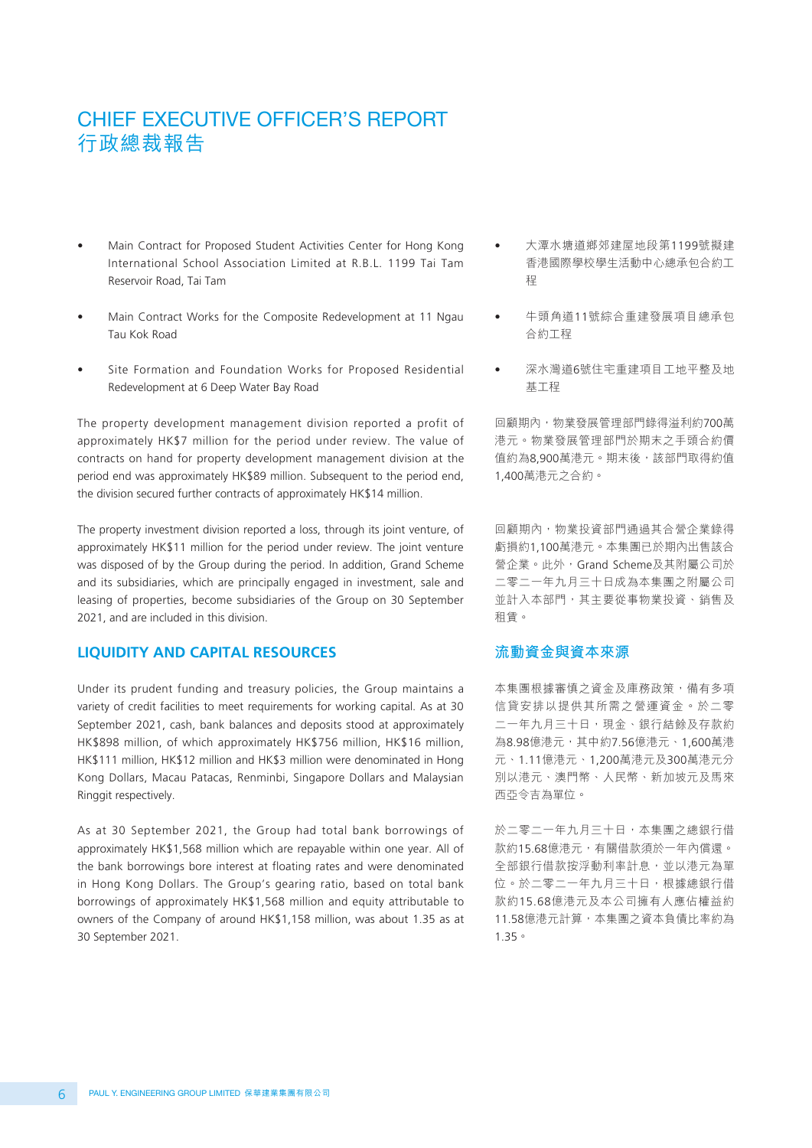- Main Contract for Proposed Student Activities Center for Hong Kong International School Association Limited at R.B.L. 1199 Tai Tam Reservoir Road, Tai Tam
- Main Contract Works for the Composite Redevelopment at 11 Ngau Tau Kok Road
- Site Formation and Foundation Works for Proposed Residential Redevelopment at 6 Deep Water Bay Road

The property development management division reported a profit of approximately HK\$7 million for the period under review. The value of contracts on hand for property development management division at the period end was approximately HK\$89 million. Subsequent to the period end, the division secured further contracts of approximately HK\$14 million.

The property investment division reported a loss, through its joint venture, of approximately HK\$11 million for the period under review. The joint venture was disposed of by the Group during the period. In addition, Grand Scheme and its subsidiaries, which are principally engaged in investment, sale and leasing of properties, become subsidiaries of the Group on 30 September 2021, and are included in this division.

#### **LIQUIDITY AND CAPITAL RESOURCES**

Under its prudent funding and treasury policies, the Group maintains a variety of credit facilities to meet requirements for working capital. As at 30 September 2021, cash, bank balances and deposits stood at approximately HK\$898 million, of which approximately HK\$756 million, HK\$16 million, HK\$111 million, HK\$12 million and HK\$3 million were denominated in Hong Kong Dollars, Macau Patacas, Renminbi, Singapore Dollars and Malaysian Ringgit respectively.

As at 30 September 2021, the Group had total bank borrowings of approximately HK\$1,568 million which are repayable within one year. All of the bank borrowings bore interest at floating rates and were denominated in Hong Kong Dollars. The Group's gearing ratio, based on total bank borrowings of approximately HK\$1,568 million and equity attributable to owners of the Company of around HK\$1,158 million, was about 1.35 as at 30 September 2021.

- 大潭水塘道鄉郊建屋地段第1199號擬建 香港國際學校學生活動中心總承包合約工 程
- 牛頭角道11號綜合重建發展項目總承包 合約工程
- 深水灣道6號住宅重建項目工地平整及地 基工程

回顧期內,物業發展管理部門錄得溢利約700萬 港元。物業發展管理部門於期末之手頭合約價 值約為8,900萬港元。期末後,該部門取得約值 1,400萬港元之合約。

回顧期內,物業投資部門通過其合營企業錄得 虧損約1,100萬港元。本集團已於期內出售該合 營企業。此外,Grand Scheme及其附屬公司於 二零二一年九月三十日成為本集團之附屬公司 並計入本部門,其主要從事物業投資、銷售及 租賃。

#### **流動資金與資本來源**

本集團根據審慎之資金及庫務政策,備有多項 信貸安排以提供其所需之營運資金。於二零 二一年九月三十日,現金、銀行結餘及存款約 為8.98億港元,其中約7.56億港元、1,600萬港 元、1.11億港元、1,200萬港元及300萬港元分 別以港元、澳門幣、人民幣、新加坡元及馬來 西亞令吉為單位。

於二零二一年九月三十日,本集團之總銀行借 款約15.68億港元,有關借款須於一年內償還。 全部銀行借款按浮動利率計息,並以港元為單 位。於二零二一年九月三十日,根據總銀行借 款約15.68億港元及本公司擁有人應佔權益約 11.58億港元計算,本集團之資本負債比率約為 1.35。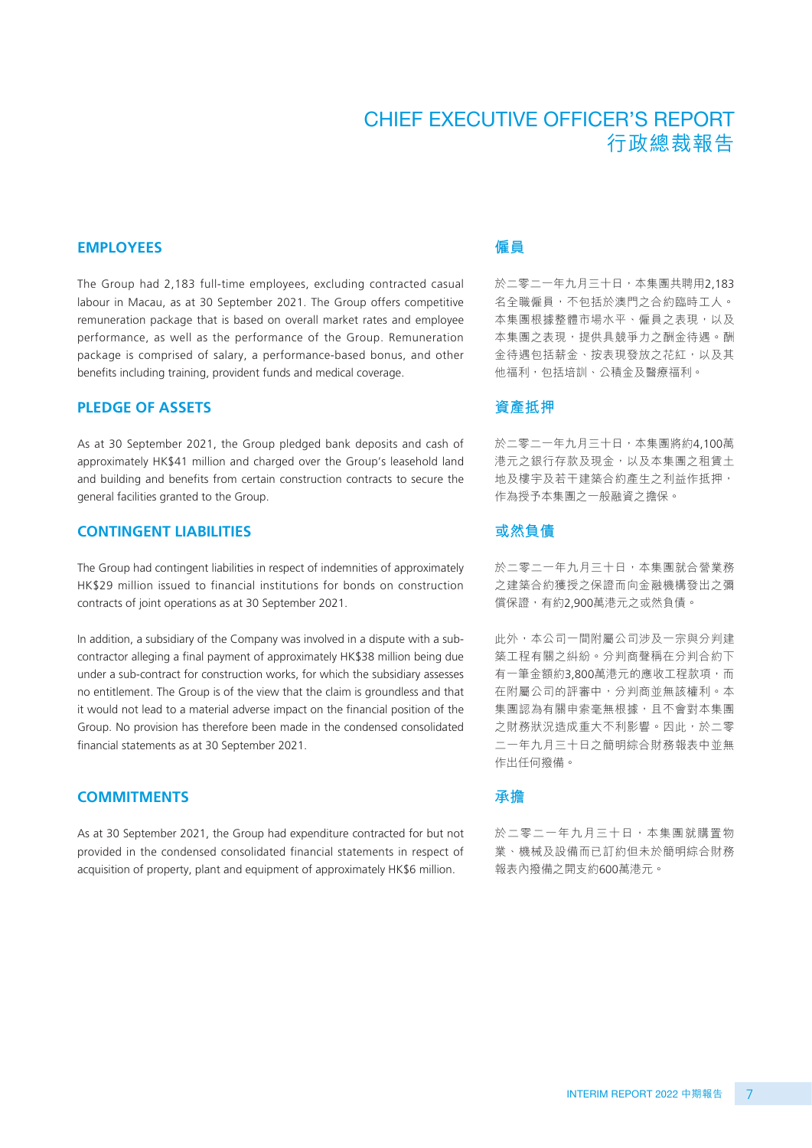#### **EMPLOYEES**

The Group had 2,183 full-time employees, excluding contracted casual labour in Macau, as at 30 September 2021. The Group offers competitive remuneration package that is based on overall market rates and employee performance, as well as the performance of the Group. Remuneration package is comprised of salary, a performance-based bonus, and other benefits including training, provident funds and medical coverage.

#### **PLEDGE OF ASSETS**

As at 30 September 2021, the Group pledged bank deposits and cash of approximately HK\$41 million and charged over the Group's leasehold land and building and benefits from certain construction contracts to secure the general facilities granted to the Group.

#### **CONTINGENT LIABILITIES**

The Group had contingent liabilities in respect of indemnities of approximately HK\$29 million issued to financial institutions for bonds on construction contracts of joint operations as at 30 September 2021.

In addition, a subsidiary of the Company was involved in a dispute with a subcontractor alleging a final payment of approximately HK\$38 million being due under a sub-contract for construction works, for which the subsidiary assesses no entitlement. The Group is of the view that the claim is groundless and that it would not lead to a material adverse impact on the financial position of the Group. No provision has therefore been made in the condensed consolidated financial statements as at 30 September 2021.

#### **COMMITMENTS**

As at 30 September 2021, the Group had expenditure contracted for but not provided in the condensed consolidated financial statements in respect of acquisition of property, plant and equipment of approximately HK\$6 million.

## **僱員**

於二零二一年九月三十日,本集團共聘用2,183 名全職僱員,不包括於澳門之合約臨時工人。 本集團根據整體市場水平、僱員之表現,以及 本集團之表現,提供具競爭力之酬金待遇。酬 金待遇包括薪金、按表現發放之花紅,以及其 他福利,包括培訓、公積金及醫療福利。

#### **資產抵押**

於二零二一年九月三十日,本集團將約4,100萬 港元之銀行存款及現金,以及本集團之租賃土 地及樓宇及若干建築合約產生之利益作抵押, 作為授予本集團之一般融資之擔保。

#### **或然負債**

於二零二一年九月三十日,本集團就合營業務 之建築合約獲授之保證而向金融機構發出之彌 償保證,有約2,900萬港元之或然負債。

此外,本公司一間附屬公司涉及一宗與分判建 築工程有關之糾紛。分判商聲稱在分判合約下 有一筆金額約3,800萬港元的應收工程款項,而 在附屬公司的評審中,分判商並無該權利。本 集團認為有關申索毫無根據,且不會對本集團 之財務狀況造成重大不利影響。因此,於二零 二一年九月三十日之簡明綜合財務報表中並無 作出任何撥備。

#### **承擔**

於二零二一年九月三十日,本集團就購置物 業、機械及設備而已訂約但未於簡明綜合財務 報表內撥備之開支約600萬港元。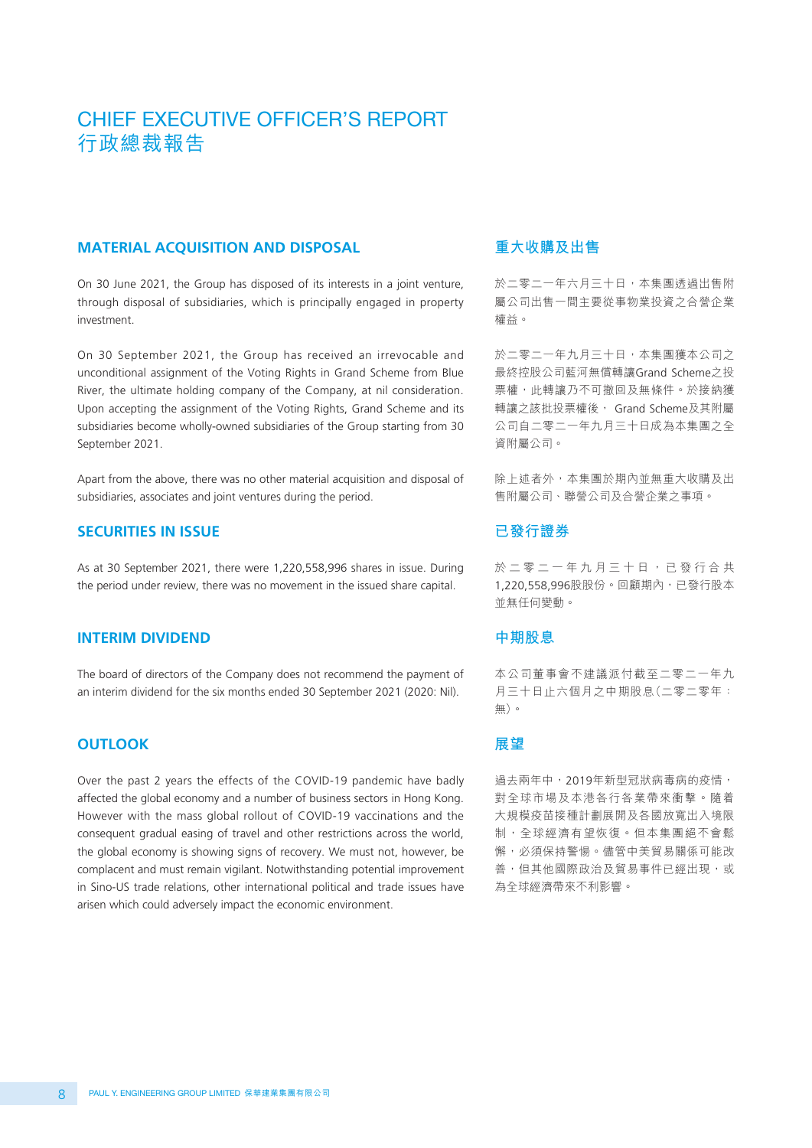#### **MATERIAL ACQUISITION AND DISPOSAL**

On 30 June 2021, the Group has disposed of its interests in a joint venture, through disposal of subsidiaries, which is principally engaged in property investment.

On 30 September 2021, the Group has received an irrevocable and unconditional assignment of the Voting Rights in Grand Scheme from Blue River, the ultimate holding company of the Company, at nil consideration. Upon accepting the assignment of the Voting Rights, Grand Scheme and its subsidiaries become wholly-owned subsidiaries of the Group starting from 30 September 2021.

Apart from the above, there was no other material acquisition and disposal of subsidiaries, associates and joint ventures during the period.

#### **SECURITIES IN ISSUE**

As at 30 September 2021, there were 1,220,558,996 shares in issue. During the period under review, there was no movement in the issued share capital.

#### **INTERIM DIVIDEND**

The board of directors of the Company does not recommend the payment of an interim dividend for the six months ended 30 September 2021 (2020: Nil).

#### **OUTLOOK**

Over the past 2 years the effects of the COVID-19 pandemic have badly affected the global economy and a number of business sectors in Hong Kong. However with the mass global rollout of COVID-19 vaccinations and the consequent gradual easing of travel and other restrictions across the world, the global economy is showing signs of recovery. We must not, however, be complacent and must remain vigilant. Notwithstanding potential improvement in Sino-US trade relations, other international political and trade issues have arisen which could adversely impact the economic environment.

## **重大收購及出售**

於二零二一年六月三十日,本集團透過出售附 屬公司出售一間主要從事物業投資之合營企業 權益。

於二零二一年九月三十日,本集團獲本公司之 最終控股公司藍河無償轉讓Grand Scheme之投 票權,此轉讓乃不可撤回及無條件。於接納獲 轉讓之該批投票權後, Grand Scheme及其附屬 公司自二零二一年九月三十日成為本集團之全 資附屬公司。

除上述者外,本集團於期內並無重大收購及出 售附屬公司、聯營公司及合營企業之事項。

#### **已發行證券**

於二零二一年九月三十日,已發行合共 1,220,558,996股股份。回顧期內,已發行股本 並無任何變動。

#### **中期股息**

本公司董事會不建議派付截至二零二一年九 月三十日止六個月之中期股息(二零二零年: 無)。

#### **展望**

過去兩年中,2019年新型冠狀病毒病的疫情, 對全球市場及本港各行各業帶來衝擊。隨着 大規模疫苗接種計劃展開及各國放寬出入境限 制,全球經濟有望恢復。但本集團絕不會鬆 懈,必須保持警愓。儘管中美貿易關係可能改 善,但其他國際政治及貿易事件已經出現,或 為全球經濟帶來不利影響。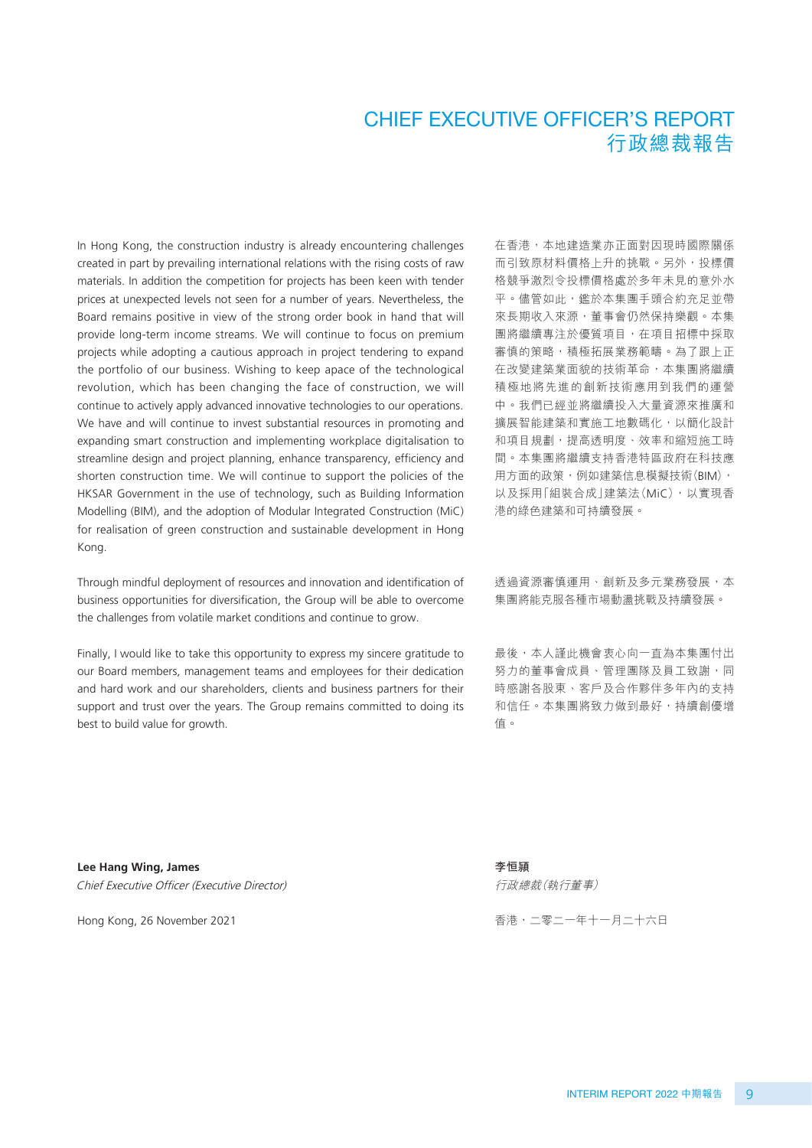In Hong Kong, the construction industry is already encountering challenges created in part by prevailing international relations with the rising costs of raw materials. In addition the competition for projects has been keen with tender prices at unexpected levels not seen for a number of years. Nevertheless, the Board remains positive in view of the strong order book in hand that will provide long-term income streams. We will continue to focus on premium projects while adopting a cautious approach in project tendering to expand the portfolio of our business. Wishing to keep apace of the technological revolution, which has been changing the face of construction, we will continue to actively apply advanced innovative technologies to our operations. We have and will continue to invest substantial resources in promoting and expanding smart construction and implementing workplace digitalisation to streamline design and project planning, enhance transparency, efficiency and shorten construction time. We will continue to support the policies of the HKSAR Government in the use of technology, such as Building Information Modelling (BIM), and the adoption of Modular Integrated Construction (MiC) for realisation of green construction and sustainable development in Hong Kong.

Through mindful deployment of resources and innovation and identification of business opportunities for diversification, the Group will be able to overcome the challenges from volatile market conditions and continue to grow.

Finally, I would like to take this opportunity to express my sincere gratitude to our Board members, management teams and employees for their dedication and hard work and our shareholders, clients and business partners for their support and trust over the years. The Group remains committed to doing its best to build value for growth.

在香港,本地建造業亦正面對因現時國際關係 而引致原材料價格上升的挑戰。另外,投標價 格競爭激烈令投標價格處於多年未見的意外水 平。儘管如此,鑑於本集團手頭合約充足並帶 來長期收入來源,董事會仍然保持樂觀。本集 團將繼續專注於優質項目,在項目招標中採取 審慎的策略,積極拓展業務範疇。為了跟上正 在改變建築業面貌的技術革命,本集團將繼續 積極地將先進的創新技術應用到我們的運營 中。我們已經並將繼續投入大量資源來推廣和 擴展智能建築和實施工地數碼化,以簡化設計 和項目規劃,提高透明度、效率和縮短施工時 間。本集團將繼續支持香港特區政府在科技應 用方面的政策,例如建築信息模擬技術(BIM), 以及採用「組裝合成」建築法(MiC),以實現香 港的綠色建築和可持續發展。

透過資源審慎運用、創新及多元業務發展,本 集團將能克服各種市場動盪挑戰及持續發展。

最後,本人謹此機會衷心向一直為本集團付出 努力的董事會成員、管理團隊及員工致謝,同 時感謝各股東、客戶及合作夥伴多年內的支持 和信任。本集團將致力做到最好,持續創優增 值。

**Lee Hang Wing, James** Chief Executive Officer (Executive Director)

Hong Kong, 26 November 2021

**李恒頴** 行政總裁(執行董事)

香港,二零二一年十一月二十六日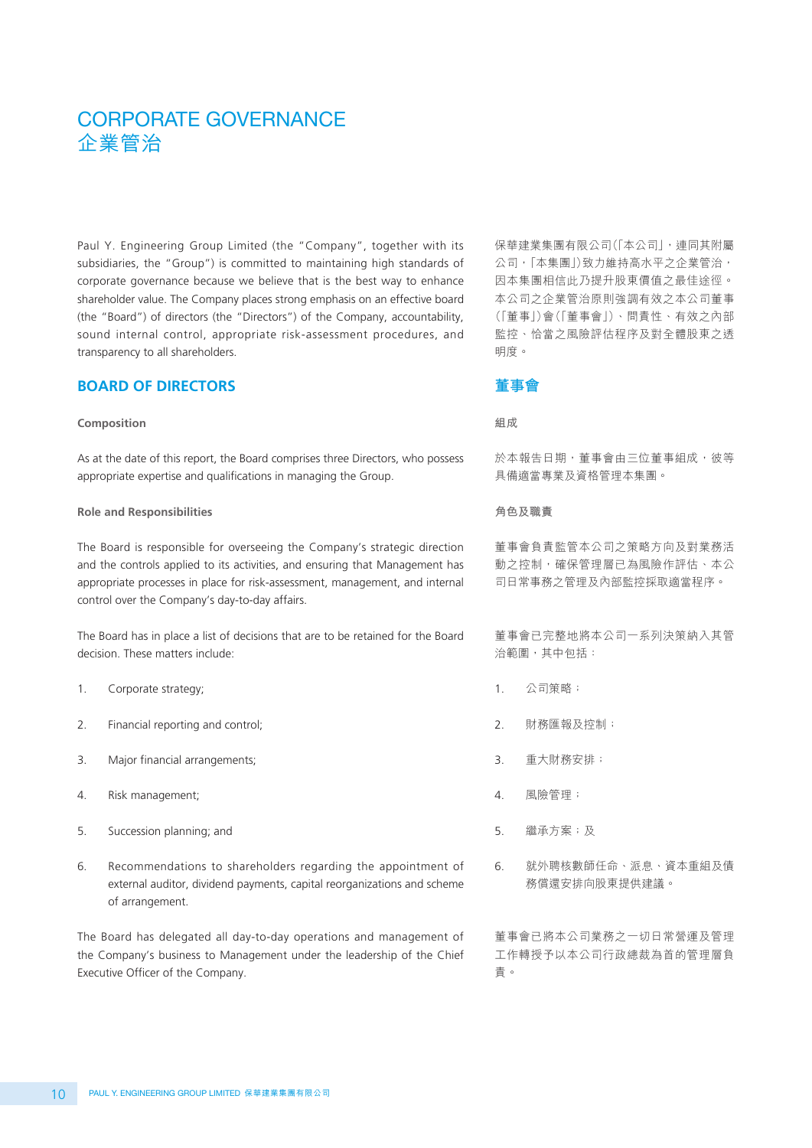# CORPORATE GOVERNANCE 企業管治

Paul Y. Engineering Group Limited (the "Company", together with its subsidiaries, the "Group") is committed to maintaining high standards of corporate governance because we believe that is the best way to enhance shareholder value. The Company places strong emphasis on an effective board (the "Board") of directors (the "Directors") of the Company, accountability, sound internal control, appropriate risk-assessment procedures, and transparency to all shareholders.

#### **BOARD OF DIRECTORS**

#### **Composition**

As at the date of this report, the Board comprises three Directors, who possess appropriate expertise and qualifications in managing the Group.

#### **Role and Responsibilities**

The Board is responsible for overseeing the Company's strategic direction and the controls applied to its activities, and ensuring that Management has appropriate processes in place for risk-assessment, management, and internal control over the Company's day-to-day affairs.

The Board has in place a list of decisions that are to be retained for the Board decision. These matters include:

- 1. Corporate strategy;
- 2. Financial reporting and control;
- 3. Major financial arrangements;
- 4. Risk management;
- 5. Succession planning; and
- 6. Recommendations to shareholders regarding the appointment of external auditor, dividend payments, capital reorganizations and scheme of arrangement.

The Board has delegated all day-to-day operations and management of the Company's business to Management under the leadership of the Chief Executive Officer of the Company.

保華建業集團有限公司(「本公司」,連同其附屬 公司,「本集團」)致力維持高水平之企業管治, 因本集團相信此乃提升股東價值之最佳途徑。 本公司之企業管治原則強調有效之本公司董事 (「董事」)會(「董事會」)、問責性、有效之內部 監控、恰當之風險評估程序及對全體股東之透 明度。

#### **董事會**

**組成**

於本報告日期,董事會由三位董事組成,彼等 具備適當專業及資格管理本集團。

#### **角色及職責**

董事會負責監管本公司之策略方向及對業務活 動之控制,確保管理層已為風險作評估、本公 司日常事務之管理及內部監控採取適當程序。

董事會已完整地將本公司一系列決策納入其管 治範圍,其中包括:

- 1. 公司策略;
- 2. 財務匯報及控制;
- 3. 重大財務安排;
- 4. 風險管理;
- 5. 繼承方案;及
- 6. 就外聘核數師任命、派息、資本重組及債 務償還安排向股東提供建議。

董事會已將本公司業務之一切日常營運及管理 工作轉授予以本公司行政總裁為首的管理層負 責。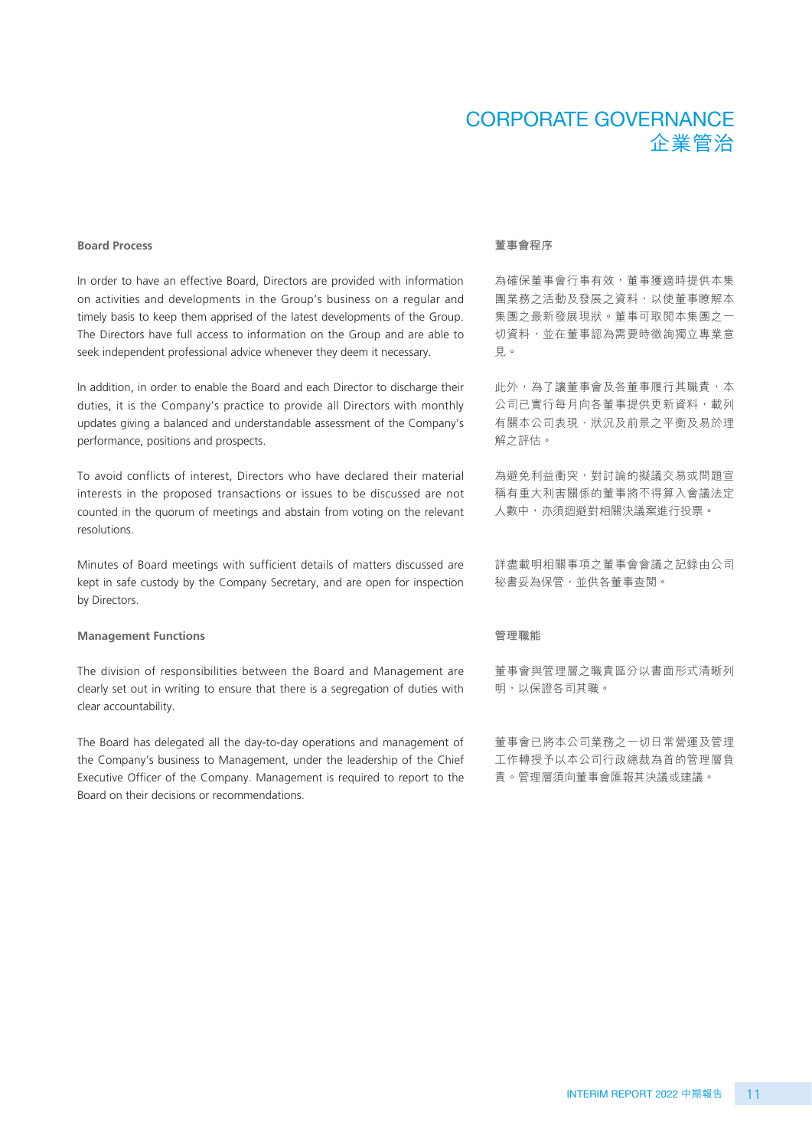# CORPORATE GOVERNANCE 企業管治

#### **Board Process**

In order to have an effective Board, Directors are provided with information on activities and developments in the Group's business on a regular and timely basis to keep them apprised of the latest developments of the Group. The Directors have full access to information on the Group and are able to seek independent professional advice whenever they deem it necessary.

In addition, in order to enable the Board and each Director to discharge their duties, it is the Company's practice to provide all Directors with monthly updates giving a balanced and understandable assessment of the Company's performance, positions and prospects.

To avoid conflicts of interest, Directors who have declared their material interests in the proposed transactions or issues to be discussed are not counted in the quorum of meetings and abstain from voting on the relevant resolutions.

Minutes of Board meetings with sufficient details of matters discussed are kept in safe custody by the Company Secretary, and are open for inspection by Directors.

#### **Management Functions**

The division of responsibilities between the Board and Management are clearly set out in writing to ensure that there is a segregation of duties with clear accountability.

The Board has delegated all the day-to-day operations and management of the Company's business to Management, under the leadership of the Chief Executive Officer of the Company. Management is required to report to the Board on their decisions or recommendations.

#### **董事會程序**

為確保董事會行事有效,董事獲適時提供本集 團業務之活動及發展之資料,以使董事瞭解本 集團之最新發展現狀。董事可取閱本集團之一 切資料,並在董事認為需要時徵詢獨立專業意 見。

此外,為了讓董事會及各董事履行其職責,本 公司已實行每月向各董事提供更新資料,載列 有關本公司表現、狀況及前景之平衡及易於理 解之評估。

為避免利益衝突,對討論的擬議交易或問題宣 稱有重大利害關係的董事將不得算入會議法定 人數中,亦須迴避對相關決議案進行投票。

詳盡載明相關事項之董事會會議之記錄由公司 秘書妥為保管,並供各董事查閱。

#### **管理職能**

董事會與管理層之職責區分以書面形式清晰列 明,以保證各司其職。

董事會已將本公司業務之一切日常營運及管理 工作轉授予以本公司行政總裁為首的管理層負 責。管理層須向董事會匯報其決議或建議。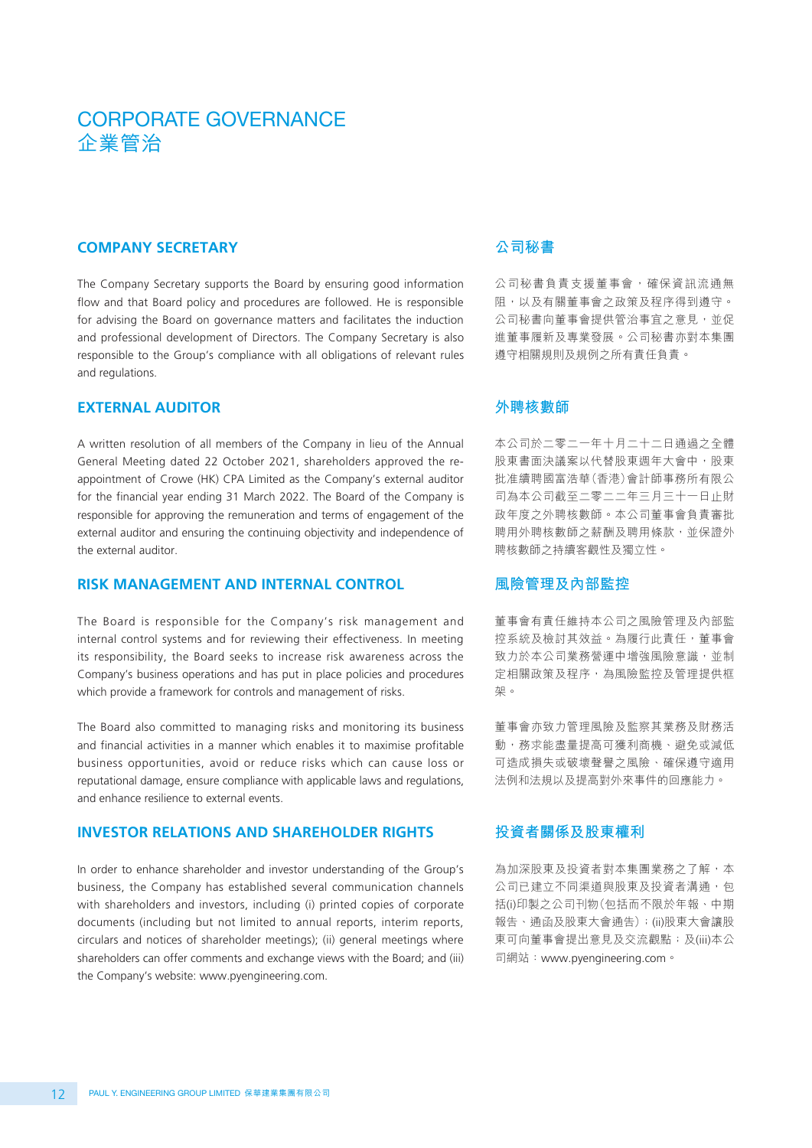# CORPORATE GOVERNANCE 企業管治

#### **COMPANY SECRETARY**

The Company Secretary supports the Board by ensuring good information flow and that Board policy and procedures are followed. He is responsible for advising the Board on governance matters and facilitates the induction and professional development of Directors. The Company Secretary is also responsible to the Group's compliance with all obligations of relevant rules and regulations.

#### **EXTERNAL AUDITOR**

A written resolution of all members of the Company in lieu of the Annual General Meeting dated 22 October 2021, shareholders approved the reappointment of Crowe (HK) CPA Limited as the Company's external auditor for the financial year ending 31 March 2022. The Board of the Company is responsible for approving the remuneration and terms of engagement of the external auditor and ensuring the continuing objectivity and independence of the external auditor.

#### **RISK MANAGEMENT AND INTERNAL CONTROL**

The Board is responsible for the Company's risk management and internal control systems and for reviewing their effectiveness. In meeting its responsibility, the Board seeks to increase risk awareness across the Company's business operations and has put in place policies and procedures which provide a framework for controls and management of risks.

The Board also committed to managing risks and monitoring its business and financial activities in a manner which enables it to maximise profitable business opportunities, avoid or reduce risks which can cause loss or reputational damage, ensure compliance with applicable laws and regulations, and enhance resilience to external events.

#### **INVESTOR RELATIONS AND SHAREHOLDER RIGHTS**

In order to enhance shareholder and investor understanding of the Group's business, the Company has established several communication channels with shareholders and investors, including (i) printed copies of corporate documents (including but not limited to annual reports, interim reports, circulars and notices of shareholder meetings); (ii) general meetings where shareholders can offer comments and exchange views with the Board; and (iii) the Company's website: www.pyengineering.com.

## **公司秘書**

公司秘書負責支援董事會,確保資訊流通無 阻,以及有關董事會之政策及程序得到遵守。 公司秘書向董事會提供管治事宜之意見,並促 進董事履新及專業發展。公司秘書亦對本集團 遵守相關規則及規例之所有責任負責。

#### **外聘核數師**

本公司於二零二一年十月二十二日通過之全體 股東書面決議案以代替股東週年大會中,股東 批准續聘國富浩華(香港)會計師事務所有限公 司為本公司截至二零二二年三月三十一日止財 政年度之外聘核數師。本公司董事會負責審批 聘用外聘核數師之薪酬及聘用條款,並保證外 聘核數師之持續客觀性及獨立性。

#### **風險管理及內部監控**

董事會有責任維持本公司之風險管理及內部監 控系統及檢討其效益。為履行此責任,董事會 致力於本公司業務營運中增強風險意識,並制 定相關政策及程序,為風險監控及管理提供框 架。

董事會亦致力管理風險及監察其業務及財務活 動,務求能盡量提高可獲利商機、避免或減低 可造成損失或破壞聲譽之風險、確保遵守適用 法例和法規以及提高對外來事件的回應能力。

## **投資者關係及股東權利**

為加深股東及投資者對本集團業務之了解,本 公司已建立不同渠道與股東及投資者溝通,包 括(i)印製之公司刊物(包括而不限於年報、中期 報告、通函及股東大會通告);(ii)股東大會讓股 東可向董事會提出意見及交流觀點;及(iii)本公 司網站:www.pyengineering.com。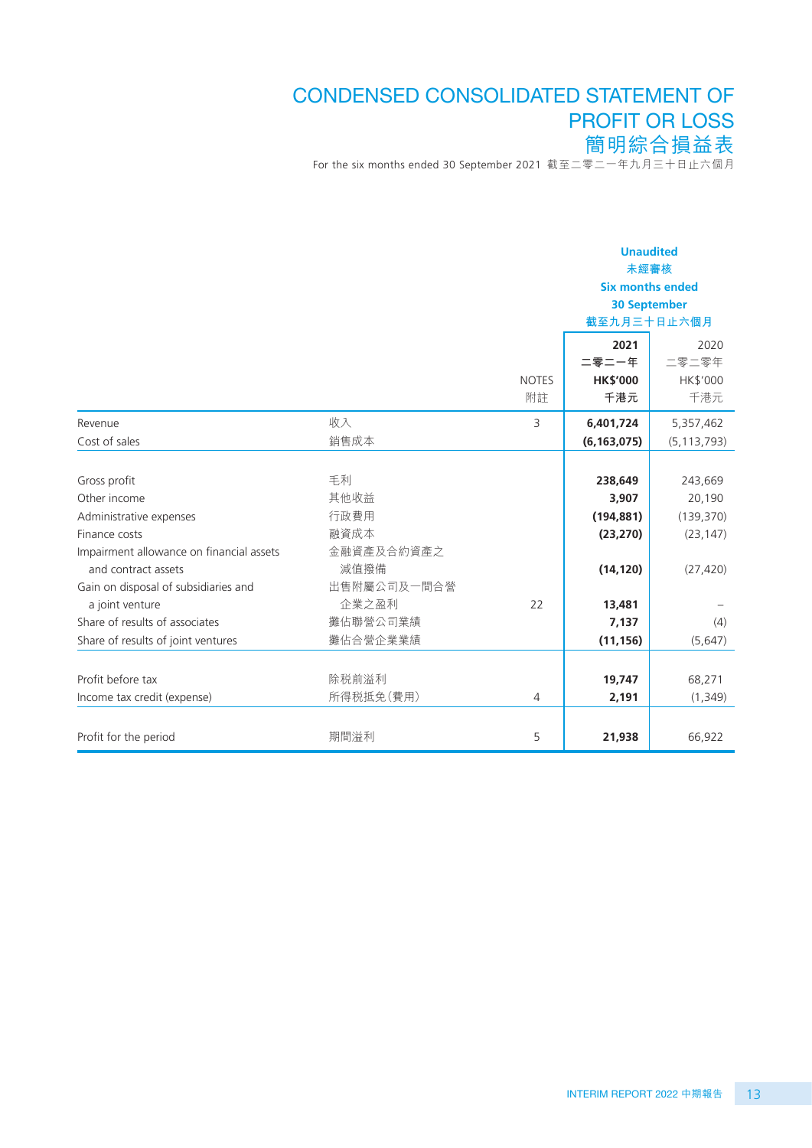# CONDENSED CONSOLIDATED STATEMENT OF PROFIT OR LOSS 簡明綜合損益表

For the six months ended 30 September 2021 截至二零二一年九月三十日止六個月

|                                          |             |                | <b>Unaudited</b><br>未經審核<br><b>Six months ended</b><br><b>30 September</b><br>截至九月三十日止六個月 |               |  |
|------------------------------------------|-------------|----------------|-------------------------------------------------------------------------------------------|---------------|--|
|                                          |             |                | 2021                                                                                      | 2020          |  |
|                                          |             |                | 二零二一年                                                                                     | 二零二零年         |  |
|                                          |             | <b>NOTES</b>   | <b>HK\$'000</b>                                                                           | HK\$'000      |  |
|                                          |             | 附註             | 千港元                                                                                       | 千港元           |  |
| Revenue                                  | 收入          | 3              | 6,401,724                                                                                 | 5,357,462     |  |
| Cost of sales                            | 銷售成本        |                | (6, 163, 075)                                                                             | (5, 113, 793) |  |
|                                          |             |                |                                                                                           |               |  |
| Gross profit                             | 毛利          |                | 238,649                                                                                   | 243,669       |  |
| Other income                             | 其他收益        |                | 3,907                                                                                     | 20,190        |  |
| Administrative expenses                  | 行政費用        |                | (194, 881)                                                                                | (139,370)     |  |
| Finance costs                            | 融資成本        |                | (23, 270)                                                                                 | (23, 147)     |  |
| Impairment allowance on financial assets | 金融資產及合約資產之  |                |                                                                                           |               |  |
| and contract assets                      | 減值撥備        |                | (14, 120)                                                                                 | (27, 420)     |  |
| Gain on disposal of subsidiaries and     | 出售附屬公司及一間合營 |                |                                                                                           |               |  |
| a joint venture                          | 企業之盈利       | 22             | 13,481                                                                                    |               |  |
| Share of results of associates           | 攤佔聯營公司業績    |                | 7,137                                                                                     | (4)           |  |
| Share of results of joint ventures       | 攤佔合營企業業績    |                | (11, 156)                                                                                 | (5,647)       |  |
|                                          |             |                |                                                                                           |               |  |
| Profit before tax                        | 除税前溢利       |                | 19,747                                                                                    | 68,271        |  |
| Income tax credit (expense)              | 所得税抵免(費用)   | $\overline{4}$ | 2,191                                                                                     | (1, 349)      |  |
|                                          |             |                |                                                                                           |               |  |
| Profit for the period                    | 期間溢利        | 5              | 21,938                                                                                    | 66,922        |  |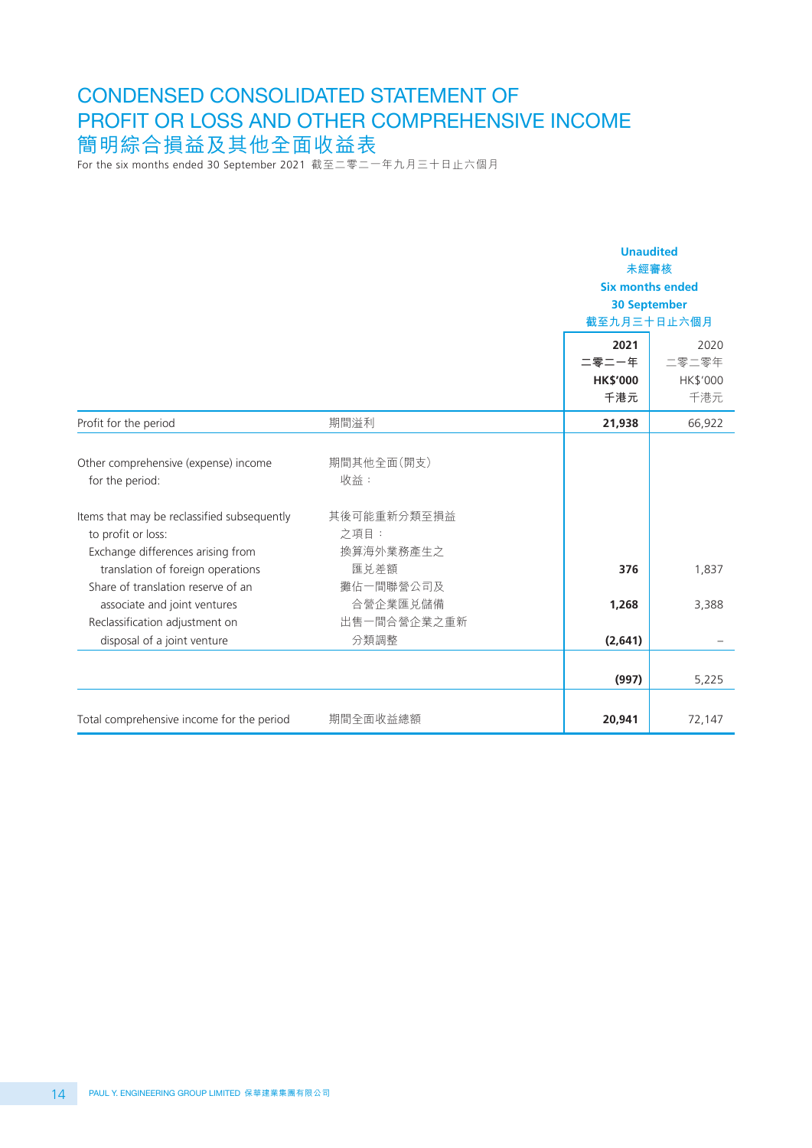# CONDENSED CONSOLIDATED STATEMENT OF PROFIT OR LOSS AND OTHER COMPREHENSIVE INCOME 簡明綜合損益及其他全面收益表

For the six months ended 30 September 2021 截至二零二一年九月三十日止六個月

|                                                                                                                                                                   |                                                       | <b>Unaudited</b><br>未經審核<br><b>Six months ended</b><br><b>30 September</b><br>截至九月三十日止六個月 |                                  |
|-------------------------------------------------------------------------------------------------------------------------------------------------------------------|-------------------------------------------------------|-------------------------------------------------------------------------------------------|----------------------------------|
|                                                                                                                                                                   |                                                       | 2021<br>二零二一年<br><b>HK\$'000</b><br>千港元                                                   | 2020<br>二零二零年<br>HK\$'000<br>千港元 |
| Profit for the period                                                                                                                                             | 期間溢利                                                  | 21,938                                                                                    | 66,922                           |
| Other comprehensive (expense) income<br>for the period:<br>Items that may be reclassified subsequently<br>to profit or loss:<br>Exchange differences arising from | 期間其他全面(開支)<br>收益:<br>其後可能重新分類至損益<br>之項目:<br>換算海外業務產生之 |                                                                                           |                                  |
| translation of foreign operations<br>Share of translation reserve of an                                                                                           | 匯兑差額<br>攤佔一間聯營公司及                                     | 376                                                                                       | 1,837                            |
| associate and joint ventures<br>Reclassification adjustment on                                                                                                    | 合營企業匯兑儲備<br>出售一間合營企業之重新                               | 1,268                                                                                     | 3,388                            |
| disposal of a joint venture                                                                                                                                       | 分類調整                                                  | (2,641)                                                                                   |                                  |
|                                                                                                                                                                   |                                                       | (997)                                                                                     | 5,225                            |
| Total comprehensive income for the period                                                                                                                         | 期間全面收益總額                                              | 20,941                                                                                    | 72,147                           |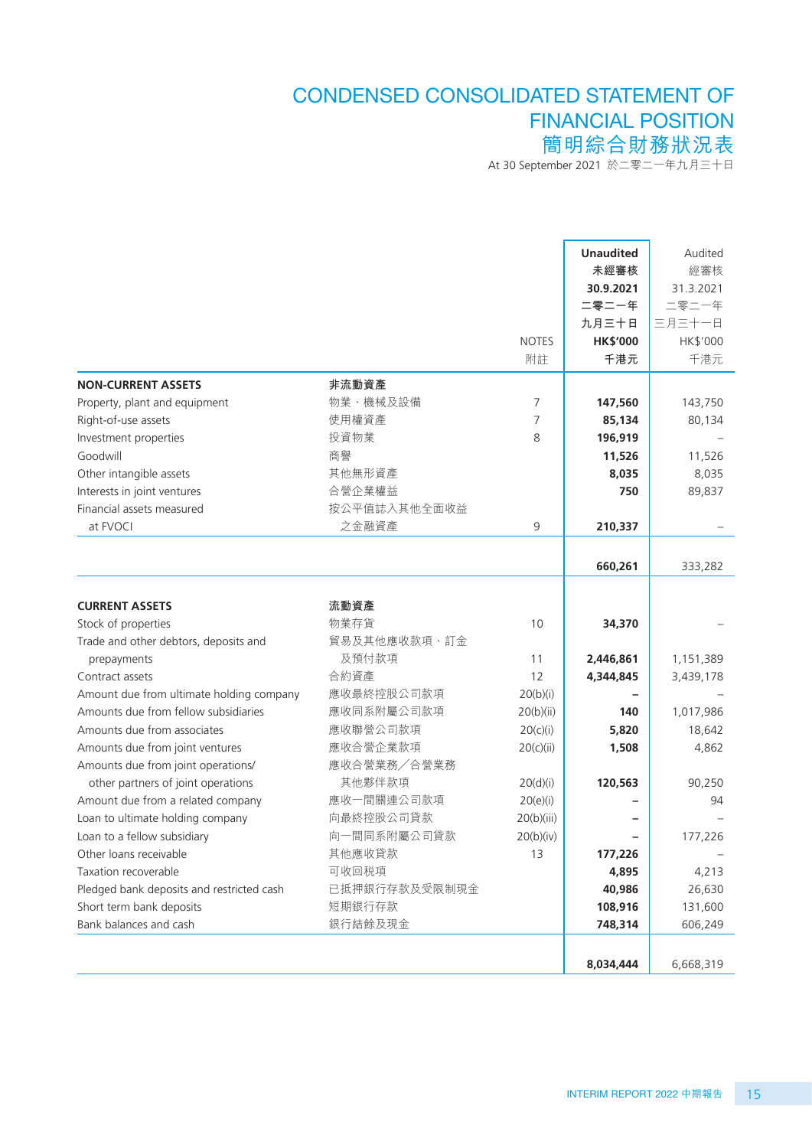# CONDENSED CONSOLIDATED STATEMENT OF FINANCIAL POSITION 簡明綜合財務狀況表

At 30 September 2021 於二零二一年九月三十日

|                                           |                       |              | <b>Unaudited</b> | Audited   |
|-------------------------------------------|-----------------------|--------------|------------------|-----------|
|                                           |                       |              | 未經審核             | 經審核       |
|                                           |                       |              | 30.9.2021        | 31.3.2021 |
|                                           |                       |              | 二零二一年            | 二零二一年     |
|                                           |                       |              | 九月三十日            | 三月三十一日    |
|                                           |                       | <b>NOTES</b> | <b>HK\$'000</b>  | HK\$'000  |
|                                           |                       | 附註           | 千港元              | 千港元       |
| <b>NON-CURRENT ASSETS</b>                 | 非流動資產                 |              |                  |           |
| Property, plant and equipment             | 物業、機械及設備              | 7            | 147,560          | 143,750   |
| Right-of-use assets                       | 使用權資產                 | 7            | 85,134           | 80,134    |
| Investment properties                     | 投資物業                  | 8            | 196,919          |           |
| Goodwill                                  | 商譽                    |              | 11,526           | 11,526    |
| Other intangible assets                   | 其他無形資產                |              | 8,035            | 8,035     |
| Interests in joint ventures               | 合營企業權益                |              | 750              | 89,837    |
| Financial assets measured                 | 按公平值誌入其他全面收益          |              |                  |           |
| at FVOCI                                  | 之金融資產                 | 9            | 210,337          |           |
|                                           |                       |              |                  |           |
|                                           |                       |              | 660,261          | 333,282   |
| <b>CURRENT ASSETS</b>                     | 流動資產                  |              |                  |           |
|                                           | 物業存貨                  |              |                  |           |
| Stock of properties                       | 貿易及其他應收款項、訂金          | 10           | 34,370           |           |
| Trade and other debtors, deposits and     | 及預付款項                 |              |                  |           |
| prepayments                               |                       | 11           | 2,446,861        | 1,151,389 |
| Contract assets                           | 合約資產                  | 12           | 4,344,845        | 3,439,178 |
| Amount due from ultimate holding company  | 應收最終控股公司款項            | 20(b)(i)     |                  |           |
| Amounts due from fellow subsidiaries      | 應收同系附屬公司款項            | 20(b)(ii)    | 140              | 1,017,986 |
| Amounts due from associates               | 應收聯營公司款項              | 20(c)(i)     | 5,820            | 18,642    |
| Amounts due from joint ventures           | 應收合營企業款項              | 20(c)(ii)    | 1,508            | 4,862     |
| Amounts due from joint operations/        | 應收合營業務/合營業務<br>其他夥伴款項 |              |                  |           |
| other partners of joint operations        |                       | 20(d)(i)     | 120,563          | 90,250    |
| Amount due from a related company         | 應收一間關連公司款項            | 20(e)(i)     |                  | 94        |
| Loan to ultimate holding company          | 向最終控股公司貸款             | 20(b)(iii)   |                  |           |
| Loan to a fellow subsidiary               | 向一間同系附屬公司貸款           | 20(b)(iv)    |                  | 177,226   |
| Other loans receivable                    | 其他應收貸款                | 13           | 177,226          |           |
| Taxation recoverable                      | 可收回税項                 |              | 4,895            | 4,213     |
| Pledged bank deposits and restricted cash | 已抵押銀行存款及受限制現金         |              | 40,986           | 26,630    |
| Short term bank deposits                  | 短期銀行存款                |              | 108,916          | 131,600   |
| Bank balances and cash                    | 銀行結餘及現金               |              | 748,314          | 606,249   |
|                                           |                       |              |                  |           |
|                                           |                       |              | 8,034,444        | 6,668,319 |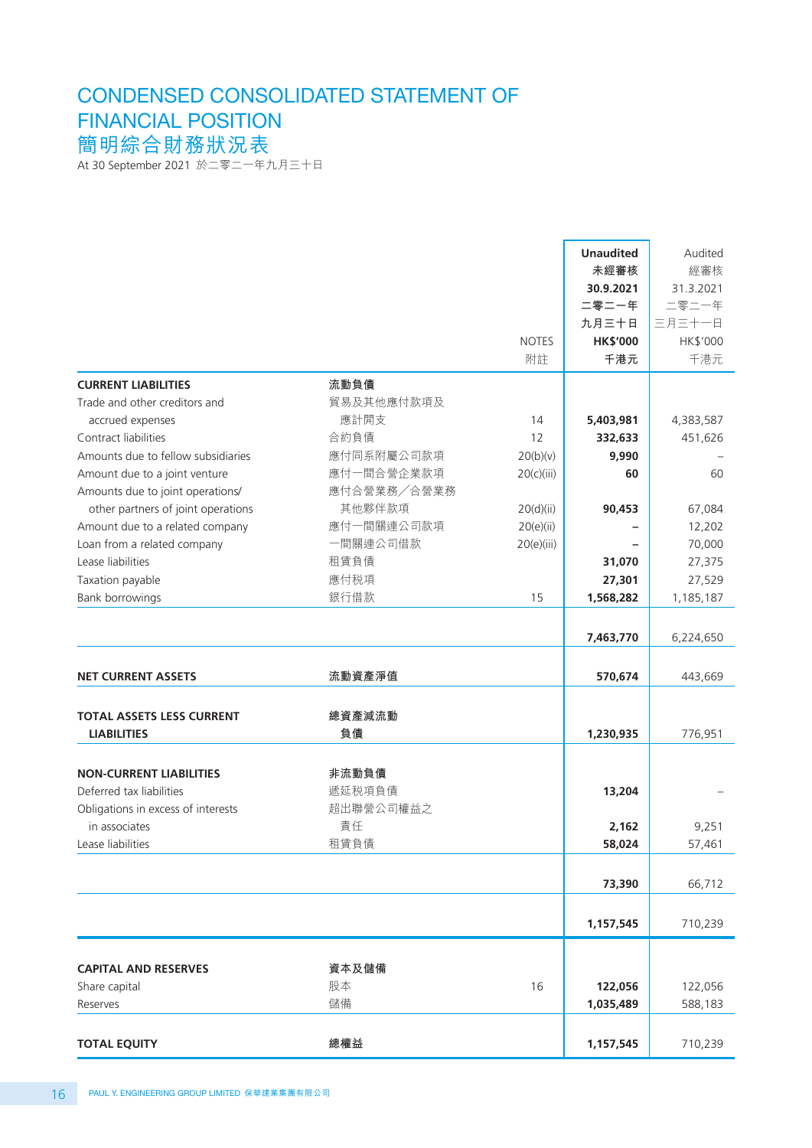# At 30 September 2021 於二零二一年九月三十日 CONDENSED CONSOLIDATED STATEMENT OF FINANCIAL POSITION 簡明綜合財務狀況表

|                                                        |              | <b>NOTES</b><br>附註 | <b>Unaudited</b><br>未經審核<br>30.9.2021<br>二零二一年<br>九月三十日<br><b>HK\$'000</b><br>千港元 | Audited<br>經審核<br>31.3.2021<br>二零二一年<br>三月三十一日<br>HK\$'000<br>千港元 |
|--------------------------------------------------------|--------------|--------------------|-----------------------------------------------------------------------------------|-------------------------------------------------------------------|
|                                                        |              |                    |                                                                                   |                                                                   |
| <b>CURRENT LIABILITIES</b>                             | 流動負債         |                    |                                                                                   |                                                                   |
| Trade and other creditors and                          | 貿易及其他應付款項及   |                    |                                                                                   |                                                                   |
| accrued expenses                                       | 應計開支         | 14                 | 5,403,981                                                                         | 4,383,587                                                         |
| Contract liabilities                                   | 合約負債         | 12                 | 332,633                                                                           | 451,626                                                           |
| Amounts due to fellow subsidiaries                     | 應付同系附屬公司款項   | 20(b)(v)           | 9,990                                                                             |                                                                   |
| Amount due to a joint venture                          | 應付一間合營企業款項   | 20(c)(iii)         | 60                                                                                | 60                                                                |
| Amounts due to joint operations/                       | 應付合營業務/合營業務  |                    |                                                                                   |                                                                   |
| other partners of joint operations                     | 其他夥伴款項       | 20(d)(ii)          | 90,453                                                                            | 67,084                                                            |
| Amount due to a related company                        | 應付一間關連公司款項   | 20(e)(ii)          |                                                                                   | 12,202                                                            |
| Loan from a related company                            | 一間關連公司借款     | 20(e)(iii)         |                                                                                   | 70,000                                                            |
| Lease liabilities                                      | 租賃負債         |                    | 31,070                                                                            | 27,375                                                            |
| Taxation payable                                       | 應付税項         |                    | 27,301                                                                            | 27,529                                                            |
| Bank borrowings                                        | 銀行借款         | 15                 | 1,568,282                                                                         | 1,185,187                                                         |
|                                                        |              |                    | 7,463,770                                                                         | 6,224,650                                                         |
| <b>NET CURRENT ASSETS</b>                              | 流動資產淨值       |                    | 570,674                                                                           | 443,669                                                           |
| <b>TOTAL ASSETS LESS CURRENT</b><br><b>LIABILITIES</b> | 總資產減流動<br>負債 |                    | 1,230,935                                                                         | 776,951                                                           |
|                                                        |              |                    |                                                                                   |                                                                   |
| <b>NON-CURRENT LIABILITIES</b>                         | 非流動負債        |                    |                                                                                   |                                                                   |
| Deferred tax liabilities                               | 遞延税項負債       |                    | 13,204                                                                            |                                                                   |
| Obligations in excess of interests                     | 超出聯營公司權益之    |                    |                                                                                   |                                                                   |
| in associates                                          | 責任           |                    | 2,162                                                                             | 9,251                                                             |
| Lease liabilities                                      | 租賃負債         |                    | 58,024                                                                            | 57,461                                                            |
|                                                        |              |                    |                                                                                   |                                                                   |
|                                                        |              |                    | 73,390                                                                            | 66,712                                                            |
|                                                        |              |                    | 1,157,545                                                                         | 710,239                                                           |
|                                                        |              |                    |                                                                                   |                                                                   |
| <b>CAPITAL AND RESERVES</b>                            | 資本及儲備        |                    |                                                                                   |                                                                   |
| Share capital                                          | 股本           | 16                 | 122,056                                                                           | 122,056                                                           |
| Reserves                                               | 儲備           |                    | 1,035,489                                                                         | 588,183                                                           |
| <b>TOTAL EQUITY</b>                                    | 總權益          |                    | 1,157,545                                                                         | 710,239                                                           |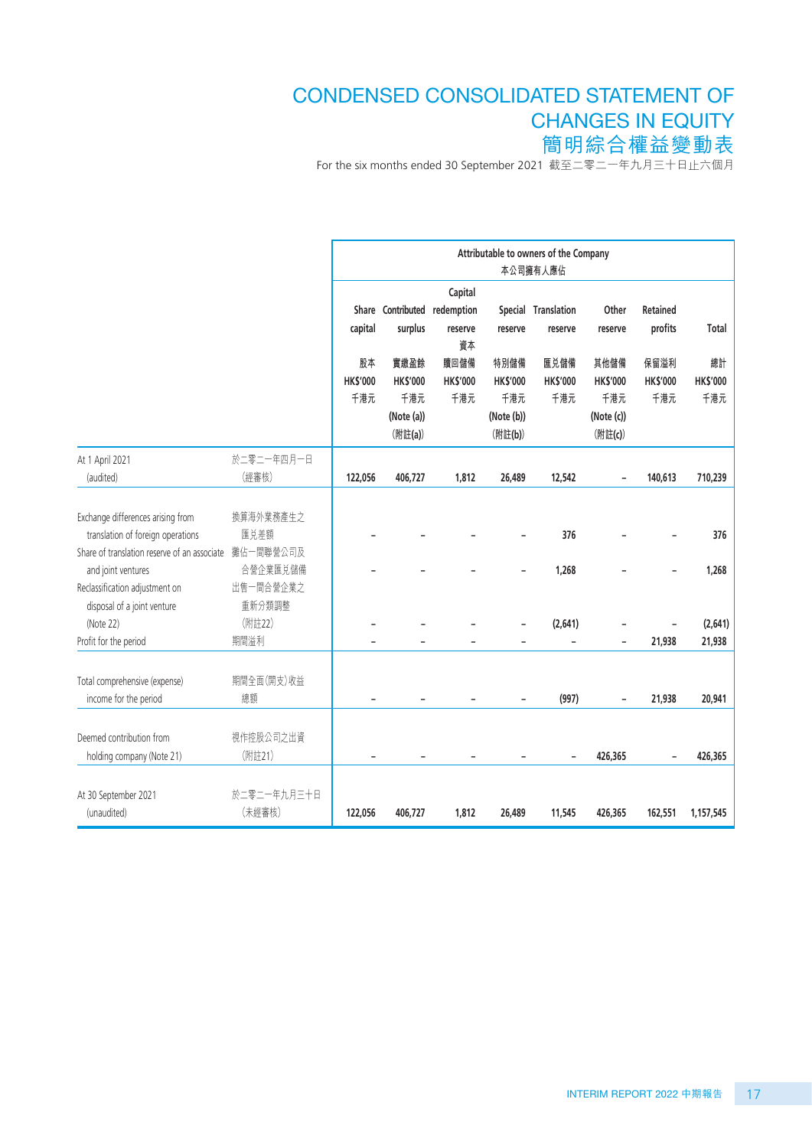# CONDENSED CONSOLIDATED STATEMENT OF CHANGES IN EQUITY 簡明綜合權益變動表

For the six months ended 30 September 2021 截至二零二一年九月三十日止六個月

|                                                                                                                                                                                                                                                     |                                                                                     | Attributable to owners of the Company<br>本公司擁有人應佔 |                                                         |                                                          |                                                         |                                |                                                         |                                |                                   |
|-----------------------------------------------------------------------------------------------------------------------------------------------------------------------------------------------------------------------------------------------------|-------------------------------------------------------------------------------------|---------------------------------------------------|---------------------------------------------------------|----------------------------------------------------------|---------------------------------------------------------|--------------------------------|---------------------------------------------------------|--------------------------------|-----------------------------------|
|                                                                                                                                                                                                                                                     |                                                                                     | capital                                           | surplus                                                 | Capital<br>Share Contributed redemption<br>reserve<br>資本 | reserve                                                 | Special Translation<br>reserve | Other<br>reserve                                        | Retained<br>profits            | Total                             |
|                                                                                                                                                                                                                                                     |                                                                                     | 股本<br><b>HK\$'000</b><br>千港元                      | 實繳盈餘<br><b>HK\$'000</b><br>千港元<br>(Note (a))<br>(附註(a)) | 贖回儲備<br><b>HK\$'000</b><br>千港元                           | 特別儲備<br><b>HK\$'000</b><br>千港元<br>(Note (b))<br>(附註(b)) | 匯兑儲備<br><b>HK\$'000</b><br>千港元 | 其他儲備<br><b>HK\$'000</b><br>千港元<br>(Note (c))<br>(附註(c)) | 保留溢利<br><b>HK\$'000</b><br>千港元 | 總計<br><b>HK\$'000</b><br>千港元      |
| At 1 April 2021<br>(audited)                                                                                                                                                                                                                        | 於二零二一年四月一日<br>(經審核)                                                                 | 122,056                                           | 406,727                                                 | 1,812                                                    | 26,489                                                  | 12,542                         |                                                         | 140,613                        | 710,239                           |
| Exchange differences arising from<br>translation of foreign operations<br>Share of translation reserve of an associate<br>and joint ventures<br>Reclassification adjustment on<br>disposal of a joint venture<br>(Note 22)<br>Profit for the period | 換算海外業務產生之<br>匯兑差額<br>攤佔一間聯營公司及<br>合營企業匯兑儲備<br>出售一間合營企業之<br>重新分類調整<br>(附註22)<br>期間溢利 |                                                   |                                                         |                                                          |                                                         | 376<br>1,268<br>(2,641)        |                                                         | 21,938                         | 376<br>1,268<br>(2,641)<br>21,938 |
| Total comprehensive (expense)<br>income for the period                                                                                                                                                                                              | 期間全面(開支)收益<br>總額                                                                    |                                                   |                                                         |                                                          |                                                         | (997)                          | $\overline{\phantom{0}}$                                | 21,938                         | 20,941                            |
| Deemed contribution from<br>holding company (Note 21)                                                                                                                                                                                               | 視作控股公司之出資<br>(附註21)                                                                 |                                                   |                                                         |                                                          |                                                         |                                | 426,365                                                 |                                | 426,365                           |
| At 30 September 2021<br>(unaudited)                                                                                                                                                                                                                 | 於二零二一年九月三十日<br>(未經審核)                                                               | 122,056                                           | 406,727                                                 | 1,812                                                    | 26,489                                                  | 11,545                         | 426,365                                                 | 162,551                        | 1,157,545                         |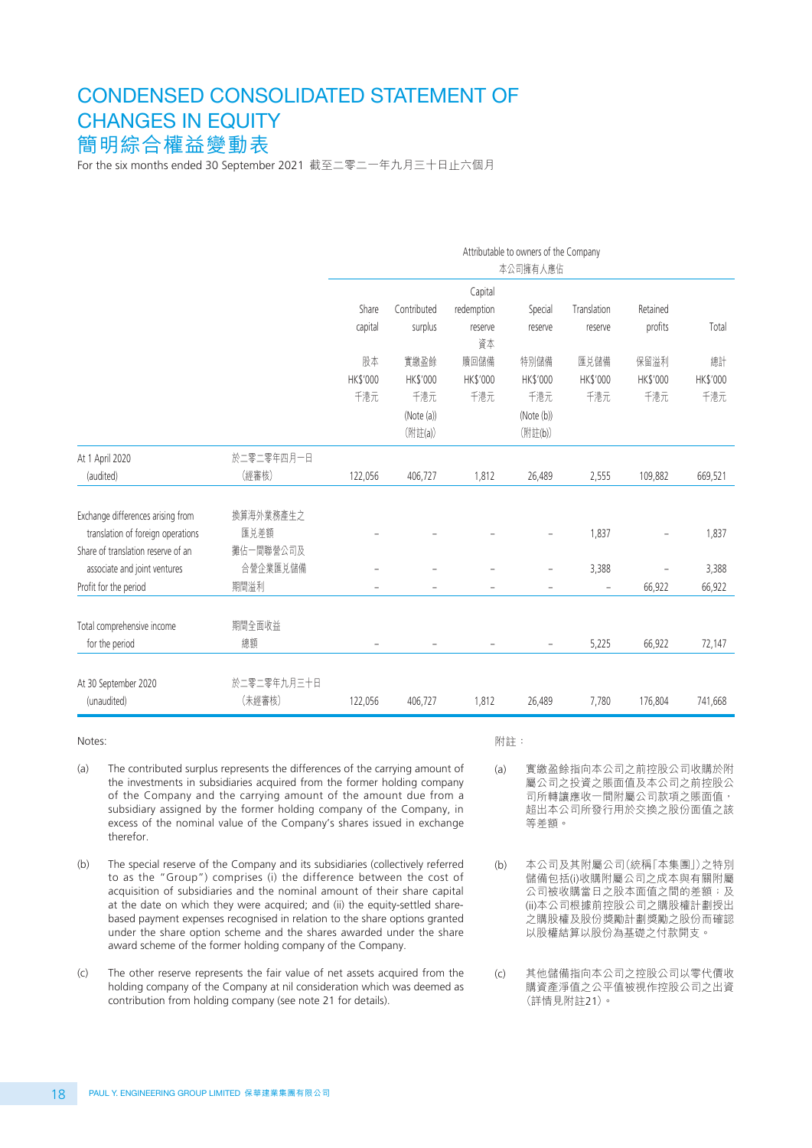# CONDENSED CONSOLIDATED STATEMENT OF CHANGES IN EQUITY 簡明綜合權益變動表

For the six months ended 30 September 2021 截至二零二一年九月三十日止六個月

|                                    |             | Attributable to owners of the Company<br>本公司擁有人應佔 |                          |               |                          |                          |          |          |  |
|------------------------------------|-------------|---------------------------------------------------|--------------------------|---------------|--------------------------|--------------------------|----------|----------|--|
|                                    |             |                                                   |                          | Capital       |                          |                          |          |          |  |
|                                    |             | Share                                             | Contributed              | redemption    | Special                  | Translation              | Retained |          |  |
|                                    |             | capital                                           | surplus                  | reserve<br>資本 | reserve                  | reserve                  | profits  | Total    |  |
|                                    |             | 股本                                                | 實繳盈餘                     | 贖回儲備          | 特別儲備                     | 匯兑儲備                     | 保留溢利     | 總計       |  |
|                                    |             | HK\$'000                                          | HK\$'000                 | HK\$'000      | HK\$'000                 | HK\$'000                 | HK\$'000 | HK\$'000 |  |
|                                    |             | 千港元                                               | 千港元                      | 千港元           | 千港元                      | 千港元                      | 千港元      | 千港元      |  |
|                                    |             |                                                   | (Note (a))               |               | (Note (b))               |                          |          |          |  |
|                                    |             |                                                   | (附註(a))                  |               | (附註(b))                  |                          |          |          |  |
| At 1 April 2020                    | 於二零二零年四月一日  |                                                   |                          |               |                          |                          |          |          |  |
| (audited)                          | (經審核)       | 122,056                                           | 406,727                  | 1,812         | 26,489                   | 2,555                    | 109,882  | 669,521  |  |
|                                    |             |                                                   |                          |               |                          |                          |          |          |  |
| Exchange differences arising from  | 換算海外業務產生之   |                                                   |                          |               |                          |                          |          |          |  |
| translation of foreign operations  | 匯兑差額        |                                                   |                          |               |                          | 1,837                    |          | 1,837    |  |
| Share of translation reserve of an | 攤佔一間聯營公司及   |                                                   |                          |               |                          |                          |          |          |  |
| associate and joint ventures       | 合營企業匯兑儲備    |                                                   |                          |               |                          | 3,388                    |          | 3,388    |  |
| Profit for the period              | 期間溢利        |                                                   | $\overline{\phantom{0}}$ | ÷             | $\overline{\phantom{0}}$ | $\overline{\phantom{0}}$ | 66,922   | 66,922   |  |
|                                    |             |                                                   |                          |               |                          |                          |          |          |  |
| Total comprehensive income         | 期間全面收益      |                                                   |                          |               |                          |                          |          |          |  |
| for the period                     | 總額          | $\qquad \qquad -$                                 | $\qquad \qquad -$        |               | -                        | 5,225                    | 66,922   | 72,147   |  |
|                                    |             |                                                   |                          |               |                          |                          |          |          |  |
| At 30 September 2020               | 於二零二零年九月三十日 |                                                   |                          |               |                          |                          |          |          |  |
| (unaudited)                        | (未經審核)      | 122,056                                           | 406,727                  | 1,812         | 26,489                   | 7,780                    | 176,804  | 741,668  |  |

Notes:

- (a) The contributed surplus represents the differences of the carrying amount of the investments in subsidiaries acquired from the former holding company of the Company and the carrying amount of the amount due from a subsidiary assigned by the former holding company of the Company, in excess of the nominal value of the Company's shares issued in exchange therefor.
- (b) The special reserve of the Company and its subsidiaries (collectively referred to as the "Group") comprises (i) the difference between the cost of acquisition of subsidiaries and the nominal amount of their share capital at the date on which they were acquired; and (ii) the equity-settled sharebased payment expenses recognised in relation to the share options granted under the share option scheme and the shares awarded under the share award scheme of the former holding company of the Company.
- (c) The other reserve represents the fair value of net assets acquired from the holding company of the Company at nil consideration which was deemed as contribution from holding company (see note 21 for details).

附註:

- (a) 實繳盈餘指向本公司之前控股公司收購於附 屬公司之投資之賬面值及本公司之前控股公 司所轉讓應收一間附屬公司款項之賬面值, 超出本公司所發行用於交換之股份面值之該 等差額。
- (b) 本公司及其附屬公司(統稱「本集團」)之特別 儲備包括(i)收購附屬公司之成本與有關附屬 公司被收購當日之股本面值之間的差額;及 (ii)本公司根據前控股公司之購股權計劃授出 之購股權及股份獎勵計劃獎勵之股份而確認 以股權結算以股份為基礎之付款開支。
- (c) 其他儲備指向本公司之控股公司以零代價收 購資產淨值之公平值被視作控股公司之出資 (詳情見附註21)。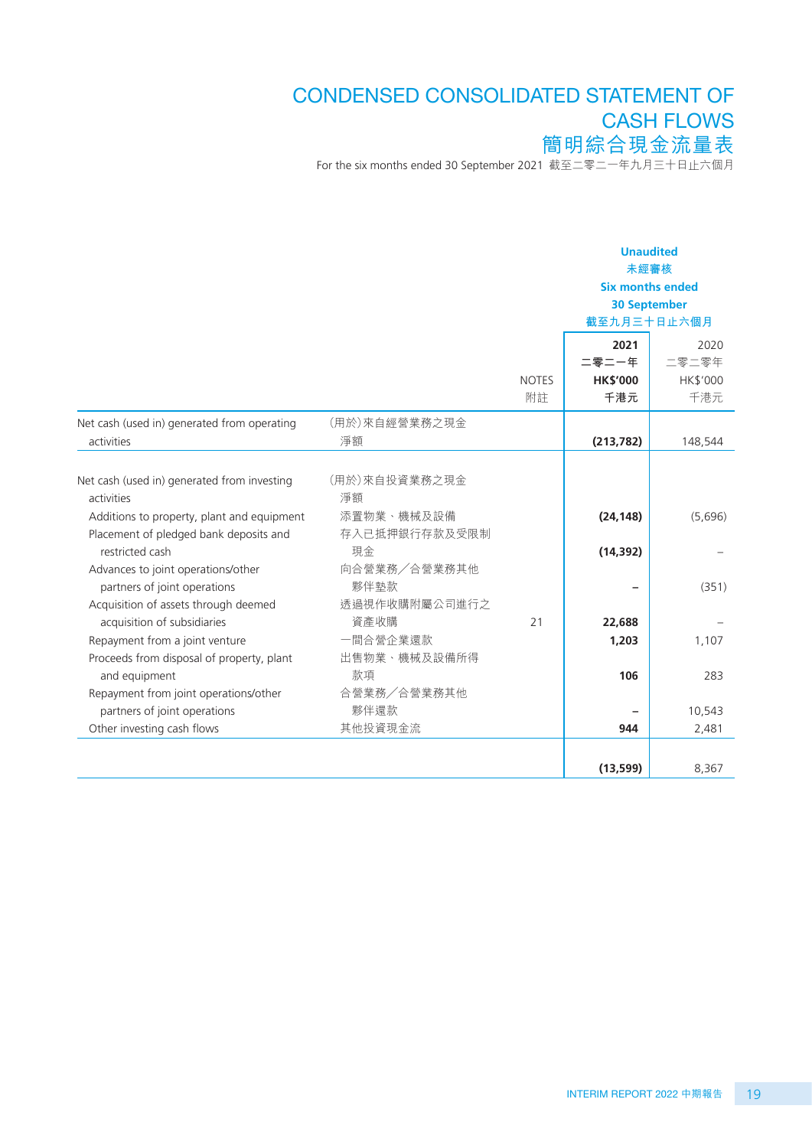# For the six months ended 30 September 2021 截至二零二一年九月三十日止六個月 CONDENSED CONSOLIDATED STATEMENT OF CASH FLOWS 簡明綜合現金流量表

|                                                                                                         |                                     |              | <b>Unaudited</b><br>未經審核<br><b>Six months ended</b><br><b>30 September</b><br>截至九月三十日止六個月 |          |  |
|---------------------------------------------------------------------------------------------------------|-------------------------------------|--------------|-------------------------------------------------------------------------------------------|----------|--|
|                                                                                                         |                                     |              | 2021                                                                                      | 2020     |  |
|                                                                                                         |                                     |              | 二零二一年                                                                                     | 二零二零年    |  |
|                                                                                                         |                                     | <b>NOTES</b> | <b>HK\$'000</b>                                                                           | HK\$'000 |  |
|                                                                                                         |                                     | 附註           | 千港元                                                                                       | 千港元      |  |
| Net cash (used in) generated from operating                                                             | (用於)來自經營業務之現金                       |              |                                                                                           |          |  |
| activities                                                                                              | 淨額                                  |              | (213, 782)                                                                                | 148,544  |  |
| Net cash (used in) generated from investing<br>activities<br>Additions to property, plant and equipment | (用於)來自投資業務之現金<br>淨額<br>添置物業、機械及設備   |              | (24, 148)                                                                                 | (5,696)  |  |
| Placement of pledged bank deposits and<br>restricted cash<br>Advances to joint operations/other         | 存入已抵押銀行存款及受限制<br>現金<br>向合營業務/合營業務其他 |              | (14, 392)                                                                                 |          |  |
| partners of joint operations<br>Acquisition of assets through deemed<br>acquisition of subsidiaries     | 夥伴墊款<br>透過視作收購附屬公司進行之<br>資產收購       | 21           | 22,688                                                                                    | (351)    |  |
| Repayment from a joint venture<br>Proceeds from disposal of property, plant                             | 一間合營企業還款<br>出售物業、機械及設備所得            |              | 1,203                                                                                     | 1,107    |  |
| and equipment<br>Repayment from joint operations/other                                                  | 款項<br>合營業務/合營業務其他                   |              | 106                                                                                       | 283      |  |
| partners of joint operations                                                                            | 夥伴還款                                |              |                                                                                           | 10,543   |  |
| Other investing cash flows                                                                              | 其他投資現金流                             |              | 944                                                                                       | 2,481    |  |
|                                                                                                         |                                     |              | (13, 599)                                                                                 | 8,367    |  |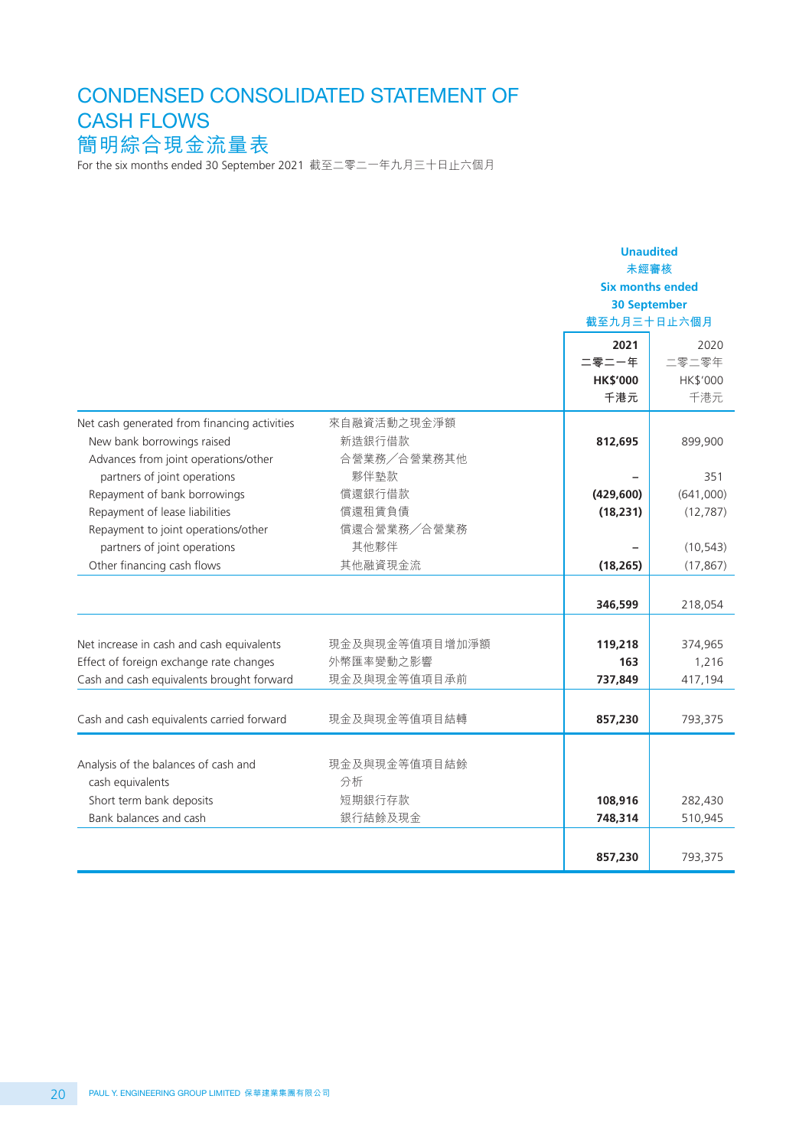# CONDENSED CONSOLIDATED STATEMENT OF CASH FLOWS 簡明綜合現金流量表

For the six months ended 30 September 2021 截至二零二一年九月三十日止六個月

|                                                                                                                    |                                      | <b>Unaudited</b><br>未經審核<br><b>Six months ended</b><br><b>30 September</b><br>截至九月三十日止六個月<br>2021 | 2020              |
|--------------------------------------------------------------------------------------------------------------------|--------------------------------------|---------------------------------------------------------------------------------------------------|-------------------|
|                                                                                                                    |                                      | 二零二一年<br><b>HK\$'000</b>                                                                          | 二零二零年<br>HK\$'000 |
|                                                                                                                    |                                      | 千港元                                                                                               | 千港元               |
| Net cash generated from financing activities<br>New bank borrowings raised<br>Advances from joint operations/other | 來自融資活動之現金淨額<br>新造銀行借款<br>合營業務/合營業務其他 | 812,695                                                                                           | 899,900           |
| partners of joint operations                                                                                       | 夥伴墊款                                 |                                                                                                   | 351               |
| Repayment of bank borrowings                                                                                       | 償還銀行借款                               | (429, 600)                                                                                        | (641,000)         |
| Repayment of lease liabilities                                                                                     | 償還租賃負債                               | (18, 231)                                                                                         | (12, 787)         |
| Repayment to joint operations/other                                                                                | 償還合營業務/合營業務                          |                                                                                                   |                   |
| partners of joint operations                                                                                       | 其他夥伴                                 |                                                                                                   | (10, 543)         |
| Other financing cash flows                                                                                         | 其他融資現金流                              | (18, 265)                                                                                         | (17, 867)         |
|                                                                                                                    |                                      | 346,599                                                                                           | 218,054           |
|                                                                                                                    |                                      |                                                                                                   |                   |
| Net increase in cash and cash equivalents                                                                          | 現金及與現金等值項目增加淨額                       | 119,218                                                                                           | 374,965           |
| Effect of foreign exchange rate changes                                                                            | 外幣匯率變動之影響                            | 163                                                                                               | 1,216             |
| Cash and cash equivalents brought forward                                                                          | 現金及與現金等值項目承前                         | 737,849                                                                                           | 417,194           |
|                                                                                                                    |                                      |                                                                                                   |                   |
| Cash and cash equivalents carried forward                                                                          | 現金及與現金等值項目結轉                         | 857,230                                                                                           | 793,375           |
|                                                                                                                    |                                      |                                                                                                   |                   |
| Analysis of the balances of cash and<br>cash equivalents                                                           | 現金及與現金等值項目結餘<br>分析                   |                                                                                                   |                   |
| Short term bank deposits                                                                                           | 短期銀行存款                               | 108,916                                                                                           | 282,430           |
| Bank balances and cash                                                                                             | 銀行結餘及現金                              | 748,314                                                                                           | 510,945           |
|                                                                                                                    |                                      |                                                                                                   |                   |
|                                                                                                                    |                                      | 857,230                                                                                           | 793,375           |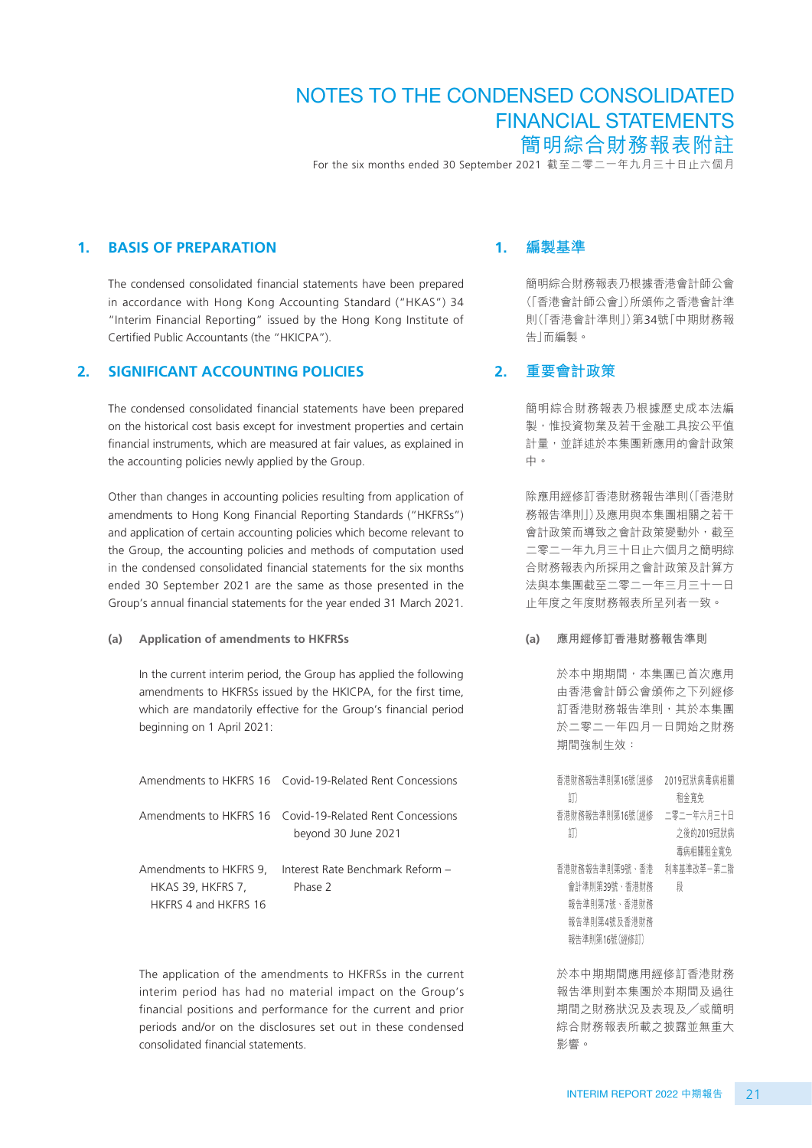For the six months ended 30 September 2021 截至二零二一年九月三十日止六個月

#### **1. BASIS OF PREPARATION**

The condensed consolidated financial statements have been prepared in accordance with Hong Kong Accounting Standard ("HKAS") 34 "Interim Financial Reporting" issued by the Hong Kong Institute of Certified Public Accountants (the "HKICPA").

#### **2. SIGNIFICANT ACCOUNTING POLICIES**

The condensed consolidated financial statements have been prepared on the historical cost basis except for investment properties and certain financial instruments, which are measured at fair values, as explained in the accounting policies newly applied by the Group.

Other than changes in accounting policies resulting from application of amendments to Hong Kong Financial Reporting Standards ("HKFRSs") and application of certain accounting policies which become relevant to the Group, the accounting policies and methods of computation used in the condensed consolidated financial statements for the six months ended 30 September 2021 are the same as those presented in the Group's annual financial statements for the year ended 31 March 2021.

#### **(a) Application of amendments to HKFRSs**

In the current interim period, the Group has applied the following amendments to HKFRSs issued by the HKICPA, for the first time, which are mandatorily effective for the Group's financial period beginning on 1 April 2021:

|                          | Amendments to HKFRS 16 Covid-19-Related Rent Concessions                        |
|--------------------------|---------------------------------------------------------------------------------|
|                          | Amendments to HKFRS 16 Covid-19-Related Rent Concessions<br>beyond 30 June 2021 |
| <b>HKAS 39, HKFRS 7,</b> | Amendments to HKFRS 9, Interest Rate Benchmark Reform -<br>Phase 2              |
| HKFRS 4 and HKFRS 16     |                                                                                 |

The application of the amendments to HKFRSs in the current interim period has had no material impact on the Group's financial positions and performance for the current and prior periods and/or on the disclosures set out in these condensed consolidated financial statements.

#### **1. 編製基準**

簡明綜合財務報表乃根據香港會計師公會 (「香港會計師公會」)所頒佈之香港會計準 則(「香港會計準則」)第34號「中期財務報 告」而編製。

#### **2. 重要會計政策**

簡明綜合財務報表乃根據歷史成本法編 製,惟投資物業及若干金融工具按公平值 計量,並詳述於本集團新應用的會計政策 中。

除應用經修訂香港財務報告準則(「香港財 務報告準則」)及應用與本集團相關之若干 會計政策而導致之會計政策變動外,截至 二零二一年九月三十日止六個月之簡明綜 合財務報表內所採用之會計政策及計算方 法與本集團截至二零二一年三月三十一日 止年度之年度財務報表所呈列者一致。

**(a) 應用經修訂香港財務報告準則**

於本中期期間,本集團已首次應用 由香港會計師公會頒佈之下列經修 訂香港財務報告準則,其於本集團 於二零二一年四月一日開始之財務 期間強制生效:

香港財務報告準則第16號(經修 2019冠狀病毒病相關 訂) 租金寬免 |省港財務報古牛則弟16號(經修 \_——冬\_一干ハ月二十日 ■ 訂) 之後的2019冠狀病 毒病相關租金寬免 省港財務報古牛則弟9號,省港 - 州平基牛以半二弟二階 會計準則第39號、香港財務 報告準則第7號、香港財務 報告準則第4號及香港財務 報告準則第16號(經修訂) 段

於本中期期間應用經修訂香港財務 報告準則對本集團於本期間及過往 期間之財務狀況及表現及╱或簡明 綜合財務報表所載之披露並無重大 影響。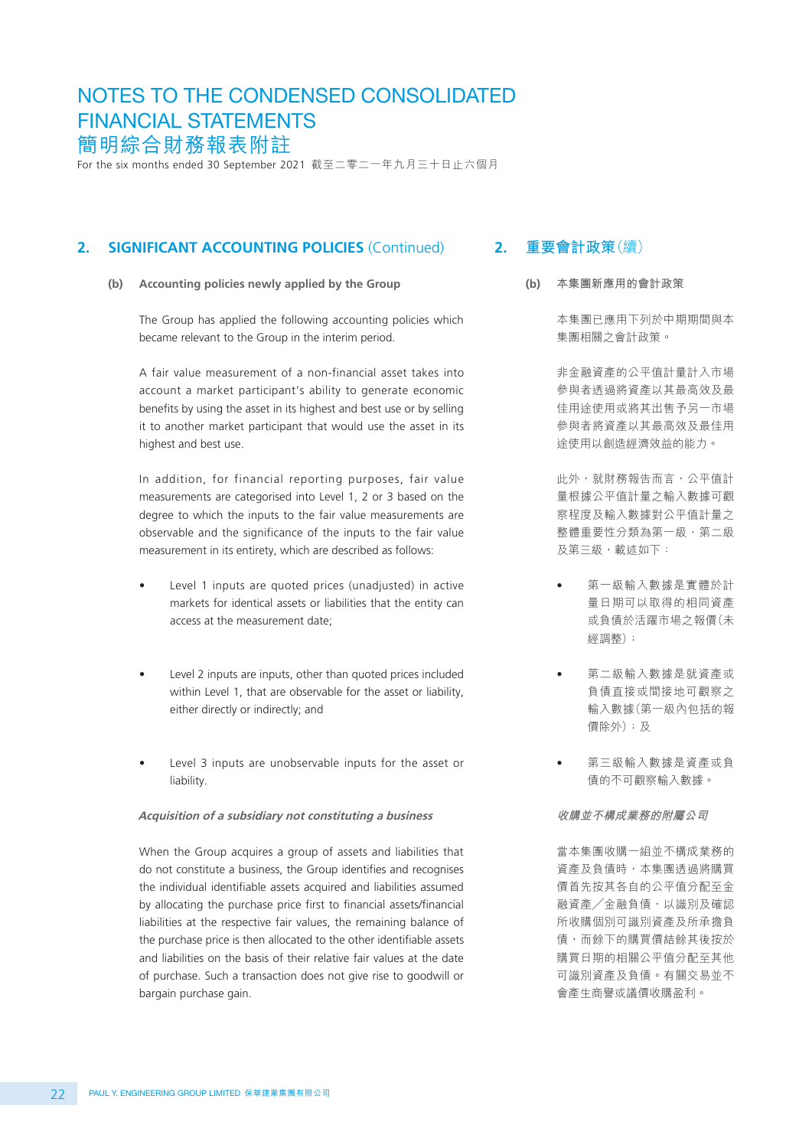For the six months ended 30 September 2021 截至二零二一年九月三十日止六個月

#### **2. SIGNIFICANT ACCOUNTING POLICIES** (Continued)

**(b) Accounting policies newly applied by the Group**

The Group has applied the following accounting policies which became relevant to the Group in the interim period.

A fair value measurement of a non-financial asset takes into account a market participant's ability to generate economic benefits by using the asset in its highest and best use or by selling it to another market participant that would use the asset in its highest and best use.

In addition, for financial reporting purposes, fair value measurements are categorised into Level 1, 2 or 3 based on the degree to which the inputs to the fair value measurements are observable and the significance of the inputs to the fair value measurement in its entirety, which are described as follows:

- Level 1 inputs are quoted prices (unadjusted) in active markets for identical assets or liabilities that the entity can access at the measurement date;
- Level 2 inputs are inputs, other than quoted prices included within Level 1, that are observable for the asset or liability, either directly or indirectly; and
- Level 3 inputs are unobservable inputs for the asset or liability.

#### **Acquisition of a subsidiary not constituting a business**

When the Group acquires a group of assets and liabilities that do not constitute a business, the Group identifies and recognises the individual identifiable assets acquired and liabilities assumed by allocating the purchase price first to financial assets/financial liabilities at the respective fair values, the remaining balance of the purchase price is then allocated to the other identifiable assets and liabilities on the basis of their relative fair values at the date of purchase. Such a transaction does not give rise to goodwill or bargain purchase gain.

## **2. 重要會計政策**(續)

**(b) 本集團新應用的會計政策**

本集團已應用下列於中期期間與本 集團相關之會計政策。

非金融資產的公平值計量計入市場 參與者透過將資產以其最高效及最 佳用途使用或將其出售予另一市場 參與者將資產以其最高效及最佳用 途使用以創造經濟效益的能力。

此外,就財務報告而言,公平值計 量根據公平值計量之輸入數據可觀 察程度及輸入數據對公平值計量之 整體重要性分類為第一級、第二級 及第三級,載述如下:

- 第一級輸入數據是實體於計 量日期可以取得的相同資產 或負債於活躍市場之報價(未 經調整);
- 第二級輸入數據是就資產或 負債直接或間接地可觀察之 輸入數據(第一級內包括的報 價除外);及
- 第三級輸入數據是資產或負 債的不可觀察輸入數據。

**收購並不構成業務的附屬公司**

當本集團收購一組並不構成業務的 資產及負債時,本集團透過將購買 價首先按其各自的公平值分配至金 融資產╱金融負債,以識別及確認 所收購個別可識別資產及所承擔負 債,而餘下的購買價結餘其後按於 購買日期的相關公平值分配至其他 可識別資產及負債。有關交易並不 會產生商譽或議價收購盈利。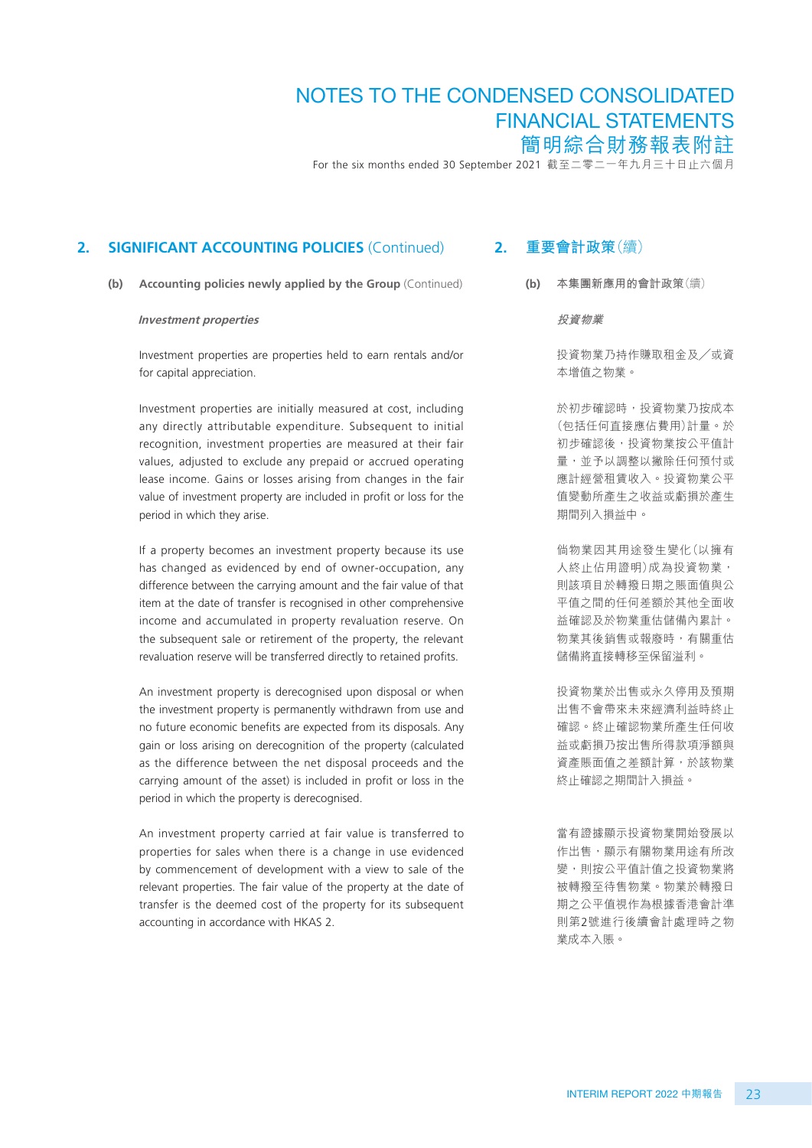For the six months ended 30 September 2021 截至二零二一年九月三十日止六個月

#### **2. SIGNIFICANT ACCOUNTING POLICIES** (Continued)

**(b) Accounting policies newly applied by the Group** (Continued)

#### **Investment properties**

Investment properties are properties held to earn rentals and/or for capital appreciation.

Investment properties are initially measured at cost, including any directly attributable expenditure. Subsequent to initial recognition, investment properties are measured at their fair values, adjusted to exclude any prepaid or accrued operating lease income. Gains or losses arising from changes in the fair value of investment property are included in profit or loss for the period in which they arise.

If a property becomes an investment property because its use has changed as evidenced by end of owner-occupation, any difference between the carrying amount and the fair value of that item at the date of transfer is recognised in other comprehensive income and accumulated in property revaluation reserve. On the subsequent sale or retirement of the property, the relevant revaluation reserve will be transferred directly to retained profits.

An investment property is derecognised upon disposal or when the investment property is permanently withdrawn from use and no future economic benefits are expected from its disposals. Any gain or loss arising on derecognition of the property (calculated as the difference between the net disposal proceeds and the carrying amount of the asset) is included in profit or loss in the period in which the property is derecognised.

An investment property carried at fair value is transferred to properties for sales when there is a change in use evidenced by commencement of development with a view to sale of the relevant properties. The fair value of the property at the date of transfer is the deemed cost of the property for its subsequent accounting in accordance with HKAS 2.

## **2. 重要會計政策**(續)

**(b) 本集團新應用的會計政策**(續)

**投資物業**

投資物業乃持作賺取租金及╱或資 本增值之物業。

於初步確認時,投資物業乃按成本 (包括任何直接應佔費用)計量。於 初步確認後,投資物業按公平值計 量,並予以調整以撇除任何預付或 應計經營租賃收入。投資物業公平 值變動所產生之收益或虧損於產生 期間列入損益中。

倘物業因其用途發生變化(以擁有 人終止佔用證明)成為投資物業, 則該項目於轉撥日期之賬面值與公 平值之間的任何差額於其他全面收 益確認及於物業重估儲備內累計。 物業其後銷售或報廢時,有關重估 儲備將直接轉移至保留溢利。

投資物業於出售或永久停用及預期 出售不會帶來未來經濟利益時終止 確認。終止確認物業所產生任何收 益或虧損乃按出售所得款項淨額與 資產賬面值之差額計算,於該物業 終止確認之期間計入損益。

當有證據顯示投資物業開始發展以 作出售,顯示有關物業用途有所改 變,則按公平值計值之投資物業將 被轉撥至待售物業。物業於轉撥日 期之公平值視作為根據香港會計準 則第2號進行後續會計處理時之物 業成本入賬。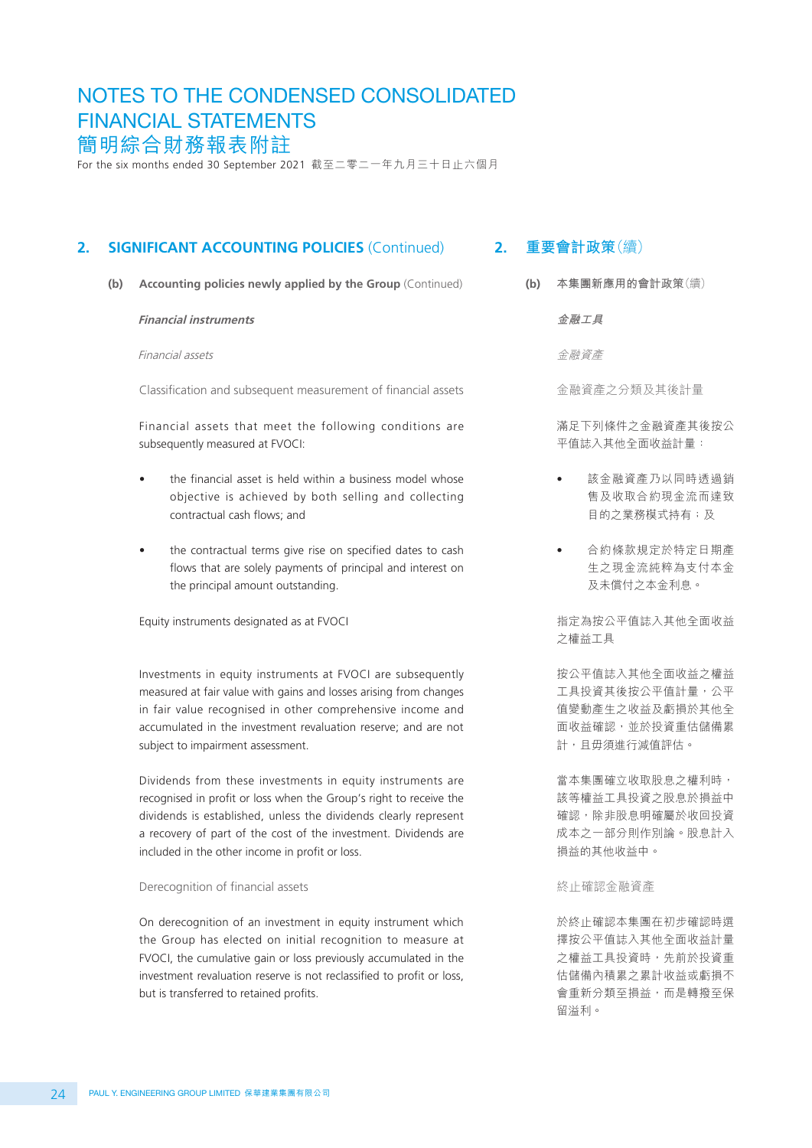For the six months ended 30 September 2021 截至二零二一年九月三十日止六個月

## **2. SIGNIFICANT ACCOUNTING POLICIES** (Continued)

**(b) Accounting policies newly applied by the Group** (Continued)

#### **Financial instruments**

Financial assets

Classification and subsequent measurement of financial assets

Financial assets that meet the following conditions are subsequently measured at FVOCI:

- the financial asset is held within a business model whose objective is achieved by both selling and collecting contractual cash flows; and
- the contractual terms give rise on specified dates to cash flows that are solely payments of principal and interest on the principal amount outstanding.

Equity instruments designated as at FVOCI

Investments in equity instruments at FVOCI are subsequently measured at fair value with gains and losses arising from changes in fair value recognised in other comprehensive income and accumulated in the investment revaluation reserve; and are not subject to impairment assessment.

Dividends from these investments in equity instruments are recognised in profit or loss when the Group's right to receive the dividends is established, unless the dividends clearly represent a recovery of part of the cost of the investment. Dividends are included in the other income in profit or loss.

#### Derecognition of financial assets

On derecognition of an investment in equity instrument which the Group has elected on initial recognition to measure at FVOCI, the cumulative gain or loss previously accumulated in the investment revaluation reserve is not reclassified to profit or loss, but is transferred to retained profits.

## **2. 重要會計政策**(續)

**(b) 本集團新應用的會計政策**(續)

**金融工具**

金融資產

金融資產之分類及其後計量

滿足下列條件之金融資產其後按公 平值誌入其他全面收益計量:

- 該金融資產乃以同時透過銷 售及收取合約現金流而達致 目的之業務模式持有;及
- 合約條款規定於特定日期產 生之現金流純粹為支付本金 及未償付之本金利息。

指定為按公平值誌入其他全面收益 之權益工具

按公平值誌入其他全面收益之權益 工具投資其後按公平值計量,公平 值變動產生之收益及虧損於其他全 面收益確認,並於投資重估儲備累 計,且毋須進行減值評估。

當本集團確立收取股息之權利時, 該等權益工具投資之股息於損益中 確認,除非股息明確屬於收回投資 成本之一部分則作別論。股息計入 損益的其他收益中。

#### 終止確認金融資產

於終止確認本集團在初步確認時選 擇按公平值誌入其他全面收益計量 之權益工具投資時,先前於投資重 估儲備內積累之累計收益或虧損不 會重新分類至損益,而是轉撥至保 留溢利。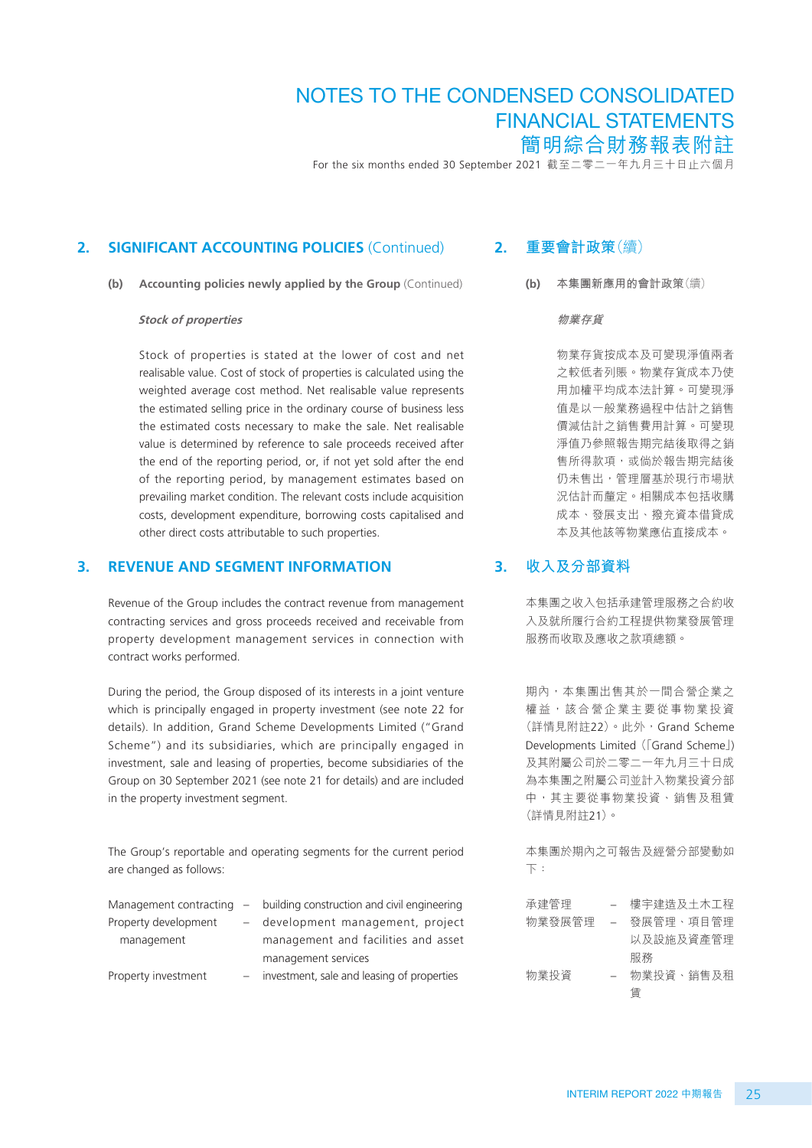For the six months ended 30 September 2021 截至二零二一年九月三十日止六個月

#### **2. SIGNIFICANT ACCOUNTING POLICIES** (Continued)

**(b) Accounting policies newly applied by the Group** (Continued)

#### **Stock of properties**

Stock of properties is stated at the lower of cost and net realisable value. Cost of stock of properties is calculated using the weighted average cost method. Net realisable value represents the estimated selling price in the ordinary course of business less the estimated costs necessary to make the sale. Net realisable value is determined by reference to sale proceeds received after the end of the reporting period, or, if not yet sold after the end of the reporting period, by management estimates based on prevailing market condition. The relevant costs include acquisition costs, development expenditure, borrowing costs capitalised and other direct costs attributable to such properties.

#### **3. REVENUE AND SEGMENT INFORMATION**

Revenue of the Group includes the contract revenue from management contracting services and gross proceeds received and receivable from property development management services in connection with contract works performed.

During the period, the Group disposed of its interests in a joint venture which is principally engaged in property investment (see note 22 for details). In addition, Grand Scheme Developments Limited ("Grand Scheme") and its subsidiaries, which are principally engaged in investment, sale and leasing of properties, become subsidiaries of the Group on 30 September 2021 (see note 21 for details) and are included in the property investment segment.

The Group's reportable and operating segments for the current period are changed as follows:

|                      | Management contracting $-$ building construction and civil engineering |
|----------------------|------------------------------------------------------------------------|
| Property development | - development management, project                                      |
| management           | management and facilities and asset                                    |
|                      | management services                                                    |
| Property investment  | - investment, sale and leasing of properties                           |
|                      |                                                                        |

#### **2. 重要會計政策**(續)

**(b) 本集團新應用的會計政策**(續)

**物業存貨**

物業存貨按成本及可變現淨值兩者 之較低者列賬。物業存貨成本乃使 用加權平均成本法計算。可變現淨 值是以一般業務過程中估計之銷售 價減估計之銷售費用計算。可變現 淨值乃參照報告期完結後取得之銷 售所得款項,或倘於報告期完結後 仍未售出,管理層基於現行市場狀 況估計而釐定。相關成本包括收購 成本、發展支出、撥充資本借貸成 本及其他該等物業應佔直接成本。

#### **3. 收入及分部資料**

本集團之收入包括承建管理服務之合約收 入及就所履行合約工程提供物業發展管理 服務而收取及應收之款項總額。

期內,本集團出售其於一間合營企業之 權益,該合營企業主要從事物業投資 (詳情見附註22)。此外,Grand Scheme Developments Limited (「Grand Scheme」) 及其附屬公司於二零二一年九月三十日成 為本集團之附屬公司並計入物業投資分部 中,其主要從事物業投資、銷售及租賃 (詳情見附註21)。

本集團於期內之可報告及經營分部變動如 下:

| 承建管理   |     | 樓宇建造及土木工程 |
|--------|-----|-----------|
| 物業發展管理 | $-$ | 發展管理、項目管理 |
|        |     | 以及設施及資產管理 |
|        |     | 服務        |
| 物業投資   | $=$ | 物業投資、銷售及租 |
|        |     | 賃         |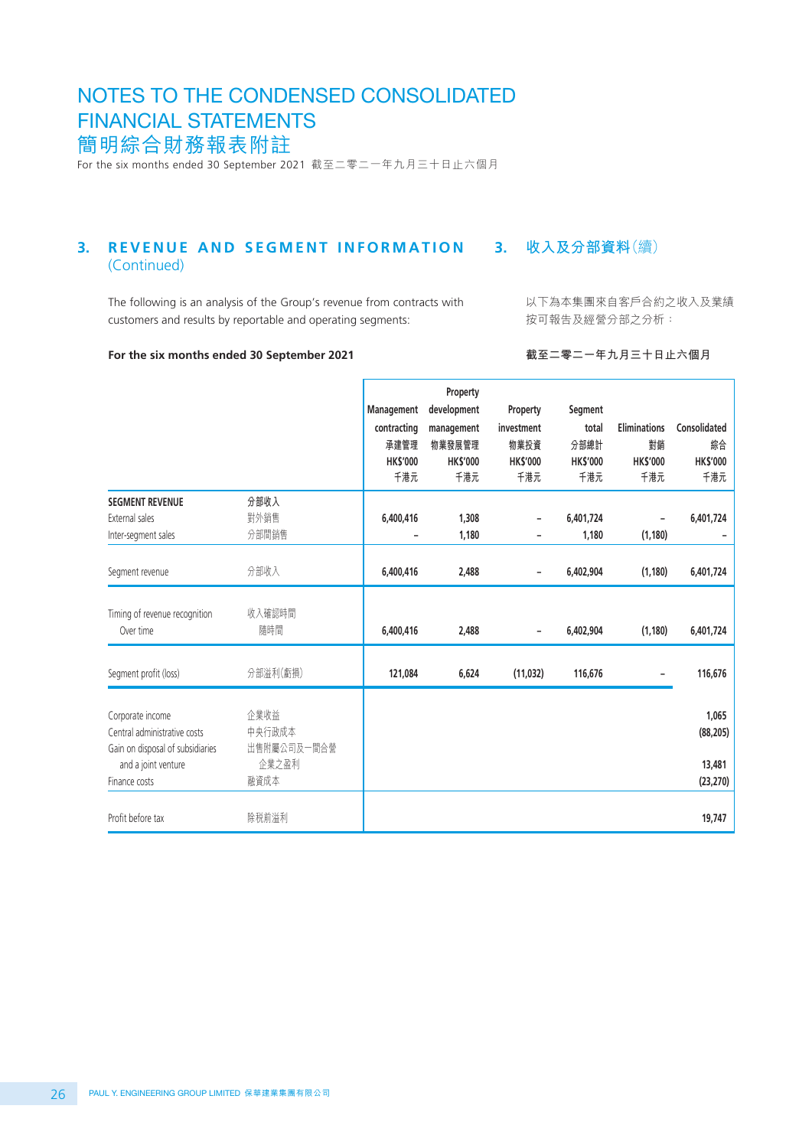For the six months ended 30 September 2021 截至二零二一年九月三十日止六個月

#### **3. 收入及分部資料**(續) **3. REVENUE AND SEGMENT INFORMATION** (Continued)

The following is an analysis of the Group's revenue from contracts with customers and results by reportable and operating segments:

以下為本集團來自客戶合約之收入及業績 按可報告及經營分部之分析:

#### **For the six months ended 30 September 2021**

**截至二零二一年九月三十日止六個月**

|                                                                                                                              |                                                | Management<br>contracting<br>承建管理<br><b>HK\$'000</b><br>千港元 | Property<br>development<br>management<br>物業發展管理<br><b>HK\$'000</b><br>千港元 | Property<br>investment<br>物業投資<br><b>HK\$'000</b><br>千港元 | Segment<br>total<br>分部總計<br><b>HKS'000</b><br>千港元 | <b>Eliminations</b><br>對銷<br><b>HK\$'000</b><br>千港元 | Consolidated<br>綜合<br><b>HK\$'000</b><br>千港元 |
|------------------------------------------------------------------------------------------------------------------------------|------------------------------------------------|-------------------------------------------------------------|---------------------------------------------------------------------------|----------------------------------------------------------|---------------------------------------------------|-----------------------------------------------------|----------------------------------------------|
| <b>SEGMENT REVENUE</b><br>External sales<br>Inter-segment sales                                                              | 分部收入<br>對外銷售<br>分部間銷售                          | 6,400,416                                                   | 1,308<br>1,180                                                            |                                                          | 6,401,724<br>1,180                                | (1, 180)                                            | 6,401,724                                    |
| Segment revenue                                                                                                              | 分部收入                                           | 6,400,416                                                   | 2,488                                                                     | -                                                        | 6,402,904                                         | (1, 180)                                            | 6,401,724                                    |
| Timing of revenue recognition<br>Over time                                                                                   | 收入確認時間<br>隨時間                                  | 6,400,416                                                   | 2,488                                                                     | -                                                        | 6,402,904                                         | (1, 180)                                            | 6,401,724                                    |
| Segment profit (loss)                                                                                                        | 分部溢利(虧損)                                       | 121,084                                                     | 6,624                                                                     | (11, 032)                                                | 116,676                                           |                                                     | 116,676                                      |
| Corporate income<br>Central administrative costs<br>Gain on disposal of subsidiaries<br>and a joint venture<br>Finance costs | 企業收益<br>中央行政成本<br>出售附屬公司及一間合營<br>企業之盈利<br>融資成本 |                                                             |                                                                           |                                                          |                                                   |                                                     | 1,065<br>(88, 205)<br>13,481<br>(23, 270)    |
| Profit before tax                                                                                                            | 除税前溢利                                          |                                                             |                                                                           |                                                          |                                                   |                                                     | 19,747                                       |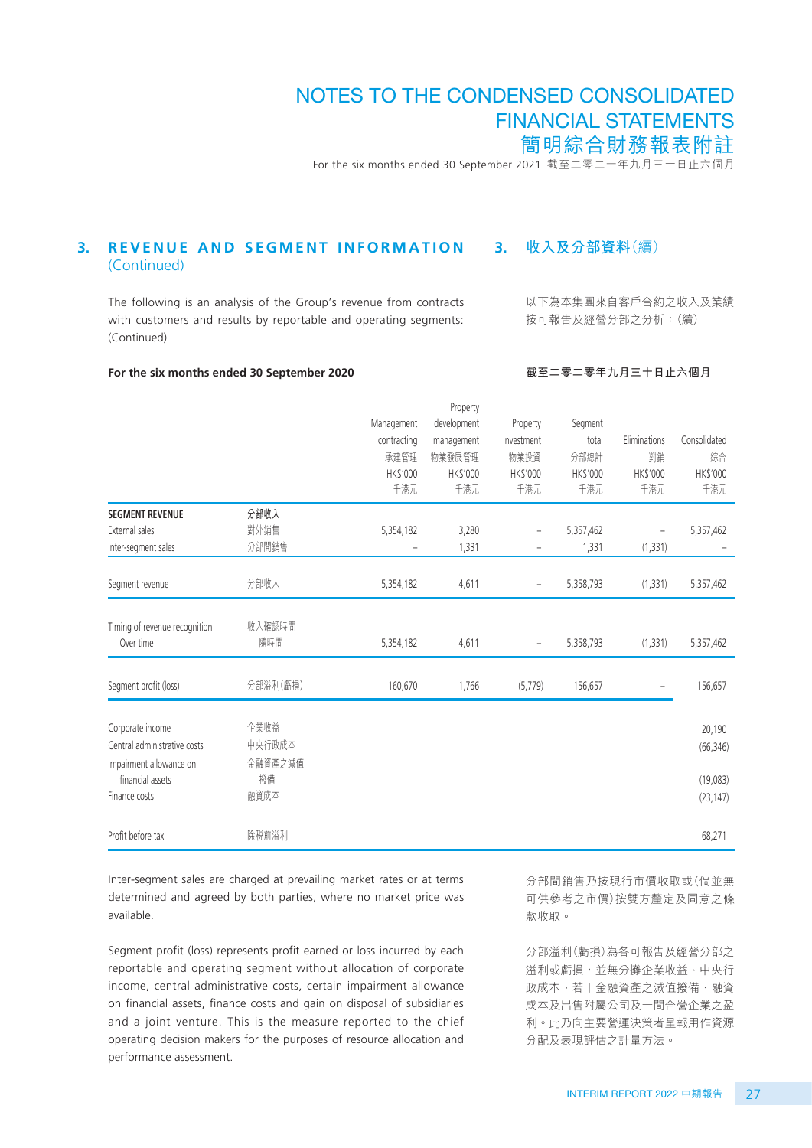For the six months ended 30 September 2021 截至二零二一年九月三十日止六個月

#### **3. 收入及分部資料**(續) **3. REVENUE AND SEGMENT INFORMATION** (Continued)

The following is an analysis of the Group's revenue from contracts with customers and results by reportable and operating segments: (Continued)

**For the six months ended 30 September 2020**

# **截至二零二零年九月三十日止六個月**

以下為本集團來自客戶合約之收入及業績 按可報告及經營分部之分析:(續)

|                               |          |                          | Property        |                          |           |                          |              |
|-------------------------------|----------|--------------------------|-----------------|--------------------------|-----------|--------------------------|--------------|
|                               |          | Management               | development     | Property                 | Segment   |                          |              |
|                               |          | contracting              | management      | investment               | total     | Eliminations             | Consolidated |
|                               |          | 承建管理                     | 物業發展管理          | 物業投資                     | 分部總計      | 對銷                       | 綜合           |
|                               |          | HK\$'000                 | <b>HK\$'000</b> | <b>HK\$'000</b>          | HK\$'000  | HK\$'000                 | HK\$'000     |
|                               |          | 千港元                      | 千港元             | 千港元                      | 千港元       | 千港元                      | 千港元          |
| <b>SEGMENT REVENUE</b>        | 分部收入     |                          |                 |                          |           |                          |              |
| External sales                | 對外銷售     | 5,354,182                | 3,280           | $\overline{\phantom{0}}$ | 5,357,462 | $\overline{\phantom{a}}$ | 5,357,462    |
| Inter-segment sales           | 分部間銷售    | $\overline{\phantom{0}}$ | 1,331           | $\qquad \qquad -$        | 1,331     | (1, 331)                 |              |
| Segment revenue               | 分部收入     | 5,354,182                | 4,611           | $\qquad \qquad -$        | 5,358,793 | (1, 331)                 | 5,357,462    |
|                               |          |                          |                 |                          |           |                          |              |
| Timing of revenue recognition | 收入確認時間   |                          |                 |                          |           |                          |              |
| Over time                     | 隨時間      | 5,354,182                | 4,611           | $\overline{\phantom{0}}$ | 5,358,793 | (1, 331)                 | 5,357,462    |
|                               |          |                          |                 |                          |           |                          |              |
| Segment profit (loss)         | 分部溢利(虧損) | 160,670                  | 1,766           | (5,779)                  | 156,657   |                          | 156,657      |
|                               |          |                          |                 |                          |           |                          |              |
| Corporate income              | 企業收益     |                          |                 |                          |           |                          | 20,190       |
| Central administrative costs  | 中央行政成本   |                          |                 |                          |           |                          | (66, 346)    |
| Impairment allowance on       | 金融資產之減值  |                          |                 |                          |           |                          |              |
| financial assets              | 撥備       |                          |                 |                          |           |                          | (19,083)     |
| Finance costs                 | 融資成本     |                          |                 |                          |           |                          | (23, 147)    |
| Profit before tax             | 除税前溢利    |                          |                 |                          |           |                          | 68,271       |
|                               |          |                          |                 |                          |           |                          |              |

Inter-segment sales are charged at prevailing market rates or at terms determined and agreed by both parties, where no market price was available.

Segment profit (loss) represents profit earned or loss incurred by each reportable and operating segment without allocation of corporate income, central administrative costs, certain impairment allowance on financial assets, finance costs and gain on disposal of subsidiaries and a joint venture. This is the measure reported to the chief operating decision makers for the purposes of resource allocation and performance assessment.

分部間銷售乃按現行市價收取或(倘並無 可供參考之市價)按雙方釐定及同意之條 款收取。

分部溢利(虧損)為各可報告及經營分部之 溢利或虧損,並無分攤企業收益、中央行 政成本、若干金融資產之減值撥備、融資 成本及出售附屬公司及一間合營企業之盈 利。此乃向主要營運決策者呈報用作資源 分配及表現評估之計量方法。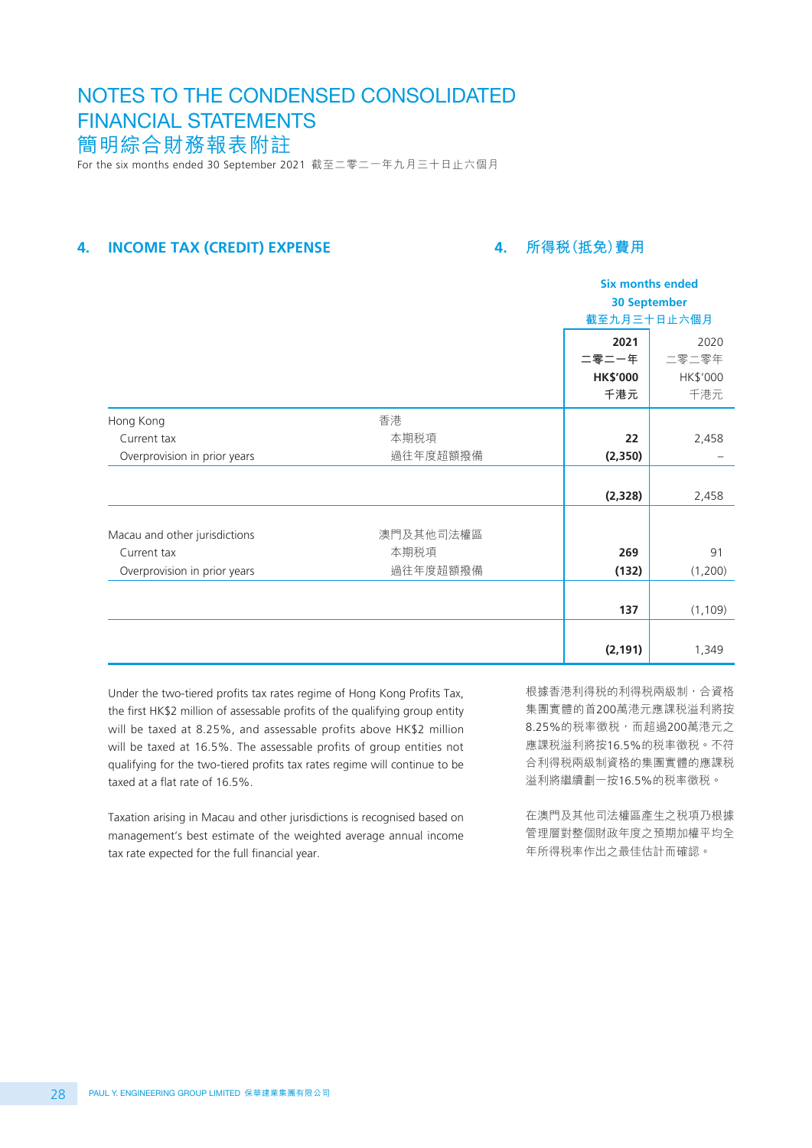## For the six months ended 30 September 2021 截至二零二一年九月三十日止六個月 NOTES TO THE CONDENSED CONSOLIDATED FINANCIAL STATEMENTS 簡明綜合財務報表附註

## **4. INCOME TAX (CREDIT) EXPENSE**

## **4. 所得稅(抵免)費用**

|                               |           |                          | <b>Six months ended</b><br><b>30 September</b> |  |
|-------------------------------|-----------|--------------------------|------------------------------------------------|--|
|                               |           | 截至九月三十日止六個月              |                                                |  |
|                               |           | 2021                     | 2020                                           |  |
|                               |           | 二零二一年<br><b>HK\$'000</b> | 二零二零年<br>HK\$'000                              |  |
|                               |           | 千港元                      | 千港元                                            |  |
| Hong Kong                     | 香港        |                          |                                                |  |
| Current tax                   | 本期税項      | 22                       | 2,458                                          |  |
| Overprovision in prior years  | 過往年度超額撥備  | (2, 350)                 |                                                |  |
|                               |           |                          |                                                |  |
|                               |           | (2,328)                  | 2,458                                          |  |
|                               |           |                          |                                                |  |
| Macau and other jurisdictions | 澳門及其他司法權區 |                          |                                                |  |
| Current tax                   | 本期税項      | 269                      | 91                                             |  |
| Overprovision in prior years  | 過往年度超額撥備  | (132)                    | (1,200)                                        |  |
|                               |           |                          |                                                |  |
|                               |           | 137                      | (1, 109)                                       |  |
|                               |           |                          |                                                |  |
|                               |           | (2, 191)                 | 1,349                                          |  |

Under the two-tiered profits tax rates regime of Hong Kong Profits Tax, the first HK\$2 million of assessable profits of the qualifying group entity will be taxed at 8.25%, and assessable profits above HK\$2 million will be taxed at 16.5%. The assessable profits of group entities not qualifying for the two-tiered profits tax rates regime will continue to be taxed at a flat rate of 16.5%.

Taxation arising in Macau and other jurisdictions is recognised based on management's best estimate of the weighted average annual income tax rate expected for the full financial year.

根據香港利得税的利得税兩級制,合資格 集團實體的首200萬港元應課稅溢利將按 8.25%的稅率徵稅,而超過200萬港元之 應課稅溢利將按16.5%的稅率徵稅。不符 合利得稅兩級制資格的集團實體的應課稅 溢利將繼續劃一按16.5%的稅率徵稅。

在澳門及其他司法權區產生之稅項乃根據 管理層對整個財政年度之預期加權平均全 年所得稅率作出之最佳估計而確認。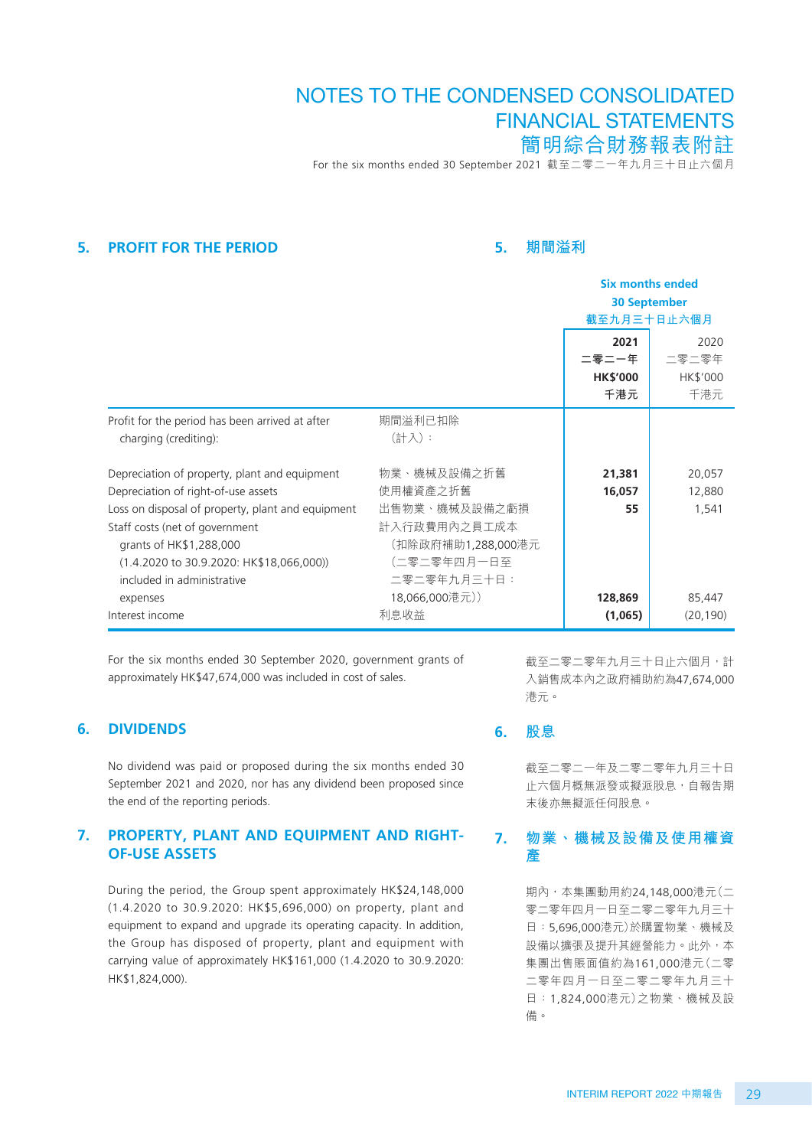For the six months ended 30 September 2021 截至二零二一年九月三十日止六個月

#### **5. PROFIT FOR THE PERIOD**

## **5. 期間溢利**

|                                                     |                     | <b>Six months ended</b> |           |
|-----------------------------------------------------|---------------------|-------------------------|-----------|
|                                                     |                     | <b>30 September</b>     |           |
|                                                     |                     | 截至九月三十日止六個月             |           |
|                                                     |                     | 2021                    | 2020      |
|                                                     |                     | 二零二一年                   | 二零二零年     |
|                                                     |                     | <b>HK\$'000</b>         | HK\$'000  |
|                                                     |                     | 千港元                     | 千港元       |
| Profit for the period has been arrived at after     | 期間溢利已扣除             |                         |           |
| charging (crediting):                               | (計入):               |                         |           |
|                                                     |                     |                         |           |
| Depreciation of property, plant and equipment       | 物業、機械及設備之折舊         | 21,381                  | 20,057    |
| Depreciation of right-of-use assets                 | 使用權資產之折舊            | 16,057                  | 12,880    |
| Loss on disposal of property, plant and equipment   | 出售物業、機械及設備之虧損       | 55                      | 1,541     |
| Staff costs (net of government                      | 計入行政費用內之員工成本        |                         |           |
| grants of HK\$1,288,000                             | (扣除政府補助1,288,000港元) |                         |           |
| $(1.4.2020 \text{ to } 30.9.2020$ : HK\$18,066,000) | (二零二零年四月一日至         |                         |           |
| included in administrative                          | 二零二零年九月三十日:         |                         |           |
| expenses                                            | 18,066,000港元))      | 128,869                 | 85,447    |
| Interest income                                     | 利息收益                | (1,065)                 | (20, 190) |

For the six months ended 30 September 2020, government grants of approximately HK\$47,674,000 was included in cost of sales.

#### **6. DIVIDENDS**

No dividend was paid or proposed during the six months ended 30 September 2021 and 2020, nor has any dividend been proposed since the end of the reporting periods.

#### **7. PROPERTY, PLANT AND EQUIPMENT AND RIGHT-OF-USE ASSETS**

During the period, the Group spent approximately HK\$24,148,000 (1.4.2020 to 30.9.2020: HK\$5,696,000) on property, plant and equipment to expand and upgrade its operating capacity. In addition, the Group has disposed of property, plant and equipment with carrying value of approximately HK\$161,000 (1.4.2020 to 30.9.2020: HK\$1,824,000).

截至二零二零年九月三十日止六個月,計 入銷售成本內之政府補助約為47,674,000 港元。

#### **6. 股息**

截至二零二一年及二零二零年九月三十日 止六個月概無派發或擬派股息,自報告期 末後亦無擬派任何股息。

#### **7. 物業、機械及設備及使用權資 產**

期內,本集團動用約24,148,000港元(二 零二零年四月一日至二零二零年九月三十 日:5,696,000港元)於購置物業、機械及 設備以擴張及提升其經營能力。此外,本 集團出售賬面值約為161,000港元(二零 二零年四月一日至二零二零年九月三十 日:1,824,000港元)之物業、機械及設 備。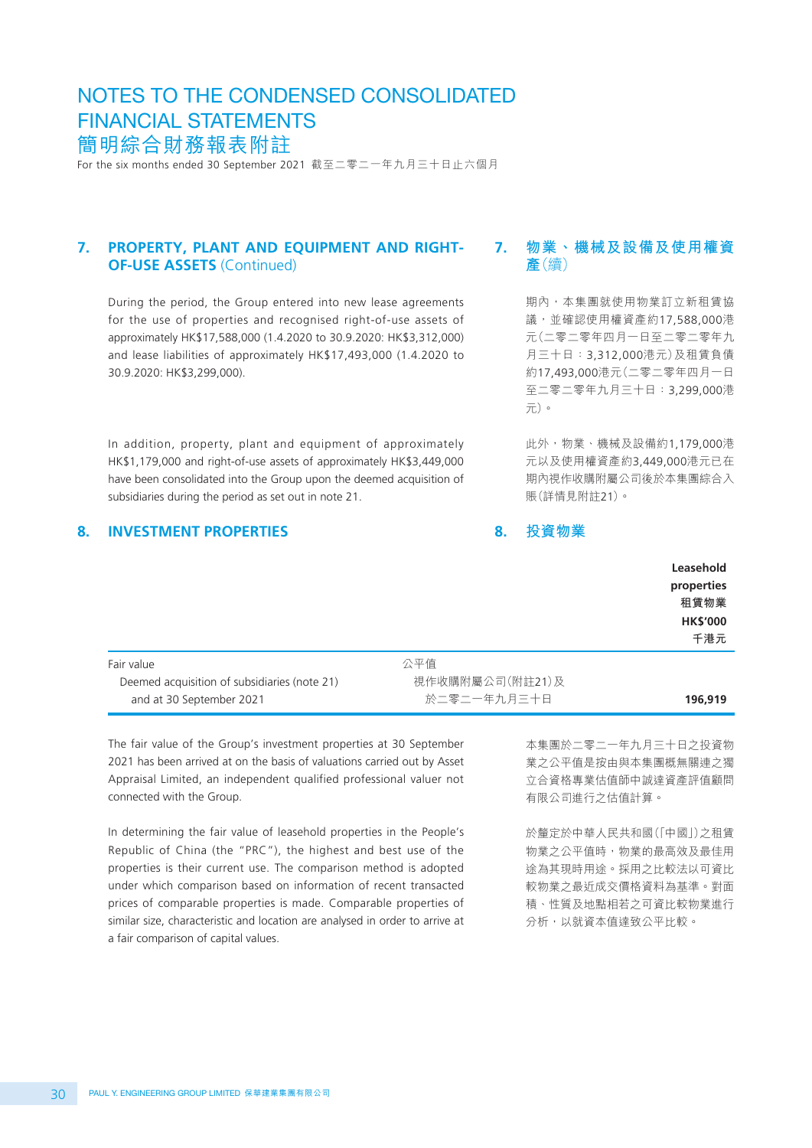For the six months ended 30 September 2021 截至二零二一年九月三十日止六個月

#### **7. PROPERTY, PLANT AND EQUIPMENT AND RIGHT-OF-USE ASSETS** (Continued)

During the period, the Group entered into new lease agreements for the use of properties and recognised right-of-use assets of approximately HK\$17,588,000 (1.4.2020 to 30.9.2020: HK\$3,312,000) and lease liabilities of approximately HK\$17,493,000 (1.4.2020 to 30.9.2020: HK\$3,299,000).

In addition, property, plant and equipment of approximately HK\$1,179,000 and right-of-use assets of approximately HK\$3,449,000 have been consolidated into the Group upon the deemed acquisition of subsidiaries during the period as set out in note 21.

#### **8. INVESTMENT PROPERTIES**

## **7. 物業、機械及設備及使用權資 產**(續)

期內,本集團就使用物業訂立新租賃協 議,並確認使用權資產約17,588,000港 元(二零二零年四月一日至二零二零年九 月三十日:3,312,000港元)及租賃負債 約17,493,000港元(二零二零年四月一日 至二零二零年九月三十日:3,299,000港 元)。

此外,物業、機械及設備約1,179,000港 元以及使用權資產約3,449,000港元已在 期內視作收購附屬公司後於本集團綜合入 賬(詳情見附註21)。

#### **8. 投資物業**

|                                              |                 | Leasehold<br>properties<br>租賃物業<br><b>HK\$'000</b><br>千港元 |
|----------------------------------------------|-----------------|-----------------------------------------------------------|
| Fair value                                   | 公平值             |                                                           |
| Deemed acquisition of subsidiaries (note 21) | 視作收購附屬公司(附註21)及 |                                                           |
| and at 30 September 2021                     | 於二零二一年九月三十日     | 196,919                                                   |

The fair value of the Group's investment properties at 30 September 2021 has been arrived at on the basis of valuations carried out by Asset Appraisal Limited, an independent qualified professional valuer not connected with the Group.

In determining the fair value of leasehold properties in the People's Republic of China (the "PRC"), the highest and best use of the properties is their current use. The comparison method is adopted under which comparison based on information of recent transacted prices of comparable properties is made. Comparable properties of similar size, characteristic and location are analysed in order to arrive at a fair comparison of capital values.

本集團於二零二一年九月三十日之投資物 業之公平值是按由與本集團概無關連之獨 立合資格專業估值師中誠達資產評值顧問 有限公司進行之估值計算。

於釐定於中華人民共和國(「中國」)之租賃 物業之公平值時,物業的最高效及最佳用 途為其現時用途。採用之比較法以可資比 較物業之最近成交價格資料為基準。對面 積、性質及地點相若之可資比較物業進行 分析,以就資本值達致公平比較。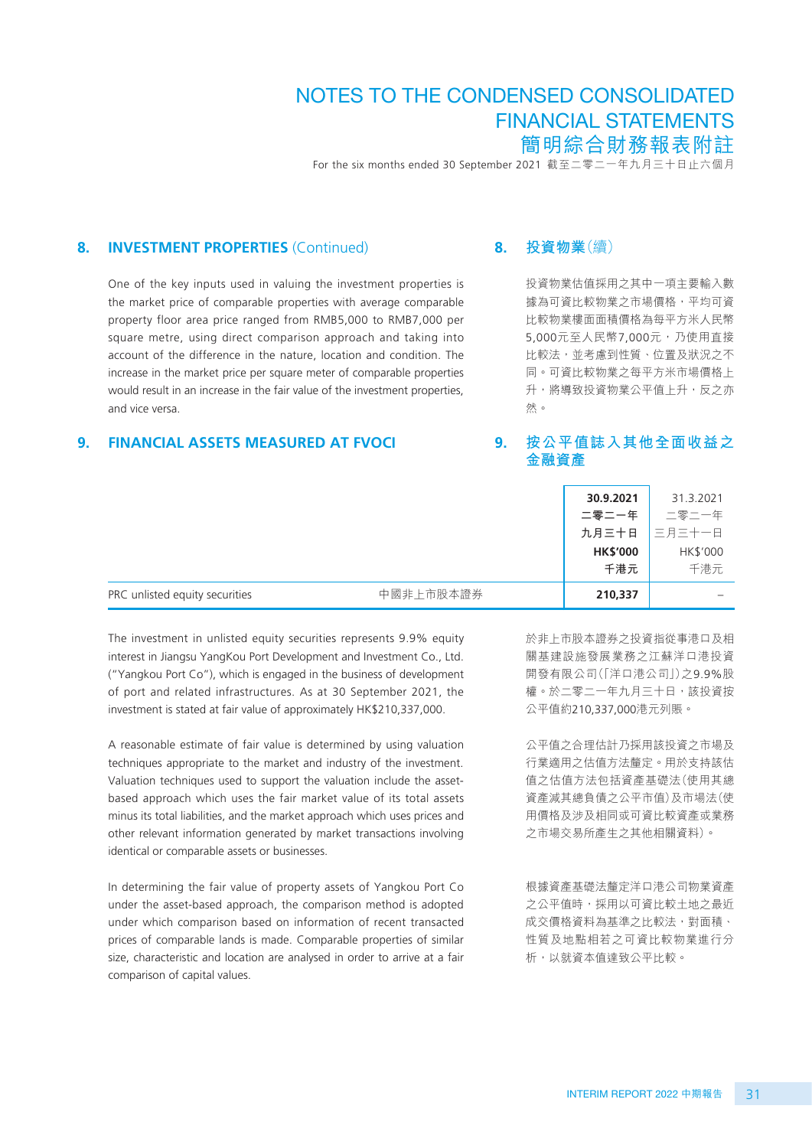For the six months ended 30 September 2021 截至二零二一年九月三十日止六個月

#### **8. INVESTMENT PROPERTIES** (Continued)

One of the key inputs used in valuing the investment properties is the market price of comparable properties with average comparable property floor area price ranged from RMB5,000 to RMB7,000 per square metre, using direct comparison approach and taking into account of the difference in the nature, location and condition. The increase in the market price per square meter of comparable properties would result in an increase in the fair value of the investment properties, and vice versa.

## **9. FINANCIAL ASSETS MEASURED AT FVOCI**

#### **8. 投資物業**(續)

投資物業估值採用之其中一項主要輸入數 據為可資比較物業之市場價格,平均可資 比較物業樓面面積價格為每平方米人民幣 5,000元至人民幣7,000元,乃使用直接 比較法,並考慮到性質、位置及狀況之不 同。可資比較物業之每平方米市場價格上 升,將導致投資物業公平值上升,反之亦 然。

## **9. 按公平值誌入其他全面收益之 金融資產**

|                                |           | 30.9.2021       | 31.3.2021 |
|--------------------------------|-----------|-----------------|-----------|
|                                |           | 二零二一年           | 二零二一年     |
|                                |           | 九月三十日           | 三月三十一日    |
|                                |           | <b>HK\$'000</b> | HK\$'000  |
|                                |           | 千港元             | 千港元       |
| PRC unlisted equity securities | 中國非上市股本證券 | 210,337         |           |

The investment in unlisted equity securities represents 9.9% equity interest in Jiangsu YangKou Port Development and Investment Co., Ltd. ("Yangkou Port Co"), which is engaged in the business of development of port and related infrastructures. As at 30 September 2021, the investment is stated at fair value of approximately HK\$210,337,000.

A reasonable estimate of fair value is determined by using valuation techniques appropriate to the market and industry of the investment. Valuation techniques used to support the valuation include the assetbased approach which uses the fair market value of its total assets minus its total liabilities, and the market approach which uses prices and other relevant information generated by market transactions involving identical or comparable assets or businesses.

In determining the fair value of property assets of Yangkou Port Co under the asset-based approach, the comparison method is adopted under which comparison based on information of recent transacted prices of comparable lands is made. Comparable properties of similar size, characteristic and location are analysed in order to arrive at a fair comparison of capital values.

於非上市股本證券之投資指從事港口及相 關基建設施發展業務之江蘇洋口港投資 開發有限公司(「洋口港公司」)之9.9%股 權。於二零二一年九月三十日,該投資按 公平值約210,337,000港元列賬。

公平值之合理估計乃採用該投資之市場及 行業適用之估值方法釐定。用於支持該估 值之估值方法包括資產基礎法(使用其總 資產減其總負債之公平市值)及市場法(使 用價格及涉及相同或可資比較資產或業務 之市場交易所產生之其他相關資料)。

根據資產基礎法釐定洋口港公司物業資產 之公平值時,採用以可資比較土地之最近 成交價格資料為基準之比較法,對面積、 性質及地點相若之可資比較物業進行分 析,以就資本值達致公平比較。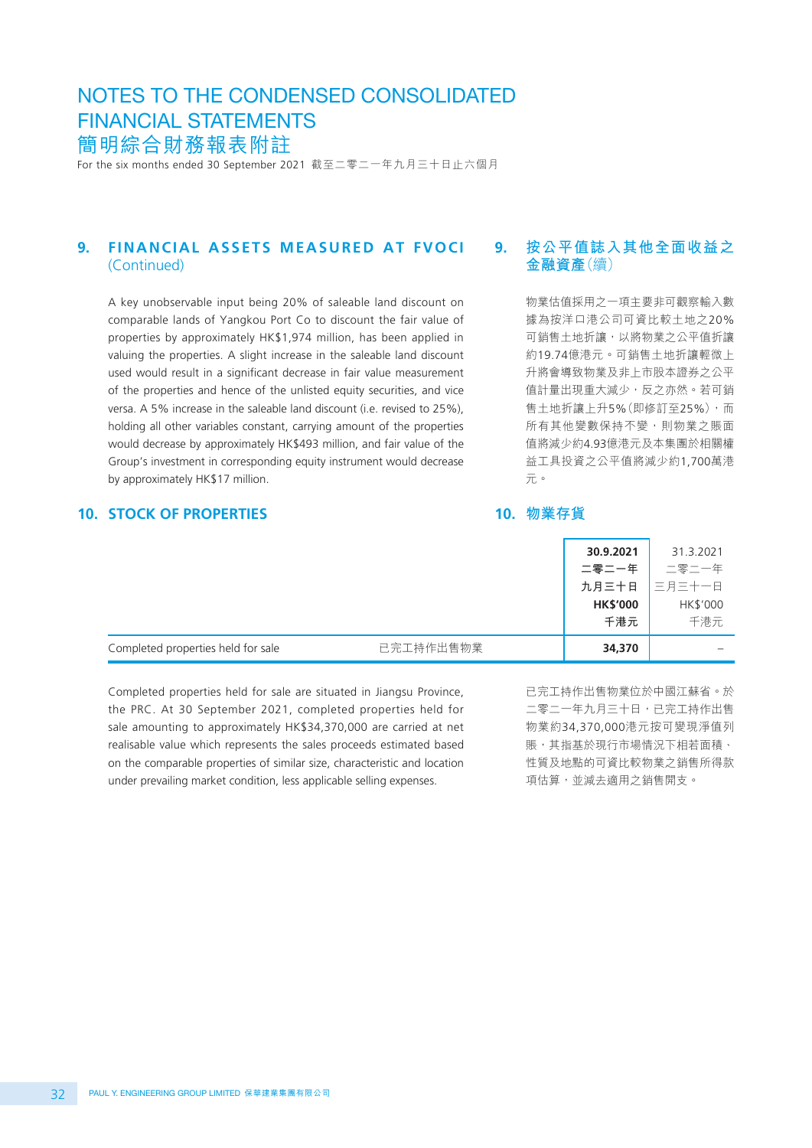For the six months ended 30 September 2021 截至二零二一年九月三十日止六個月

#### **9. FINANCIAL ASSETS MEASURED AT FVOCI**  (Continued)

A key unobservable input being 20% of saleable land discount on comparable lands of Yangkou Port Co to discount the fair value of properties by approximately HK\$1,974 million, has been applied in valuing the properties. A slight increase in the saleable land discount used would result in a significant decrease in fair value measurement of the properties and hence of the unlisted equity securities, and vice versa. A 5% increase in the saleable land discount (i.e. revised to 25%), holding all other variables constant, carrying amount of the properties would decrease by approximately HK\$493 million, and fair value of the Group's investment in corresponding equity instrument would decrease by approximately HK\$17 million.

## **10. STOCK OF PROPERTIES**

## **9. 按公平值誌入其他全面收益之 金融資產**(續)

物業估值採用之一項主要非可觀察輸入數 據為按洋口港公司可資比較土地之20% 可銷售土地折讓,以將物業之公平值折讓 約19.74億港元。可銷售土地折讓輕微上 升將會導致物業及非上市股本證券之公平 值計量出現重大減少,反之亦然。若可銷 售土地折讓上升5%(即修訂至25%),而 所有其他變數保持不變,則物業之賬面 值將減少約4.93億港元及本集團於相關權 益工具投資之公平值將減少約1,700萬港 元。

#### **10. 物業存貨**

|                                    |           | 30.9.2021       | 31.3.2021 |
|------------------------------------|-----------|-----------------|-----------|
|                                    |           | 二零二一年           | 二零二一年     |
|                                    |           | 九月三十日           | 三月三十一日    |
|                                    |           | <b>HK\$'000</b> | HK\$'000  |
|                                    |           | 千港元             | 千港元       |
| Completed properties held for sale | 已完工持作出售物業 | 34,370          |           |

Completed properties held for sale are situated in Jiangsu Province, the PRC. At 30 September 2021, completed properties held for sale amounting to approximately HK\$34,370,000 are carried at net realisable value which represents the sales proceeds estimated based on the comparable properties of similar size, characteristic and location under prevailing market condition, less applicable selling expenses.

已完工持作出售物業位於中國江蘇省。於 二零二一年九月三十日,已完工持作出售 物業約34,370,000港元按可變現淨值列 賬,其指基於現行市場情況下相若面積、 性質及地點的可資比較物業之銷售所得款 項估算,並減去適用之銷售開支。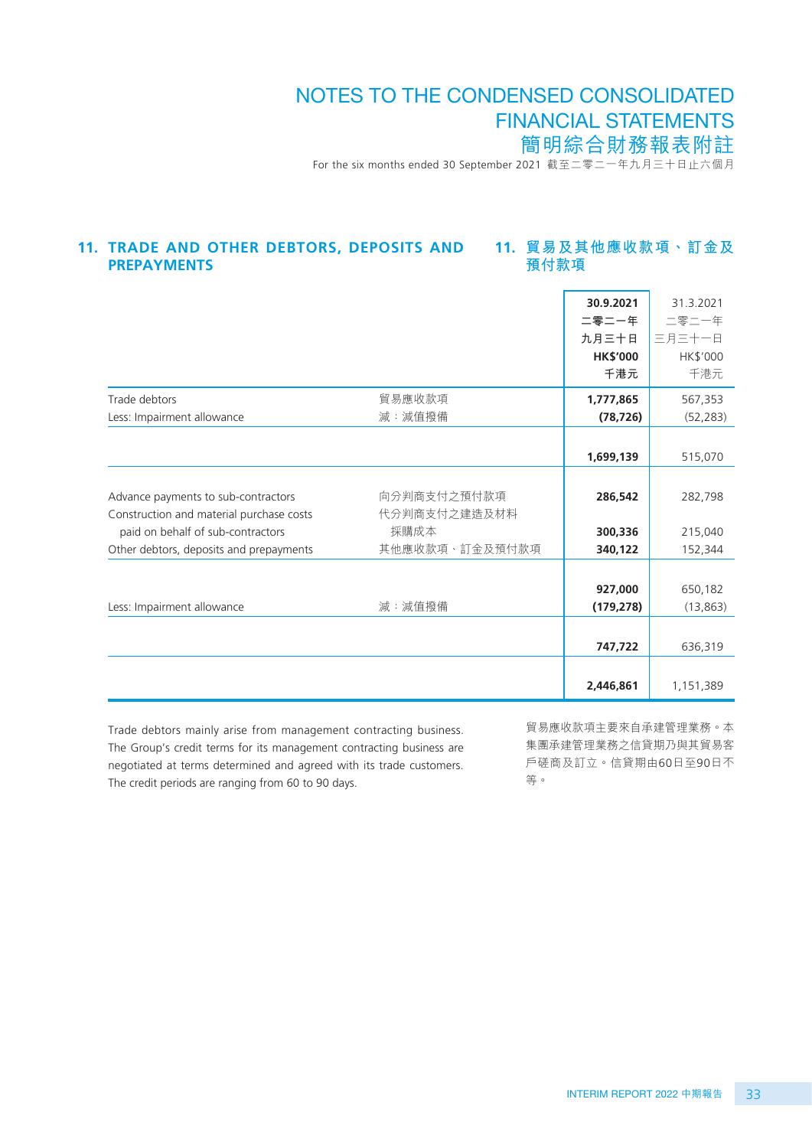For the six months ended 30 September 2021 截至二零二一年九月三十日止六個月

#### **11. 貿易及其他應收款項、訂金及 預付款項 11. TRADE AND OTHER DEBTORS, DEPOSITS AND PREPAYMENTS**

|                                                                                 |                             | 30.9.2021<br>二零二一年<br>九月三十日<br><b>HK\$'000</b><br>千港元 | 31.3.2021<br>二零二一年<br>三月三十一日<br>HK\$'000<br>千港元 |
|---------------------------------------------------------------------------------|-----------------------------|-------------------------------------------------------|-------------------------------------------------|
| Trade debtors                                                                   | 貿易應收款項                      | 1,777,865                                             | 567,353                                         |
| Less: Impairment allowance                                                      | 減:減值撥備                      | (78, 726)                                             | (52, 283)                                       |
|                                                                                 |                             | 1,699,139                                             | 515,070                                         |
| Advance payments to sub-contractors<br>Construction and material purchase costs | 向分判商支付之預付款項<br>代分判商支付之建造及材料 | 286,542                                               | 282,798                                         |
| paid on behalf of sub-contractors                                               | 採購成本                        | 300,336                                               | 215,040                                         |
| Other debtors, deposits and prepayments                                         | 其他應收款項、訂金及預付款項              | 340,122                                               | 152,344                                         |
| Less: Impairment allowance                                                      | 減:減值撥備                      | 927,000<br>(179, 278)                                 | 650,182<br>(13, 863)                            |
|                                                                                 |                             | 747,722                                               | 636,319                                         |
|                                                                                 |                             | 2,446,861                                             | 1,151,389                                       |

Trade debtors mainly arise from management contracting business. The Group's credit terms for its management contracting business are negotiated at terms determined and agreed with its trade customers. The credit periods are ranging from 60 to 90 days.

貿易應收款項主要來自承建管理業務。本 集團承建管理業務之信貸期乃與其貿易客 戶磋商及訂立。信貸期由60日至90日不 等。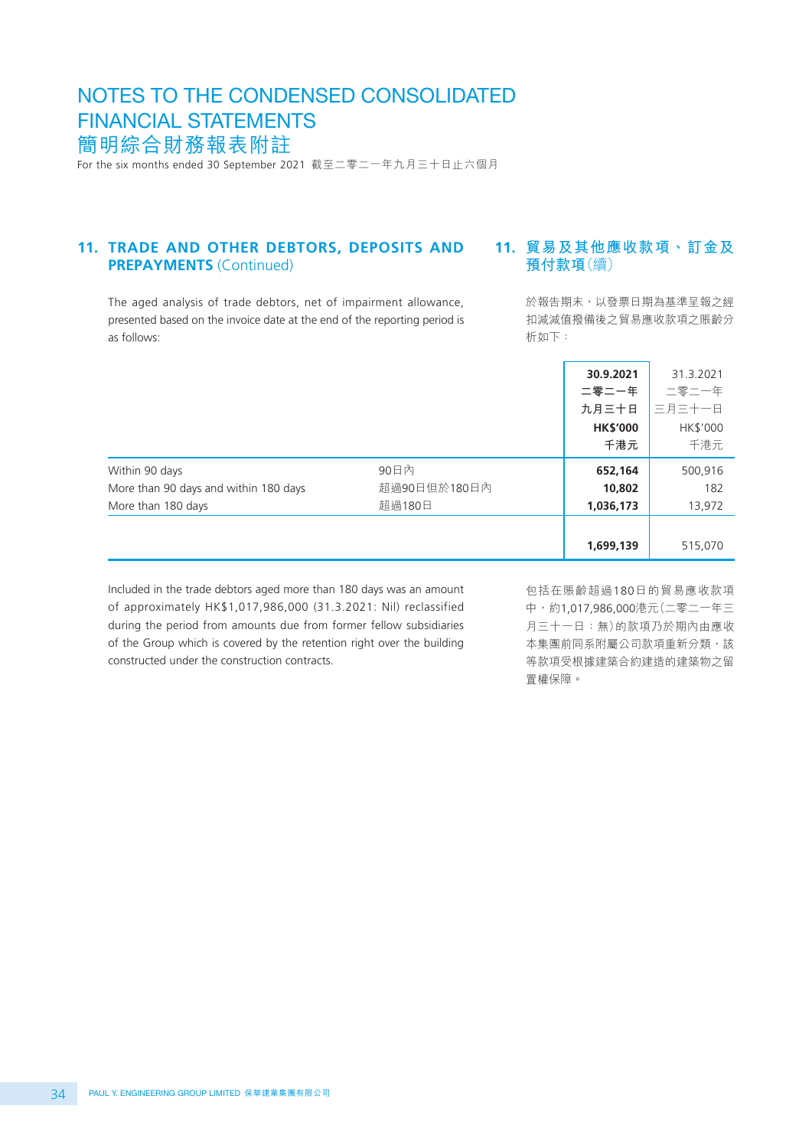For the six months ended 30 September 2021 截至二零二一年九月三十日止六個月

#### **11. TRADE AND OTHER DEBTORS, DEPOSITS AND PREPAYMENTS** (Continued)

The aged analysis of trade debtors, net of impairment allowance, presented based on the invoice date at the end of the reporting period is as follows:

## **11. 貿易及其他應收款項、訂金及 預付款項**(續)

於報告期末,以發票日期為基準呈報之經 扣減減值撥備後之貿易應收款項之賬齡分 析如下:

|                                                         |                      | 30.9.2021<br>二零二一年<br>九月三十日<br><b>HK\$'000</b><br>千港元 | 31.3.2021<br>二零二一年<br>三月三十一日<br>HK\$'000<br>千港元 |
|---------------------------------------------------------|----------------------|-------------------------------------------------------|-------------------------------------------------|
| Within 90 days<br>More than 90 days and within 180 days | 90日内<br>超過90日但於180日內 | 652,164<br>10,802                                     | 500,916<br>182                                  |
| More than 180 days                                      | 超過180日               | 1,036,173<br>1,699,139                                | 13,972<br>515,070                               |

Included in the trade debtors aged more than 180 days was an amount of approximately HK\$1,017,986,000 (31.3.2021: Nil) reclassified during the period from amounts due from former fellow subsidiaries of the Group which is covered by the retention right over the building constructed under the construction contracts.

包括在賬齡超過180日的貿易應收款項 中,約1,017,986,000港元(二零二一年三 月三十一日:無)的款項乃於期內由應收 本集團前同系附屬公司款項重新分類,該 等款項受根據建築合約建造的建築物之留 置權保障。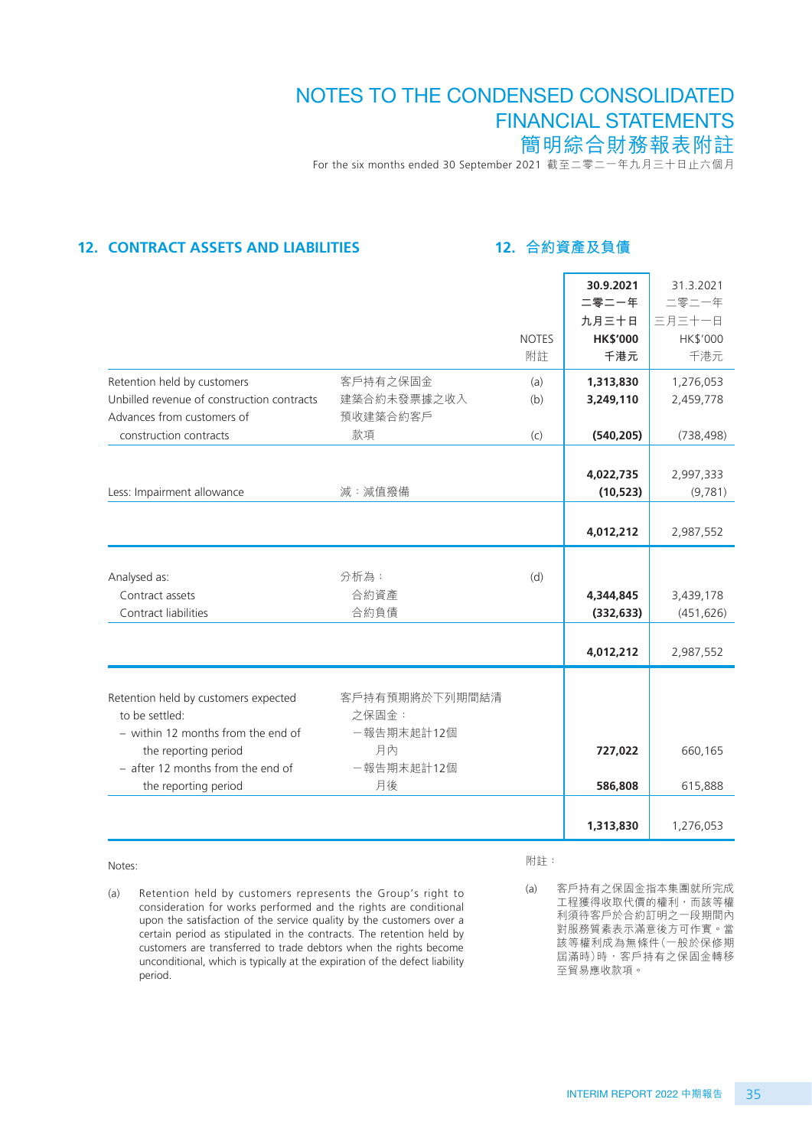For the six months ended 30 September 2021 截至二零二一年九月三十日止六個月

## **12. CONTRACT ASSETS AND LIABILITIES**

## **12. 合約資產及負債**

|                                                                                                         |                                       |                    | 30.9.2021<br>二零二一年<br>九月三十日 | 31.3.2021<br>二零二一年<br>三月三十一日 |
|---------------------------------------------------------------------------------------------------------|---------------------------------------|--------------------|-----------------------------|------------------------------|
|                                                                                                         |                                       | <b>NOTES</b><br>附註 | <b>HK\$'000</b><br>千港元      | HK\$'000<br>千港元              |
| Retention held by customers<br>Unbilled revenue of construction contracts<br>Advances from customers of | 客戶持有之保固金<br>建築合約未發票據之收入<br>預收建築合約客戶   | (a)<br>(b)         | 1,313,830<br>3,249,110      | 1,276,053<br>2,459,778       |
| construction contracts                                                                                  | 款項                                    | (c)                | (540, 205)                  | (738, 498)                   |
| Less: Impairment allowance                                                                              | 減:減值撥備                                |                    | 4,022,735<br>(10, 523)      | 2,997,333<br>(9,781)         |
|                                                                                                         |                                       |                    | 4,012,212                   | 2,987,552                    |
| Analysed as:<br>Contract assets<br>Contract liabilities                                                 | 分析為:<br>合約資產<br>合約負債                  | (d)                | 4,344,845<br>(332, 633)     | 3,439,178<br>(451, 626)      |
|                                                                                                         |                                       |                    | 4,012,212                   | 2,987,552                    |
| Retention held by customers expected<br>to be settled:<br>- within 12 months from the end of            | 客戶持有預期將於下列期間結清<br>之保固金:<br>一報告期末起計12個 |                    |                             |                              |
| the reporting period                                                                                    | 月內                                    |                    | 727,022                     | 660,165                      |
| $-$ after 12 months from the end of                                                                     | 一報告期末起計12個                            |                    |                             |                              |
| the reporting period                                                                                    | 月後                                    |                    | 586,808                     | 615,888                      |
|                                                                                                         |                                       |                    | 1,313,830                   | 1,276,053                    |

#### Notes:

(a) Retention held by customers represents the Group's right to consideration for works performed and the rights are conditional upon the satisfaction of the service quality by the customers over a certain period as stipulated in the contracts. The retention held by customers are transferred to trade debtors when the rights become unconditional, which is typically at the expiration of the defect liability period.

附註:

(a) 客戶持有之保固金指本集團就所完成 工程獲得收取代價的權利,而該等權 利須待客戶於合約訂明之一段期間內 對服務質素表示滿意後方可作實。當 該等權利成為無條件(一般於保修期 屆滿時)時,客戶持有之保固金轉移 至貿易應收款項。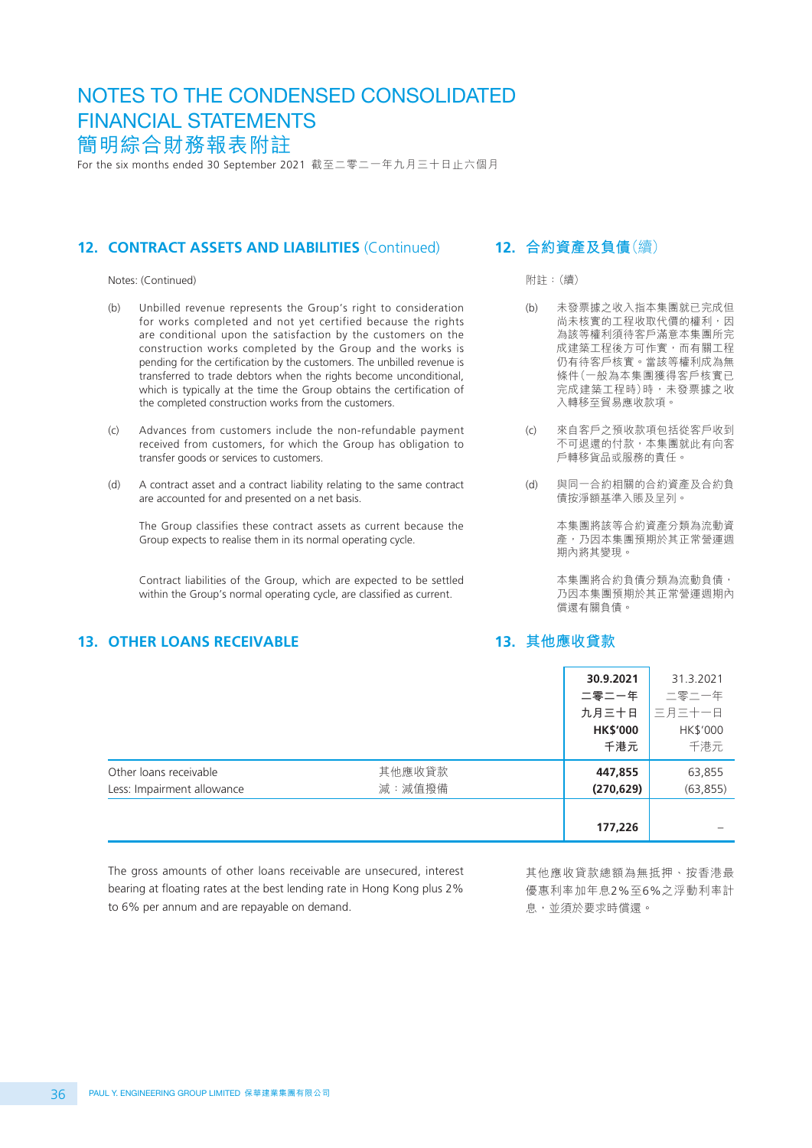For the six months ended 30 September 2021 截至二零二一年九月三十日止六個月

#### 12. **CONTRACT ASSETS AND LIABILITIES** (Continued)

Notes: (Continued)

- (b) Unbilled revenue represents the Group's right to consideration for works completed and not yet certified because the rights are conditional upon the satisfaction by the customers on the construction works completed by the Group and the works is pending for the certification by the customers. The unbilled revenue is transferred to trade debtors when the rights become unconditional, which is typically at the time the Group obtains the certification of the completed construction works from the customers.
- (c) Advances from customers include the non-refundable payment received from customers, for which the Group has obligation to transfer goods or services to customers.
- (d) A contract asset and a contract liability relating to the same contract are accounted for and presented on a net basis.

The Group classifies these contract assets as current because the Group expects to realise them in its normal operating cycle.

Contract liabilities of the Group, which are expected to be settled within the Group's normal operating cycle, are classified as current.

## **13. OTHER LOANS RECEIVABLE**

#### **12. 合約資產及負債**(續)

附註:(續)

- (b) 未發票據之收入指本集團就已完成但 尚未核實的工程收取代價的權利,因 為該等權利須待客戶滿意本集團所完 成建築工程後方可作實,而有關工程 仍有待客戶核實。當該等權利成為無 條件(一般為本集團獲得客戶核實已 完成建築工程時)時,未發票據之收 入轉移至貿易應收款項。
- (c) 來自客戶之預收款項包括從客戶收到 不可退還的付款,本集團就此有向客 戶轉移貨品或服務的責任。
- (d) 與同一合約相關的合約資產及合約負 債按淨額基準入賬及呈列。

本集團將該等合約資產分類為流動資 産,乃因本集團預期於其正常營運週 期內將其變現。

本集團將合約負債分類為流動負債, 乃因本集團預期於其正常營運週期內 償還有關負債。

#### **13. 其他應收貸款**

|                                                      |                  | 30.9.2021<br>二零二一年<br>九月三十日<br><b>HK\$'000</b><br>千港元 | 31.3.2021<br>二零二一年<br>三月三十一日<br>HK\$'000<br>千港元 |
|------------------------------------------------------|------------------|-------------------------------------------------------|-------------------------------------------------|
| Other loans receivable<br>Less: Impairment allowance | 其他應收貸款<br>減:減值撥備 | 447,855<br>(270, 629)                                 | 63,855<br>(63, 855)                             |
|                                                      |                  | 177,226                                               |                                                 |

The gross amounts of other loans receivable are unsecured, interest bearing at floating rates at the best lending rate in Hong Kong plus 2% to 6% per annum and are repayable on demand.

其他應收貸款總額為無抵押、按香港最 優惠利率加年息2%至6%之浮動利率計 息,並須於要求時償還。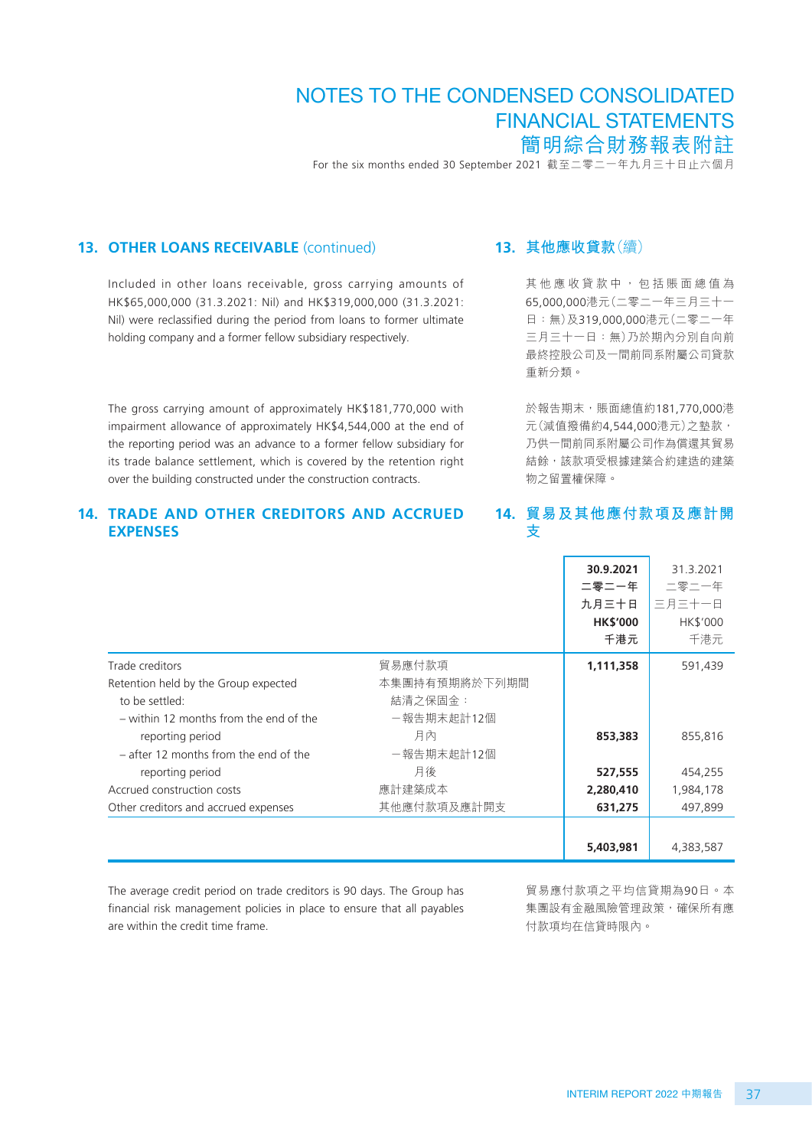For the six months ended 30 September 2021 截至二零二一年九月三十日止六個月

#### **13. OTHER LOANS RECEIVABLE** (continued)

Included in other loans receivable, gross carrying amounts of HK\$65,000,000 (31.3.2021: Nil) and HK\$319,000,000 (31.3.2021: Nil) were reclassified during the period from loans to former ultimate holding company and a former fellow subsidiary respectively.

The gross carrying amount of approximately HK\$181,770,000 with impairment allowance of approximately HK\$4,544,000 at the end of the reporting period was an advance to a former fellow subsidiary for its trade balance settlement, which is covered by the retention right over the building constructed under the construction contracts.

#### **14. TRADE AND OTHER CREDITORS AND ACCRUED EXPENSES**

#### **13. 其他應收貸款**(續)

其他應收貸款中,包括賬面總值為 65,000,000港元(二零二一年三月三十一 日:無)及319,000,000港元(二零二一年 三月三十一日:無)乃於期內分別自向前 最終控股公司及一間前同系附屬公司貸款 重新分類。

於報告期末,賬面總值約181,770,000港 元(減值撥備約4,544,000港元)之墊款, 乃供一間前同系附屬公司作為償還其貿易 結餘,該款項受根據建築合約建造的建築 物之留置權保障。

#### **14. 貿易及其他應付款項及應計開 支**

|                                         |               | 30.9.2021<br>二零二一年<br>九月三十日<br><b>HK\$'000</b><br>千港元 | 31.3.2021<br>二零二一年<br>三月三十一日<br>HK\$'000<br>千港元 |
|-----------------------------------------|---------------|-------------------------------------------------------|-------------------------------------------------|
| Trade creditors                         | 貿易應付款項        | 1,111,358                                             | 591,439                                         |
| Retention held by the Group expected    | 本集團持有預期將於下列期間 |                                                       |                                                 |
| to be settled:                          | 結清之保固金:       |                                                       |                                                 |
| - within 12 months from the end of the  | -報告期末起計12個    |                                                       |                                                 |
| reporting period                        | 月內            | 853,383                                               | 855,816                                         |
| $-$ after 12 months from the end of the | -報告期末起計12個    |                                                       |                                                 |
| reporting period                        | 月後            | 527,555                                               | 454,255                                         |
| Accrued construction costs              | 應計建築成本        | 2,280,410                                             | 1,984,178                                       |
| Other creditors and accrued expenses    | 其他應付款項及應計開支   | 631,275                                               | 497.899                                         |
|                                         |               |                                                       |                                                 |
|                                         |               | 5,403,981                                             | 4,383,587                                       |

The average credit period on trade creditors is 90 days. The Group has financial risk management policies in place to ensure that all payables are within the credit time frame.

貿易應付款項之平均信貸期為90日。本 集團設有金融風險管理政策,確保所有應 付款項均在信貸時限內。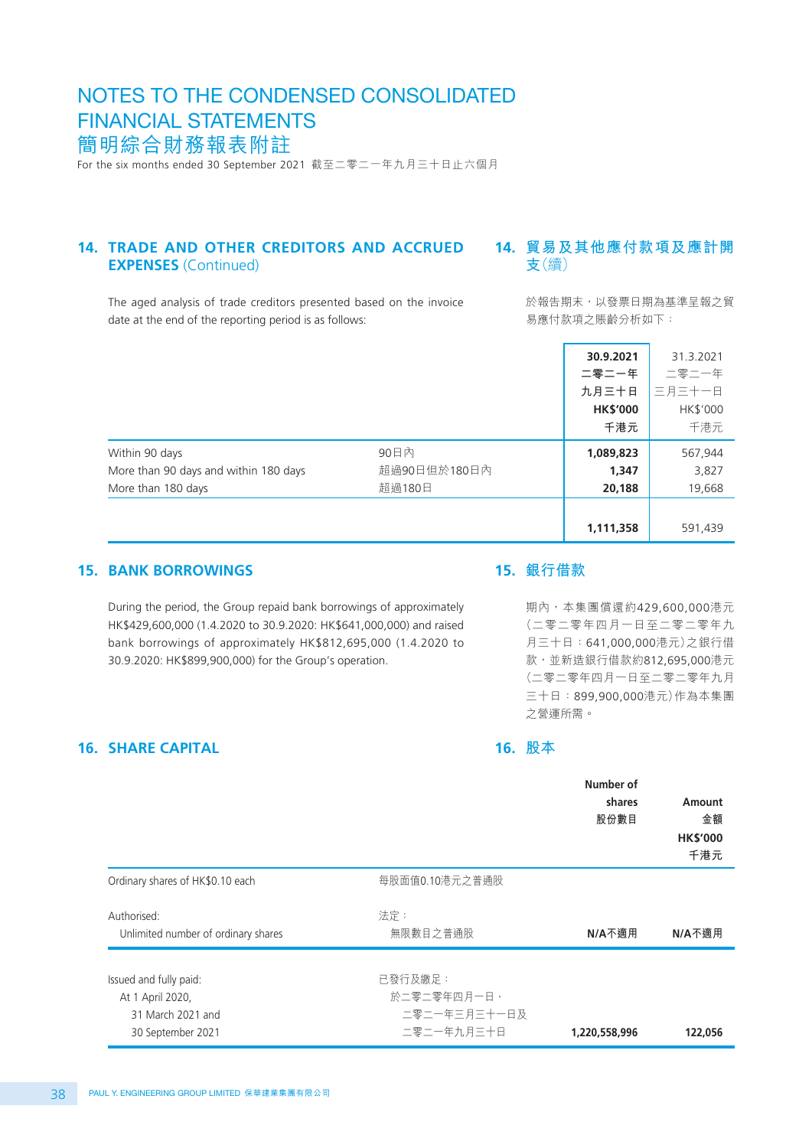For the six months ended 30 September 2021 截至二零二一年九月三十日止六個月

#### **14. TRADE AND OTHER CREDITORS AND ACCRUED EXPENSES** (Continued)

## **14. 貿易及其他應付款項及應計開 支**(續)

The aged analysis of trade creditors presented based on the invoice date at the end of the reporting period is as follows:

於報告期末,以發票日期為基準呈報之貿 易應付款項之賬齡分析如下:

|                                       |              | 30.9.2021       | 31.3.2021 |
|---------------------------------------|--------------|-----------------|-----------|
|                                       |              | 二零二一年           | 二零二一年     |
|                                       |              | 九月三十日           | 三月三十一日    |
|                                       |              | <b>HK\$'000</b> | HK\$'000  |
|                                       |              | 千港元             | 千港元       |
| Within 90 days                        | 90日内         | 1,089,823       | 567,944   |
| More than 90 days and within 180 days | 超過90日但於180日內 | 1,347           | 3,827     |
| More than 180 days                    | 超過180日       | 20,188          | 19,668    |
|                                       |              |                 |           |
|                                       |              | 1,111,358       | 591,439   |

#### **15. BANK BORROWINGS**

During the period, the Group repaid bank borrowings of approximately HK\$429,600,000 (1.4.2020 to 30.9.2020: HK\$641,000,000) and raised bank borrowings of approximately HK\$812,695,000 (1.4.2020 to 30.9.2020: HK\$899,900,000) for the Group's operation.

#### **15. 銀行借款**

期內,本集團償還約429,600,000港元 (二零二零年四月一日至二零二零年九 月三十日:641,000,000港元)之銀行借 款,並新造銀行借款約812,695,000港元 (二零二零年四月一日至二零二零年九月 三十日:899,900,000港元)作為本集團 之營運所需。

#### **16. SHARE CAPITAL**

#### **16. 股本**

|                                                                                      |                                                      | Number of<br>shares<br>股份數目 | Amount<br>金額<br><b>HK\$'000</b><br>千港元 |
|--------------------------------------------------------------------------------------|------------------------------------------------------|-----------------------------|----------------------------------------|
| Ordinary shares of HK\$0.10 each                                                     | 每股面值0.10港元之普通股                                       |                             |                                        |
| Authorised:<br>Unlimited number of ordinary shares                                   | 法定:<br>無限數目之普通股                                      | N/A不適用                      | N/A不適用                                 |
| Issued and fully paid:<br>At 1 April 2020,<br>31 March 2021 and<br>30 September 2021 | 已發行及繳足:<br>於二零二零年四月一日、<br>二零二一年三月三十一日及<br>二零二一年九月三十日 | 1,220,558,996               | 122,056                                |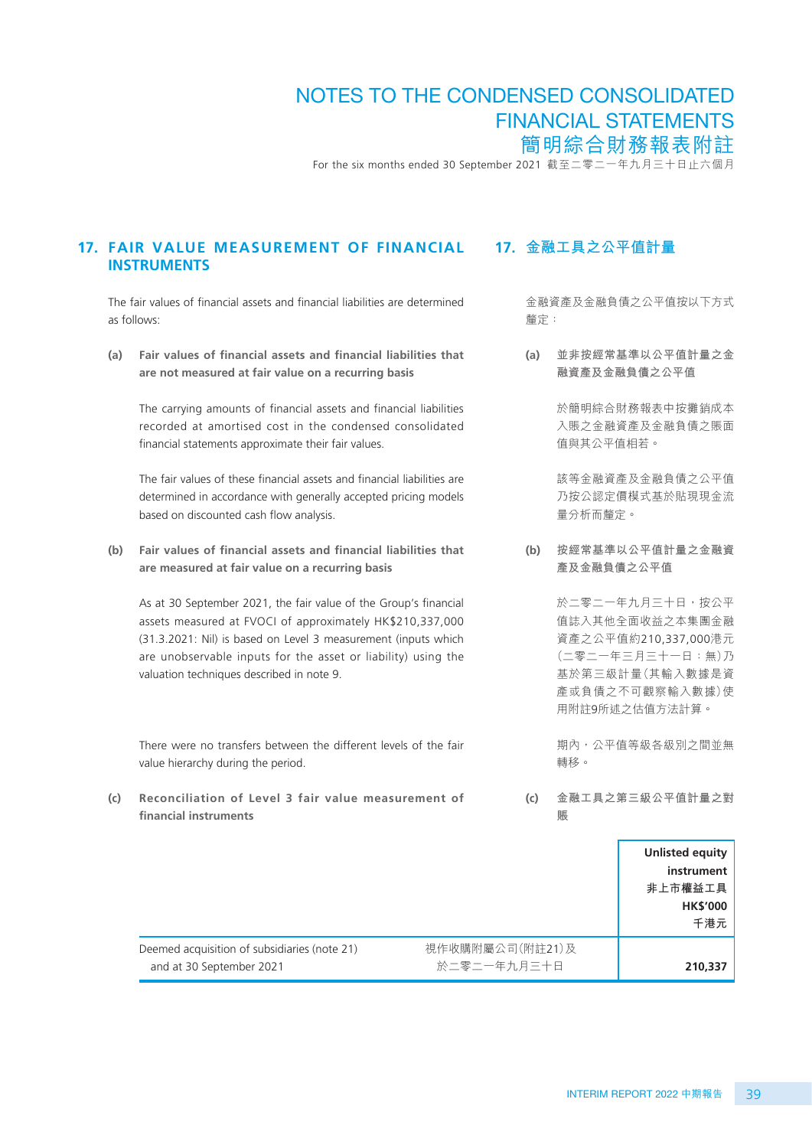For the six months ended 30 September 2021 截至二零二一年九月三十日止六個月

#### **17. FAIR VALUE MEASUREMENT OF FINANCIAL INSTRUMENTS**

The fair values of financial assets and financial liabilities are determined as follows:

**(a) Fair values of financial assets and financial liabilities that are not measured at fair value on a recurring basis**

The carrying amounts of financial assets and financial liabilities recorded at amortised cost in the condensed consolidated financial statements approximate their fair values.

The fair values of these financial assets and financial liabilities are determined in accordance with generally accepted pricing models based on discounted cash flow analysis.

**(b) Fair values of financial assets and financial liabilities that are measured at fair value on a recurring basis**

As at 30 September 2021, the fair value of the Group's financial assets measured at FVOCI of approximately HK\$210,337,000 (31.3.2021: Nil) is based on Level 3 measurement (inputs which are unobservable inputs for the asset or liability) using the valuation techniques described in note 9.

There were no transfers between the different levels of the fair value hierarchy during the period.

**(c) Reconciliation of Level 3 fair value measurement of financial instruments**

#### **17. 金融工具之公平值計量**

金融資產及金融負債之公平值按以下方式 釐定:

**(a) 並非按經常基準以公平值計量之金 融資產及金融負債之公平值**

> 於簡明綜合財務報表中按攤銷成本 入賬之金融資產及金融負債之賬面 值與其公平值相若。

> 該等金融資產及金融負債之公平值 乃按公認定價模式基於貼現現金流 量分析而釐定。

**(b) 按經常基準以公平值計量之金融資 產及金融負債之公平值**

> 於二零二一年九月三十日,按公平 值誌入其他全面收益之本集團金融 資產之公平值約210,337,000港元 (二零二一年三月三十一日:無)乃 基於第三級計量(其輸入數據是資 產或負債之不可觀察輸入數據)使 用附註9所述之估值方法計算。

期內,公平值等級各級別之間並無 轉移。

**(c) 金融工具之第三級公平值計量之對 賬**

|                                                                          |                                | Unlisted equity<br>instrument<br>非上市權益工具<br><b>HK\$'000</b><br>千港元 |
|--------------------------------------------------------------------------|--------------------------------|--------------------------------------------------------------------|
| Deemed acquisition of subsidiaries (note 21)<br>and at 30 September 2021 | 視作收購附屬公司(附註21)及<br>於二零二一年九月三十日 | 210,337                                                            |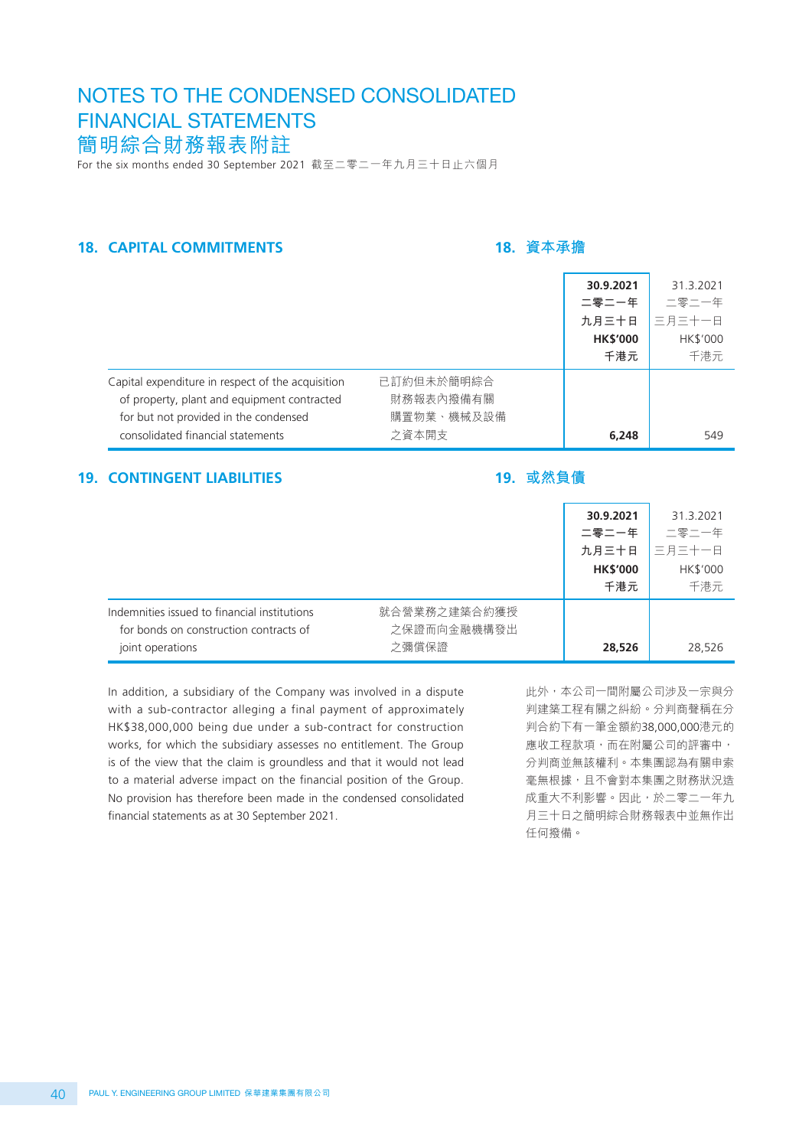For the six months ended 30 September 2021 截至二零二一年九月三十日止六個月

## **18. CAPITAL COMMITMENTS**

#### **18. 資本承擔**

|                                                                                                                                                                                |                                                | 30.9.2021<br>二零二一年<br>九月三十日<br><b>HK\$'000</b><br>千港元 | 31.3.2021<br>二零二一年<br>三月三十一日<br>HK\$'000<br>千港元 |
|--------------------------------------------------------------------------------------------------------------------------------------------------------------------------------|------------------------------------------------|-------------------------------------------------------|-------------------------------------------------|
| Capital expenditure in respect of the acquisition<br>of property, plant and equipment contracted<br>for but not provided in the condensed<br>consolidated financial statements | 已訂約但未於簡明綜合<br>財務報表內撥備有關<br>購置物業、機械及設備<br>之資本開支 | 6,248                                                 | 549                                             |

#### **19. CONTINGENT LIABILITIES**

## **19. 或然負債**

|                                                                                                            |                                      | 30.9.2021<br>二零二一年<br>九月三十日<br><b>HK\$'000</b><br>千港元 | 31.3.2021<br>二零二一年<br>三月三十一日<br>HK\$'000<br>千港元 |
|------------------------------------------------------------------------------------------------------------|--------------------------------------|-------------------------------------------------------|-------------------------------------------------|
| Indemnities issued to financial institutions<br>for bonds on construction contracts of<br>joint operations | 就合營業務之建築合約獲授<br>之保證而向金融機構發出<br>之彌償保證 | 28,526                                                | 28,526                                          |

In addition, a subsidiary of the Company was involved in a dispute with a sub-contractor alleging a final payment of approximately HK\$38,000,000 being due under a sub-contract for construction works, for which the subsidiary assesses no entitlement. The Group is of the view that the claim is groundless and that it would not lead to a material adverse impact on the financial position of the Group. No provision has therefore been made in the condensed consolidated financial statements as at 30 September 2021.

此外,本公司一間附屬公司涉及一宗與分 判建築工程有關之糾紛。分判商聲稱在分 判合約下有一筆金額約38,000,000港元的 應收工程款項,而在附屬公司的評審中, 分判商並無該權利。本集團認為有關申索 毫無根據,且不會對本集團之財務狀況造 成重大不利影響。因此,於二零二一年九 月三十日之簡明綜合財務報表中並無作出 任何撥備。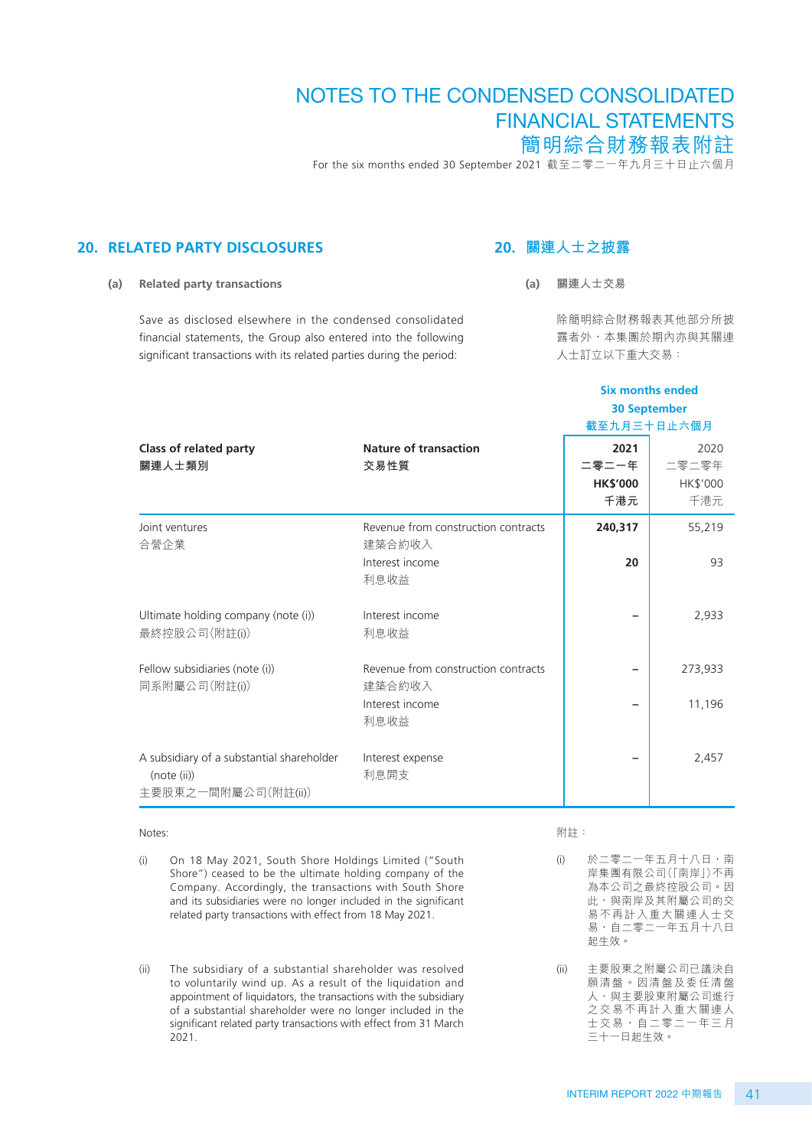For the six months ended 30 September 2021 截至二零二一年九月三十日止六個月

#### **20. RELATED PARTY DISCLOSURES**

## **20. 關連人士之披露**

**(a) Related party transactions**

Save as disclosed elsewhere in the condensed consolidated financial statements, the Group also entered into the following significant transactions with its related parties during the period:

#### **(a) 關連人士交易**

除簡明綜合財務報表其他部分所披 露者外,本集團於期內亦與其關連 人士訂立以下重大交易:

**Six months ended**

|                                                                                 |                                                                          | <b>30 September</b><br>截至九月三十日止六個月      |                                         |
|---------------------------------------------------------------------------------|--------------------------------------------------------------------------|-----------------------------------------|-----------------------------------------|
| Class of related party<br>關連人士類別                                                | <b>Nature of transaction</b><br>交易性質                                     | 2021<br>二零二一年<br><b>HK\$'000</b><br>千港元 | 2020<br>二零二零年<br><b>HK\$'000</b><br>千港元 |
| Joint ventures<br>合營企業                                                          | Revenue from construction contracts<br>建築合約收入<br>Interest income<br>利息收益 | 240,317<br>20                           | 55,219<br>93                            |
| Ultimate holding company (note (i))<br>最終控股公司(附註(i))                            | Interest income<br>利息收益                                                  |                                         | 2,933                                   |
| Fellow subsidiaries (note (i))<br>同系附屬公司(附註(i))                                 | Revenue from construction contracts<br>建築合約收入<br>Interest income<br>利息收益 |                                         | 273,933<br>11,196                       |
| A subsidiary of a substantial shareholder<br>(note (ii))<br>主要股東之一間附屬公司(附註(ii)) | Interest expense<br>利息開支                                                 |                                         | 2,457                                   |

#### Notes:

(i) On 18 May 2021, South Shore Holdings Limited ("South Shore") ceased to be the ultimate holding company of the Company. Accordingly, the transactions with South Shore and its subsidiaries were no longer included in the significant related party transactions with effect from 18 May 2021.

(ii) The subsidiary of a substantial shareholder was resolved to voluntarily wind up. As a result of the liquidation and appointment of liquidators, the transactions with the subsidiary of a substantial shareholder were no longer included in the significant related party transactions with effect from 31 March 2021.

#### 附註:

(i) 於二零二一年五月十八日,南 岸集團有限公司(「南岸」)不再 為本公司之最終控股公司。因 此,與南岸及其附屬公司的交 易不再計入重大關連人士交 易,自二零二一年五月十八日 起生效。

(ii) 主要股東之附屬公司已議決自 願清盤。因清盤及委任清盤 人,與主要股東附屬公司進行 之交易不再計入重大關連人 士交易,自二零二一年三月 三十一日起生效。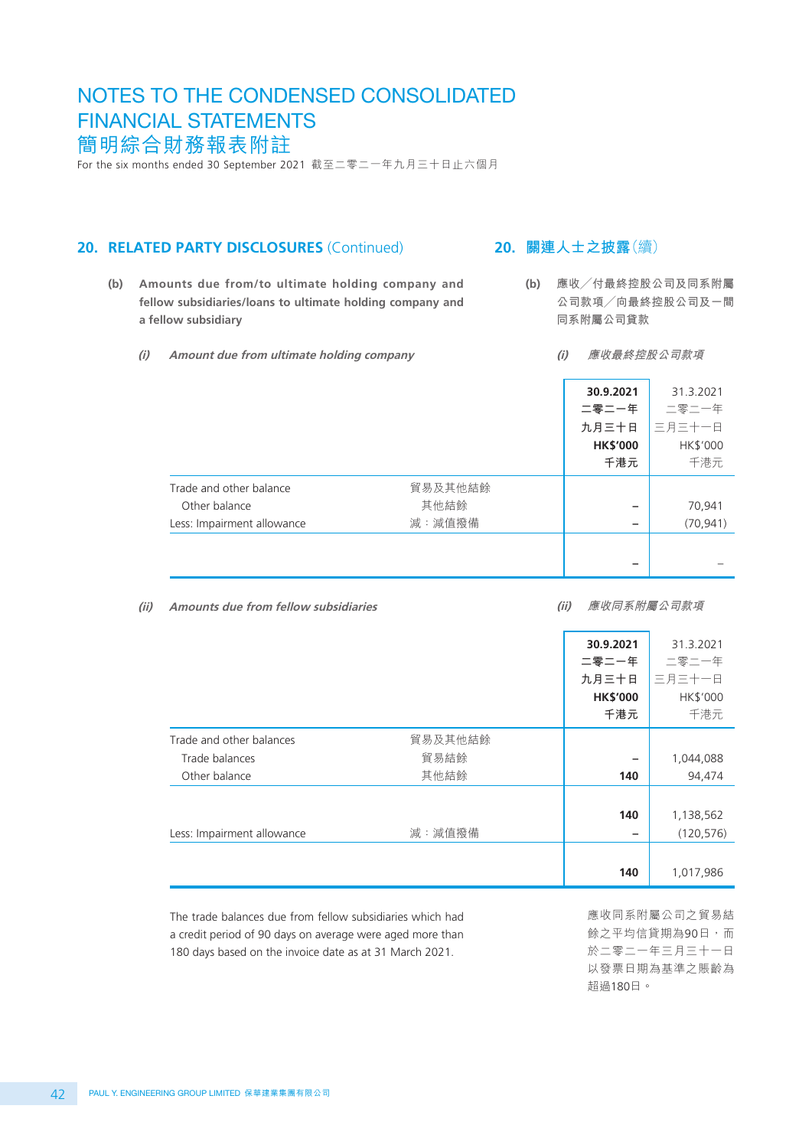For the six months ended 30 September 2021 截至二零二一年九月三十日止六個月

#### **20. RELATED PARTY DISCLOSURES** (Continued)

- **(b) Amounts due from/to ultimate holding company and fellow subsidiaries/loans to ultimate holding company and a fellow subsidiary**
	- **(i) Amount due from ultimate holding company**

## **20. 關連人士之披露**(續)

- **(b) 應收╱付最終控股公司及同系附屬 公司款項╱向最終控股公司及一間 同系附屬公司貸款**
	- **(i) 應收最終控股公司款項**

|                            |         | 30.9.2021<br>二零二一年<br>九月三十日<br><b>HK\$'000</b><br>千港元 | 31.3.2021<br>二零二一年<br>三月三十一日<br>HK\$'000<br>千港元 |
|----------------------------|---------|-------------------------------------------------------|-------------------------------------------------|
| Trade and other balance    | 貿易及其他結餘 |                                                       |                                                 |
| Other balance              | 其他結餘    | -                                                     | 70,941                                          |
| Less: Impairment allowance | 減:減值撥備  | $\overline{\phantom{0}}$                              | (70, 941)                                       |
|                            |         |                                                       |                                                 |

**(ii) Amounts due from fellow subsidiaries**

**(ii) 應收同系附屬公司款項**

|                                                           |                 | 30.9.2021<br>二零二一年<br>九月三十日<br><b>HK\$'000</b><br>千港元 | 31.3.2021<br>二零二一年<br>三月三十一日<br>HK\$'000<br>千港元 |
|-----------------------------------------------------------|-----------------|-------------------------------------------------------|-------------------------------------------------|
|                                                           |                 |                                                       |                                                 |
| Trade and other balances<br>Trade balances                | 貿易及其他結餘<br>貿易結餘 |                                                       | 1,044,088                                       |
| Other balance                                             | 其他結餘            | 140                                                   | 94,474                                          |
|                                                           |                 |                                                       |                                                 |
|                                                           |                 | 140                                                   | 1,138,562                                       |
| Less: Impairment allowance                                | 減:減值撥備          |                                                       | (120, 576)                                      |
|                                                           |                 |                                                       |                                                 |
|                                                           |                 | 140                                                   | 1,017,986                                       |
| The trade balances due from fellow subsidiaries which had |                 |                                                       | 應收同系附屬公司之貿易結                                    |

The trade balances due from fellow subsidiaries which had a credit period of 90 days on average were aged more than 180 days based on the invoice date as at 31 March 2021.

| 厼 iǐ 眉公 曰 人 貝 勿 純 餘之平均信貸期為90日,而 於二零二一年三月三十一日 以發票日期為基準之賬齡為 超過180日。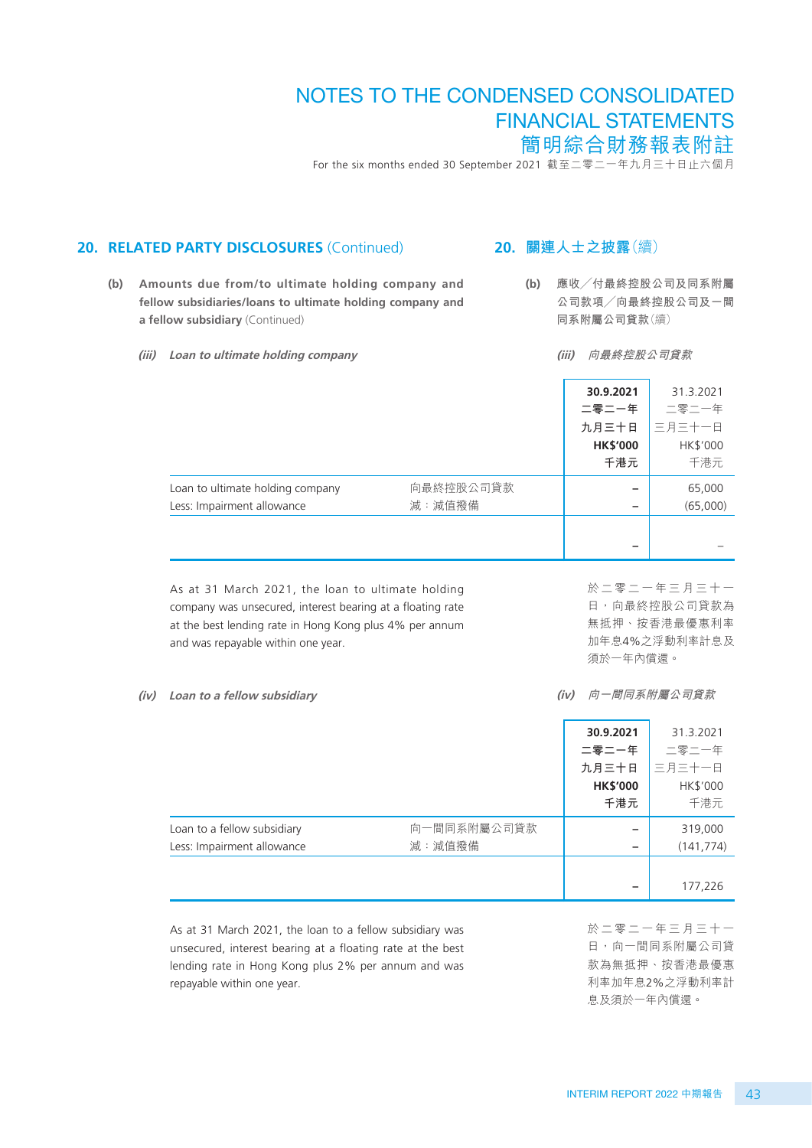For the six months ended 30 September 2021 截至二零二一年九月三十日止六個月

#### 20. RELATED PARTY DISCLOSURES (Continued)

- **(b) Amounts due from/to ultimate holding company and fellow subsidiaries/loans to ultimate holding company and a fellow subsidiary** (Continued)
	- **(iii) Loan to ultimate holding company**

## **20. 關連人士之披露**(續)

**(b) 應收╱付最終控股公司及同系附屬 公司款項╱向最終控股公司及一間 同系附屬公司貸款**(續)

**(iii) 向最終控股公司貸款**

|                                                                |                     | 30.9.2021<br>二零二一年<br>九月三十日<br><b>HK\$'000</b><br>千港元 | 31.3.2021<br>二零二一年<br>三月三十一日<br>HK\$'000<br>千港元 |
|----------------------------------------------------------------|---------------------|-------------------------------------------------------|-------------------------------------------------|
| Loan to ultimate holding company<br>Less: Impairment allowance | 向最終控股公司貸款<br>減:減值撥備 |                                                       | 65,000<br>(65,000)                              |
|                                                                |                     |                                                       |                                                 |

As at 31 March 2021, the loan to ultimate holding company was unsecured, interest bearing at a floating rate at the best lending rate in Hong Kong plus 4% per annum and was repayable within one year.

於二零二一年三月三十一 日,向最終控股公司貸款為 無抵押、按香港最優惠利率 加年息4%之浮動利率計息及 須於一年內償還。

#### **(iv) Loan to a fellow subsidiary**

**(iv) 向一間同系附屬公司貸款**

|                             |             | 30.9.2021       | 31.3.2021  |
|-----------------------------|-------------|-----------------|------------|
|                             |             | 二零二一年           | 二零二一年      |
|                             |             | 九月三十日           | 三月三十一日     |
|                             |             | <b>HK\$'000</b> | HK\$'000   |
|                             |             | 千港元             | 千港元        |
| Loan to a fellow subsidiary | 向一間同系附屬公司貸款 |                 | 319,000    |
| Less: Impairment allowance  | 減:減值撥備      |                 | (141, 774) |
|                             |             |                 |            |
|                             |             |                 | 177,226    |

As at 31 March 2021, the loan to a fellow subsidiary was unsecured, interest bearing at a floating rate at the best lending rate in Hong Kong plus 2% per annum and was repayable within one year.

於二零二一年三月三十一 日,向一間同系附屬公司貸 款為無抵押、按香港最優惠 利率加年息2%之浮動利率計 息及須於一年內償還。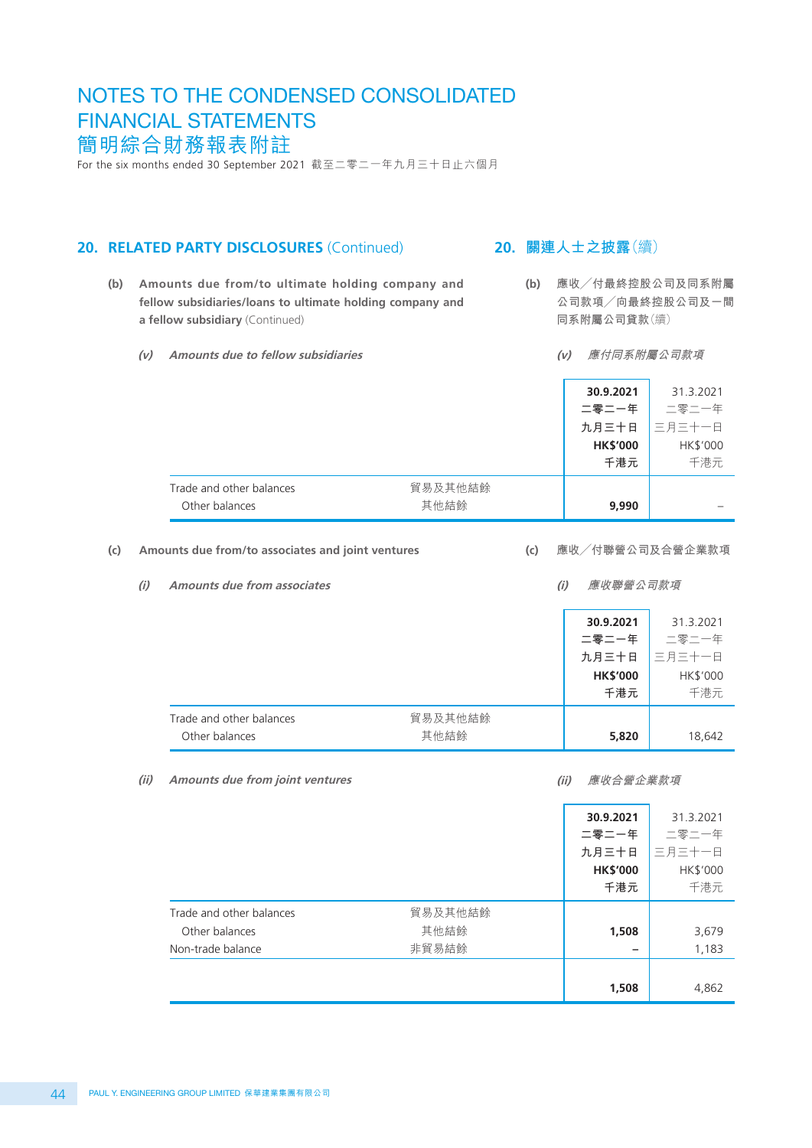For the six months ended 30 September 2021 截至二零二一年九月三十日止六個月

#### 20. RELATED PARTY DISCLOSURES (Continued)

- **(b) Amounts due from/to ultimate holding company and fellow subsidiaries/loans to ultimate holding company and a fellow subsidiary** (Continued)
	- **(v) Amounts due to fellow subsidiaries**

**20. 關連人士之披露**(續)

**(b) 應收╱付最終控股公司及同系附屬 公司款項╱向最終控股公司及一間 同系附屬公司貸款**(續)

**(v) 應付同系附屬公司款項**

|                                            |                 | 30.9.2021<br>二零二一年<br>九月三十日<br><b>HK\$'000</b><br>千港元 | 31.3.2021<br>二零二一年<br>三月三十一日<br>HK\$'000<br>千港元 |
|--------------------------------------------|-----------------|-------------------------------------------------------|-------------------------------------------------|
| Trade and other balances<br>Other balances | 貿易及其他結餘<br>其他結餘 | 9,990                                                 |                                                 |

#### **(c) Amounts due from/to associates and joint ventures**

**(c) 應收╱付聯營公司及合營企業款項**

| Amounts due from associates |         |  | 應收聯營公司款項        |           |
|-----------------------------|---------|--|-----------------|-----------|
|                             |         |  | 30.9.2021       | 31.3.2021 |
|                             |         |  | 二零二一年           | 二零二一年     |
|                             |         |  | 九月三十日           | 三月三十一日    |
|                             |         |  | <b>HK\$'000</b> | HK\$'000  |
|                             |         |  | 千港元             | 千港元       |
| Trade and other balances    | 貿易及其他結餘 |  |                 |           |
| Other balances              | 其他結餘    |  | 5,820           | 18,642    |

**<sup>(</sup>ii) Amounts due from joint ventures**

**<sup>(</sup>ii) 應收合營企業款項**

|                 | 二零二一年<br>九月三十日<br><b>HK\$'000</b><br>千港元 | 二零二一年<br>三月三十一日<br>HK\$'000<br>千港元 |
|-----------------|------------------------------------------|------------------------------------|
| 貿易及其他結餘<br>其他結餘 | 1,508                                    | 3,679                              |
|                 |                                          | 1,183<br>4,862                     |
|                 | 非貿易結餘                                    | 1,508                              |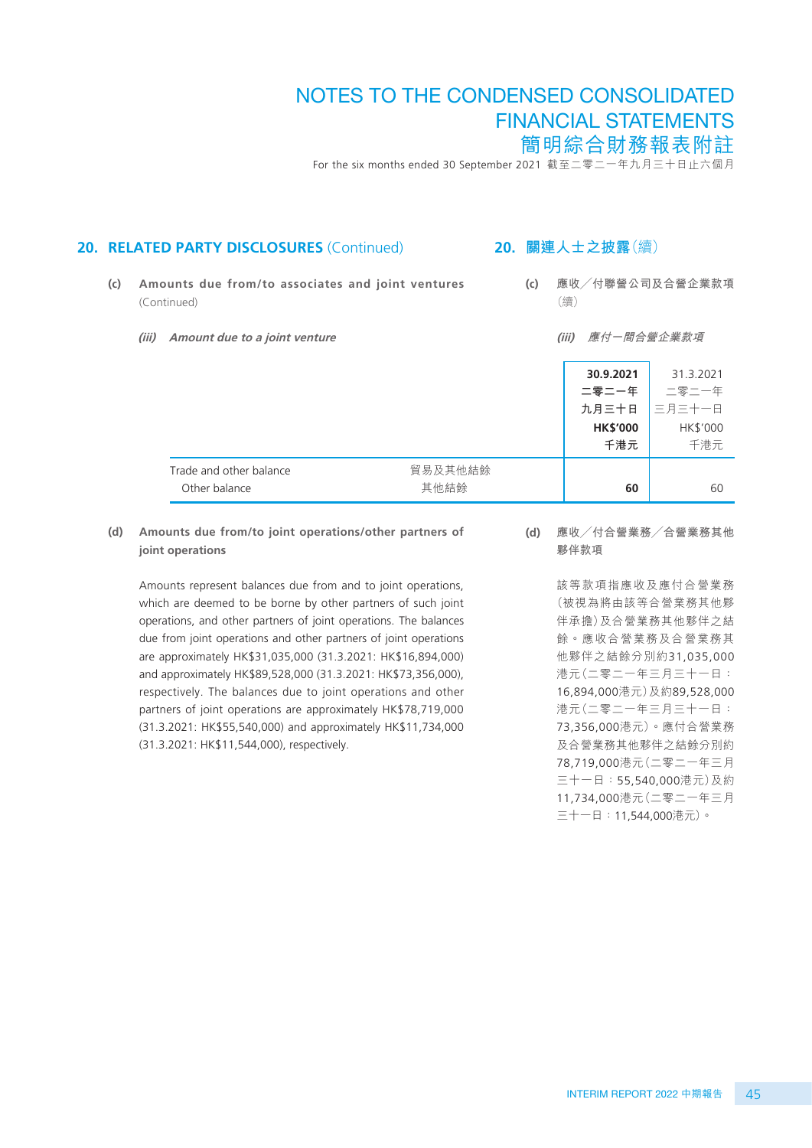For the six months ended 30 September 2021 截至二零二一年九月三十日止六個月

#### 20. RELATED PARTY DISCLOSURES (Continued)

- **(c) Amounts due from/to associates and joint ventures**  (Continued)
	- **(iii) Amount due to a joint venture**

#### **20. 關連人士之披露**(續)

- **(c) 應收╱付聯營公司及合營企業款項** (續)
	- **(iii) 應付一間合營企業款項**

|                                          |                 | 30.9.2021<br>二零二一年<br>九月三十日<br><b>HK\$'000</b><br>千港元 | 31.3.2021<br>二零二一年<br>三月三十一日<br>HK\$'000<br>千港元 |
|------------------------------------------|-----------------|-------------------------------------------------------|-------------------------------------------------|
| Trade and other balance<br>Other balance | 貿易及其他結餘<br>其他結餘 | 60                                                    | 60                                              |

**(d) Amounts due from/to joint operations/other partners of joint operations**

Amounts represent balances due from and to joint operations, which are deemed to be borne by other partners of such joint operations, and other partners of joint operations. The balances due from joint operations and other partners of joint operations are approximately HK\$31,035,000 (31.3.2021: HK\$16,894,000) and approximately HK\$89,528,000 (31.3.2021: HK\$73,356,000), respectively. The balances due to joint operations and other partners of joint operations are approximately HK\$78,719,000 (31.3.2021: HK\$55,540,000) and approximately HK\$11,734,000 (31.3.2021: HK\$11,544,000), respectively.

**(d) 應收╱付合營業務╱合營業務其他 夥伴款項**

> 該等款項指應收及應付合營業務 (被視為將由該等合營業務其他夥 伴承擔)及合營業務其他夥伴之結 餘。應收合營業務及合營業務其 他夥伴之結餘分別約31,035,000 港元(二零二一年三月三十一日: 16,894,000港元)及約89,528,000 港元(二零二一年三月三十一日: 73,356,000港元)。應付合營業務 及合營業務其他夥伴之結餘分別約 78,719,000港元(二零二一年三月 三十一日:55,540,000港元)及約 11,734,000港元(二零二一年三月 三十一日:11,544,000港元)。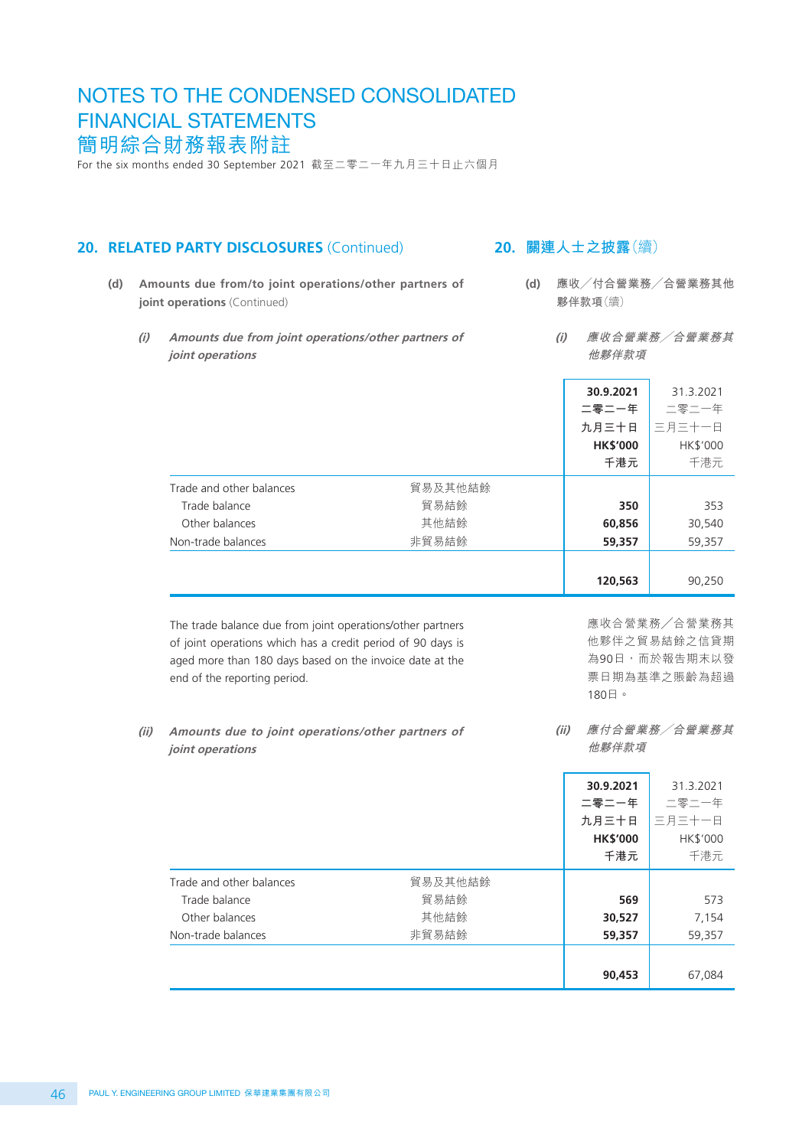For the six months ended 30 September 2021 截至二零二一年九月三十日止六個月

#### 20. RELATED PARTY DISCLOSURES (Continued)

- **(d) Amounts due from/to joint operations/other partners of joint operations** (Continued)
	- **(i) Amounts due from joint operations/other partners of joint operations**

## **20. 關連人士之披露**(續)

**(d) 應收╱付合營業務╱合營業務其他 夥伴款項**(續)

> **(i) 應收合營業務╱合營業務其 他夥伴款項**

|                          |         | 30.9.2021<br>二零二一年<br>九月三十日<br><b>HK\$'000</b><br>千港元 | 31.3.2021<br>二零二一年<br>三月三十一日<br>HK\$'000<br>千港元 |
|--------------------------|---------|-------------------------------------------------------|-------------------------------------------------|
| Trade and other balances | 貿易及其他結餘 |                                                       |                                                 |
| Trade balance            | 貿易結餘    | 350                                                   | 353                                             |
| Other balances           | 其他結餘    | 60,856                                                | 30,540                                          |
| Non-trade balances       | 非貿易結餘   | 59,357                                                | 59,357                                          |
|                          |         |                                                       |                                                 |
|                          |         | 120,563                                               | 90,250                                          |

The trade balance due from joint operations/other partners of joint operations which has a credit period of 90 days is aged more than 180 days based on the invoice date at the end of the reporting period.

應收合營業務╱合營業務其 他夥伴之貿易結餘之信貸期 為90日,而於報告期末以發 票日期為基準之賬齡為超過 180日。

#### **(ii) Amounts due to joint operations/other partners of joint operations**

**(ii) 應付合營業務╱合營業務其 他夥伴款項**

|                          |         | 30.9.2021       | 31.3.2021 |
|--------------------------|---------|-----------------|-----------|
|                          |         | 二零二一年           | 二零二一年     |
|                          |         | 九月三十日           | 三月三十一日    |
|                          |         | <b>HK\$'000</b> | HK\$'000  |
|                          |         | 千港元             | 千港元       |
| Trade and other balances | 貿易及其他結餘 |                 |           |
| Trade balance            | 貿易結餘    | 569             | 573       |
| Other balances           | 其他結餘    | 30,527          | 7,154     |
| Non-trade balances       | 非貿易結餘   | 59,357          | 59,357    |
|                          |         |                 |           |
|                          |         | 90,453          | 67,084    |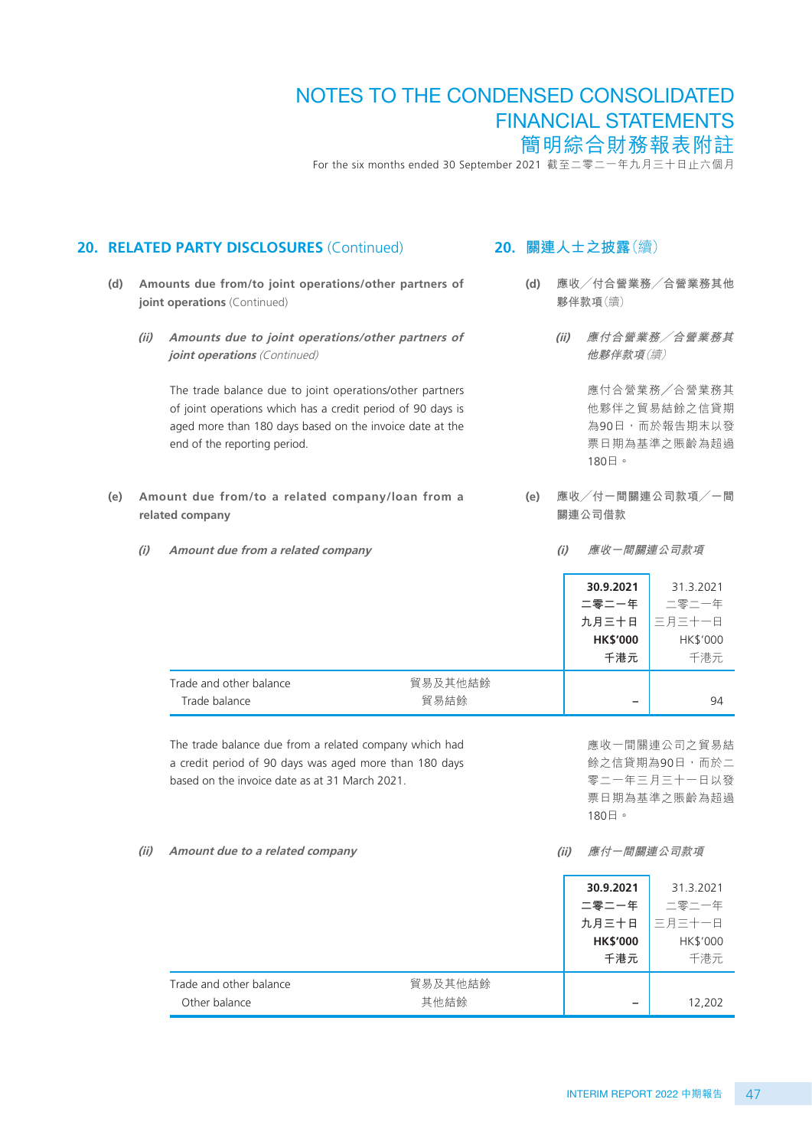For the six months ended 30 September 2021 截至二零二一年九月三十日止六個月

**20. 關連人士之披露**(續)

**(d) 應收╱付合營業務╱合營業務其他**

#### **joint operations** (Continued) **(ii) Amounts due to joint operations/other partners of joint operations** (Continued) The trade balance due to joint operations/other partners of joint operations which has a credit period of 90 days is aged more than 180 days based on the invoice date at the end of the reporting period. **(e) Amount due from/to a related company/loan from a related company (i) Amount due from a related company 30.9.2021** 31.3.2021 **二零二一年 九月三十日** 二零二一年 三月三十一日 **HK\$'000** HK\$'000 **千港元** 千港元 Trade and other balance <br> **Trade and other balance** Trade balance 貿易結餘 **–** 94 The trade balance due from a related company which had a credit period of 90 days was aged more than 180 days based on the invoice date as at 31 March 2021. **(ii) Amount due to a related company 30.9.2021** 31.3.2021 **二零二一年 九月三十日** 二零二一年 三月三十一日 **HK\$'000** HK\$'000 **千港元** 千港元 Trade and other balance <br>
Trade and other balance Other balance 其他結餘 **–** 12,202 **夥伴款項**(續) **(ii) 應付合營業務╱合營業務其 他夥伴款項**(續) 應付合營業務╱合營業務其 他夥伴之貿易結餘之信貸期 為90日,而於報告期末以發 票日期為基準之賬齡為超過 180日。 **(e) 應收╱付一間關連公司款項╱一間 關連公司借款 (i) 應收一間關連公司款項** 應收一間關連公司之貿易結 餘之信貸期為90日,而於二 零二一年三月三十一日以發 票日期為基準之賬齡為超過 180日。 **(ii) 應付一間關連公司款項**

20. RELATED PARTY DISCLOSURES (Continued)

**(d) Amounts due from/to joint operations/other partners of**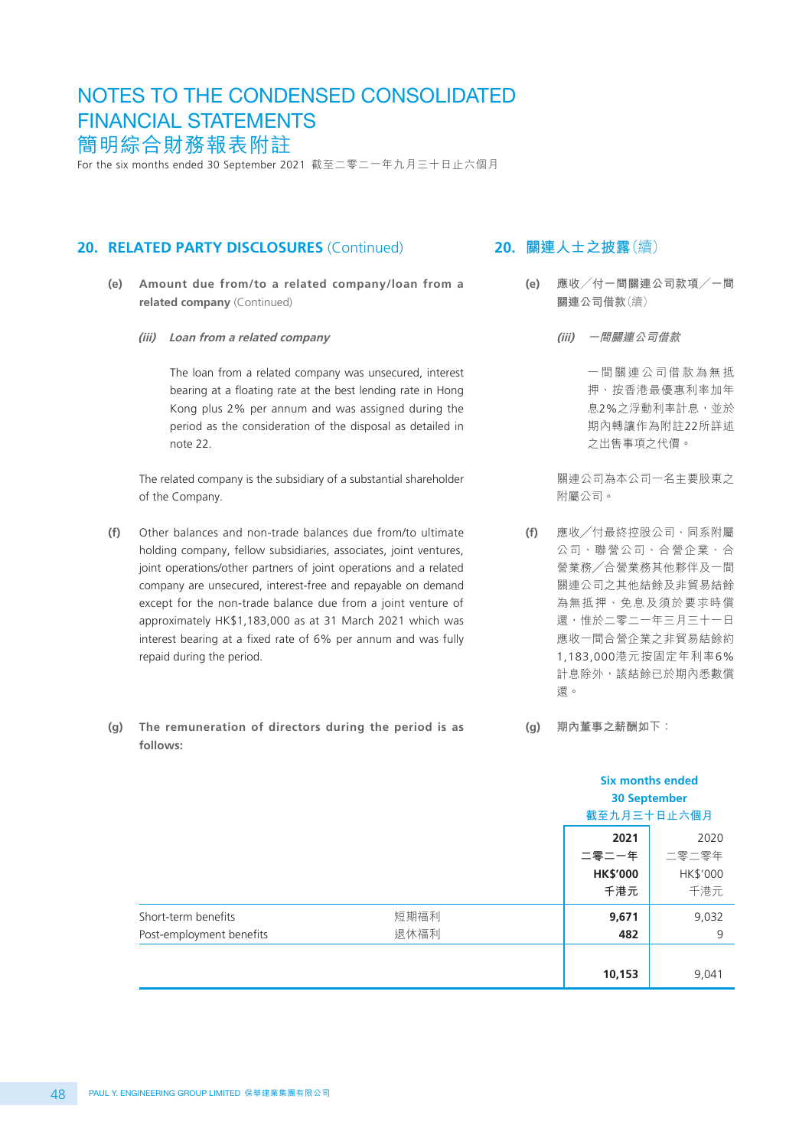For the six months ended 30 September 2021 截至二零二一年九月三十日止六個月

#### 20. RELATED PARTY DISCLOSURES (Continued)

- **(e) Amount due from/to a related company/loan from a related company** (Continued)
	- **(iii) Loan from a related company**

The loan from a related company was unsecured, interest bearing at a floating rate at the best lending rate in Hong Kong plus 2% per annum and was assigned during the period as the consideration of the disposal as detailed in note 22.

The related company is the subsidiary of a substantial shareholder of the Company.

- **(f)** Other balances and non-trade balances due from/to ultimate holding company, fellow subsidiaries, associates, joint ventures, joint operations/other partners of joint operations and a related company are unsecured, interest-free and repayable on demand except for the non-trade balance due from a joint venture of approximately HK\$1,183,000 as at 31 March 2021 which was interest bearing at a fixed rate of 6% per annum and was fully repaid during the period.
- **(g) The remuneration of directors during the period is as follows:**

## **20. 關連人士之披露**(續)

- **(e) 應收╱付一間關連公司款項╱一間 關連公司借款**(續)
	- **(iii) 一間關連公司借款**

一間關連公司借款為無抵 押、按香港最優惠利率加年 息2%之浮動利率計息,並於 期內轉讓作為附註22所詳述 之出售事項之代價。

關連公司為本公司一名主要股東之 附屬公司。

- **(f)** 應收╱付最終控股公司、同系附屬 公司、聯營公司、合營企業、合 營業務╱合營業務其他夥伴及一間 關連公司之其他結餘及非貿易結餘 為無抵押、免息及須於要求時償 還,惟於二零二一年三月三十一日 應收一間合營企業之非貿易結餘約 1,183,000港元按固定年利率6% 計息除外,該結餘已於期內悉數償 還。
- **(g) 期內董事之薪酬如下:**

|                                                 |              |                                         | <b>Six months ended</b><br><b>30 September</b><br>截至九月三十日止六個月 |  |
|-------------------------------------------------|--------------|-----------------------------------------|---------------------------------------------------------------|--|
|                                                 |              | 2021<br>二零二一年<br><b>HK\$'000</b><br>千港元 | 2020<br>二零二零年<br>HK\$'000<br>千港元                              |  |
| Short-term benefits<br>Post-employment benefits | 短期福利<br>退休福利 | 9,671<br>482                            | 9,032<br>9                                                    |  |
|                                                 |              | 10,153                                  | 9,041                                                         |  |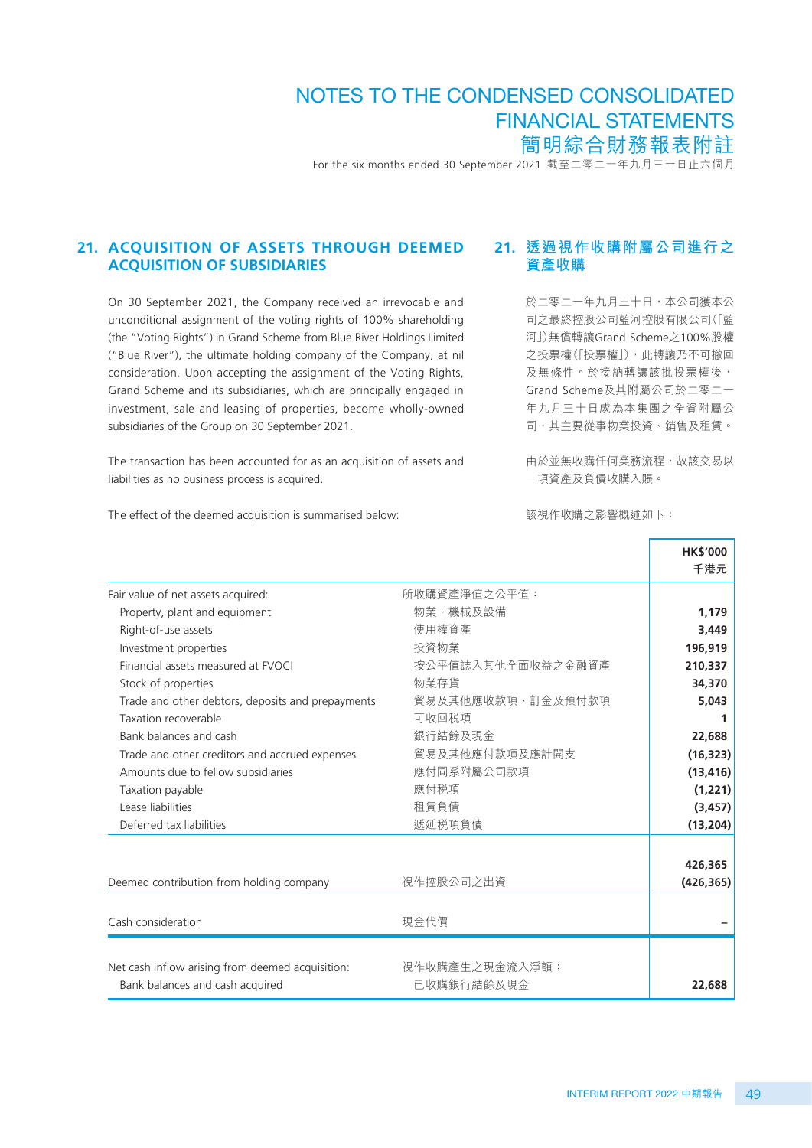For the six months ended 30 September 2021 截至二零二一年九月三十日止六個月

#### **21. ACQUISITION OF ASSETS THROUGH DEEMED ACQUISITION OF SUBSIDIARIES**

On 30 September 2021, the Company received an irrevocable and unconditional assignment of the voting rights of 100% shareholding (the "Voting Rights") in Grand Scheme from Blue River Holdings Limited ("Blue River"), the ultimate holding company of the Company, at nil consideration. Upon accepting the assignment of the Voting Rights, Grand Scheme and its subsidiaries, which are principally engaged in investment, sale and leasing of properties, become wholly-owned subsidiaries of the Group on 30 September 2021.

The transaction has been accounted for as an acquisition of assets and liabilities as no business process is acquired.

The effect of the deemed acquisition is summarised below:

### **21. 透過視作收購附屬公司進行之 資產收購**

於二零二一年九月三十日,本公司獲本公 司之最終控股公司藍河控股有限公司(「藍 河」)無償轉讓Grand Scheme之100%股權 之投票權(「投票權」),此轉讓乃不可撤回 及無條件。於接納轉讓該批投票權後, Grand Scheme及其附屬公司於二零二一 年九月三十日成為本集團之全資附屬公 司,其主要從事物業投資、銷售及租賃。

由於並無收購任何業務流程,故該交易以 一項資產及負債收購入賬。

該視作收購之影響概述如下:

|                                                   |                   | <b>HK\$'000</b> |
|---------------------------------------------------|-------------------|-----------------|
|                                                   |                   | 千港元             |
| Fair value of net assets acquired:                | 所收購資產淨值之公平值:      |                 |
| Property, plant and equipment                     | 物業、機械及設備          | 1,179           |
| Right-of-use assets                               | 使用權資產             | 3,449           |
| Investment properties                             | 投資物業              | 196,919         |
| Financial assets measured at FVOCI                | 按公平值誌入其他全面收益之金融資產 | 210,337         |
| Stock of properties                               | 物業存貨              | 34,370          |
| Trade and other debtors, deposits and prepayments | 貿易及其他應收款項、訂金及預付款項 | 5,043           |
| Taxation recoverable                              | 可收回税項             | 1               |
| Bank balances and cash                            | 銀行結餘及現金           | 22,688          |
| Trade and other creditors and accrued expenses    | 貿易及其他應付款項及應計開支    | (16, 323)       |
| Amounts due to fellow subsidiaries                | 應付同系附屬公司款項        | (13, 416)       |
| Taxation payable                                  | 應付税項              | (1, 221)        |
| Lease liabilities                                 | 租賃負債              | (3, 457)        |
| Deferred tax liabilities                          | 遞延税項負債            | (13, 204)       |
|                                                   |                   |                 |
|                                                   |                   | 426,365         |
| Deemed contribution from holding company          | 視作控股公司之出資         | (426, 365)      |
|                                                   |                   |                 |
| Cash consideration                                | 現金代價              |                 |
|                                                   |                   |                 |
| Net cash inflow arising from deemed acquisition:  | 視作收購產生之現金流入淨額:    |                 |
| Bank balances and cash acquired                   | 已收購銀行結餘及現金        | 22,688          |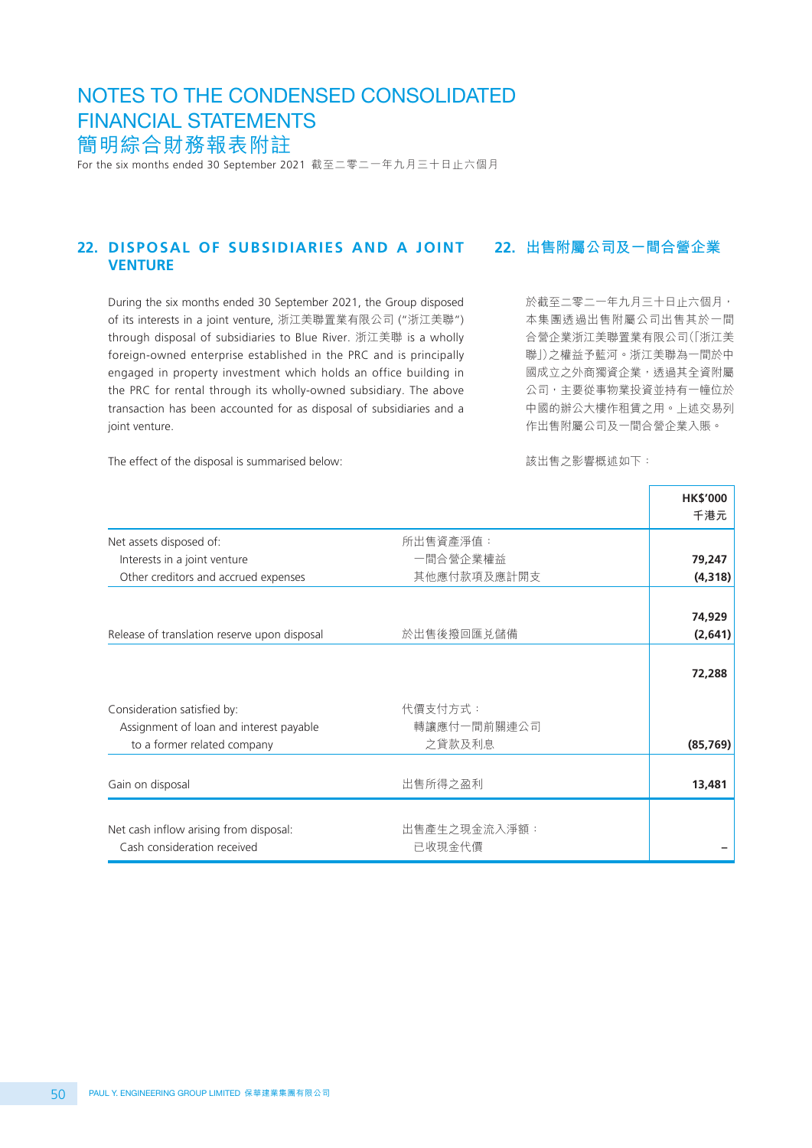For the six months ended 30 September 2021 截至二零二一年九月三十日止六個月

#### **22. DISPOSAL OF SUBSIDIARIES AND A JOINT VENTURE 22. 出售附屬公司及一間合營企業**

During the six months ended 30 September 2021, the Group disposed of its interests in a joint venture, 浙江美聯置業有限公司 ("浙江美聯") through disposal of subsidiaries to Blue River. 浙江美聯 is a wholly foreign-owned enterprise established in the PRC and is principally engaged in property investment which holds an office building in the PRC for rental through its wholly-owned subsidiary. The above transaction has been accounted for as disposal of subsidiaries and a joint venture.

於截至二零二一年九月三十日止六個月, 本集團透過出售附屬公司出售其於一間 合營企業浙江美聯置業有限公司(「浙江美 聯」)之權益予藍河。浙江美聯為一間於中 國成立之外商獨資企業,透過其全資附屬 公司,主要從事物業投資並持有一幢位於 中國的辦公大樓作租賃之用。上述交易列 作出售附屬公司及一間合營企業入賬。

The effect of the disposal is summarised below:

該出售之影響概述如下:

|                                                                       |                        | <b>HK\$'000</b> |
|-----------------------------------------------------------------------|------------------------|-----------------|
|                                                                       |                        | 千港元             |
| Net assets disposed of:                                               | 所出售資產淨值:               |                 |
| Interests in a joint venture                                          | 一間合營企業權益               | 79,247          |
| Other creditors and accrued expenses                                  | 其他應付款項及應計開支            | (4, 318)        |
|                                                                       |                        |                 |
|                                                                       |                        | 74,929          |
| Release of translation reserve upon disposal                          | 於出售後撥回匯兑儲備             | (2,641)         |
|                                                                       |                        | 72,288          |
| Consideration satisfied by:                                           | 代價支付方式:                |                 |
| Assignment of loan and interest payable                               | 轉讓應付一間前關連公司            |                 |
| to a former related company                                           | 之貸款及利息                 | (85, 769)       |
| Gain on disposal                                                      | 出售所得之盈利                | 13,481          |
| Net cash inflow arising from disposal:<br>Cash consideration received | 出售產生之現金流入淨額:<br>已收現金代價 |                 |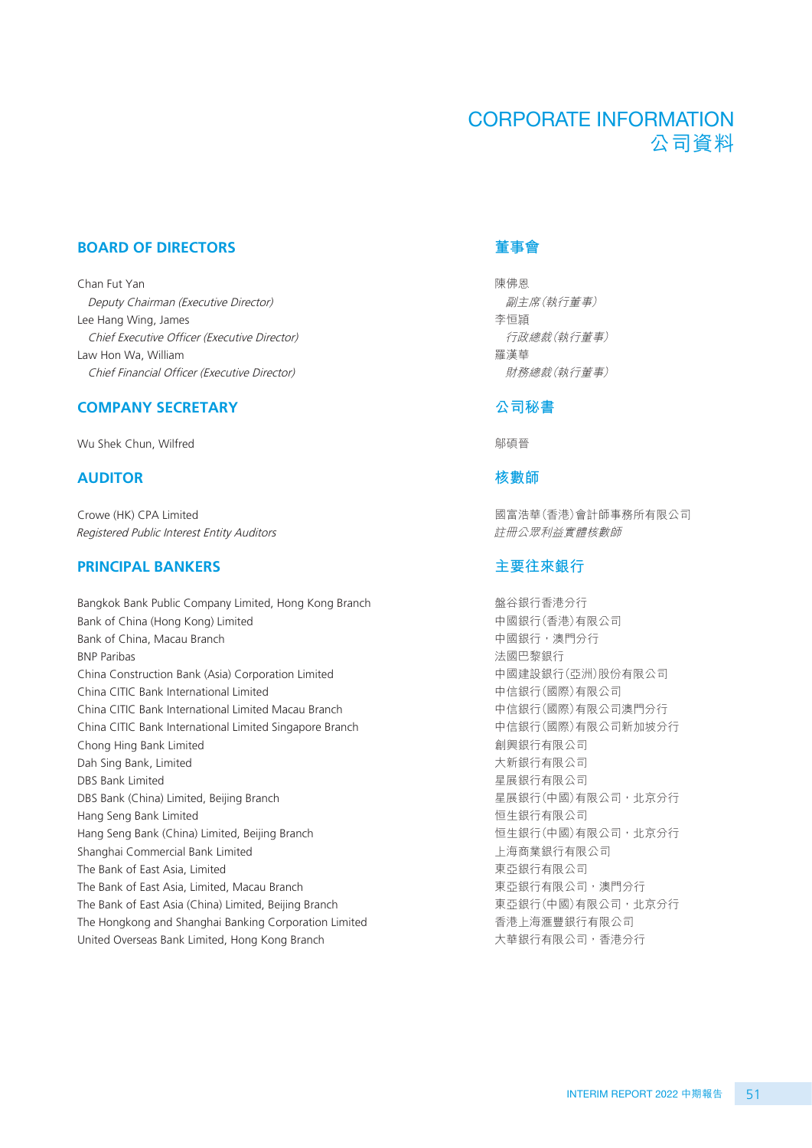# CORPORATE INFORMATION 公司資料

#### **BOARD OF DIRECTORS**

Chan Fut Yan Deputy Chairman (Executive Director) Lee Hang Wing, James Chief Executive Officer (Executive Director) Law Hon Wa, William Chief Financial Officer (Executive Director)

#### **COMPANY SECRETARY**

Wu Shek Chun, Wilfred

#### **AUDITOR**

Crowe (HK) CPA Limited Registered Public Interest Entity Auditors

#### **PRINCIPAL BANKERS**

Bangkok Bank Public Company Limited, Hong Kong Branch Bank of China (Hong Kong) Limited Bank of China, Macau Branch BNP Paribas China Construction Bank (Asia) Corporation Limited China CITIC Bank International Limited China CITIC Bank International Limited Macau Branch China CITIC Bank International Limited Singapore Branch Chong Hing Bank Limited Dah Sing Bank, Limited DBS Bank Limited DBS Bank (China) Limited, Beijing Branch Hang Seng Bank Limited Hang Seng Bank (China) Limited, Beijing Branch Shanghai Commercial Bank Limited The Bank of East Asia, Limited The Bank of East Asia, Limited, Macau Branch The Bank of East Asia (China) Limited, Beijing Branch The Hongkong and Shanghai Banking Corporation Limited United Overseas Bank Limited, Hong Kong Branch

#### **董事會**

陳佛恩 副主席(執行董事) 李恒頴 行政總裁(執行董事) 羅漢華 財務總裁(執行董事)

#### **公司秘書**

鄔碩晉

#### **核數師**

國富浩華(香港)會計師事務所有限公司 註冊公眾利益實體核數師

#### **主要往來銀行**

盤谷銀行香港分行 中國銀行(香港)有限公司 中國銀行,澳門分行 法國巴黎銀行 中國建設銀行(亞洲)股份有限公司 中信銀行(國際)有限公司 中信銀行(國際)有限公司澳門分行 中信銀行(國際)有限公司新加坡分行 創興銀行有限公司 大新銀行有限公司 星展銀行有限公司 星展銀行(中國)有限公司,北京分行 恒生銀行有限公司 恒生銀行(中國)有限公司,北京分行 上海商業銀行有限公司 東亞銀行有限公司 東亞銀行有限公司,澳門分行 東亞銀行(中國)有限公司,北京分行 香港上海滙豐銀行有限公司 大華銀行有限公司,香港分行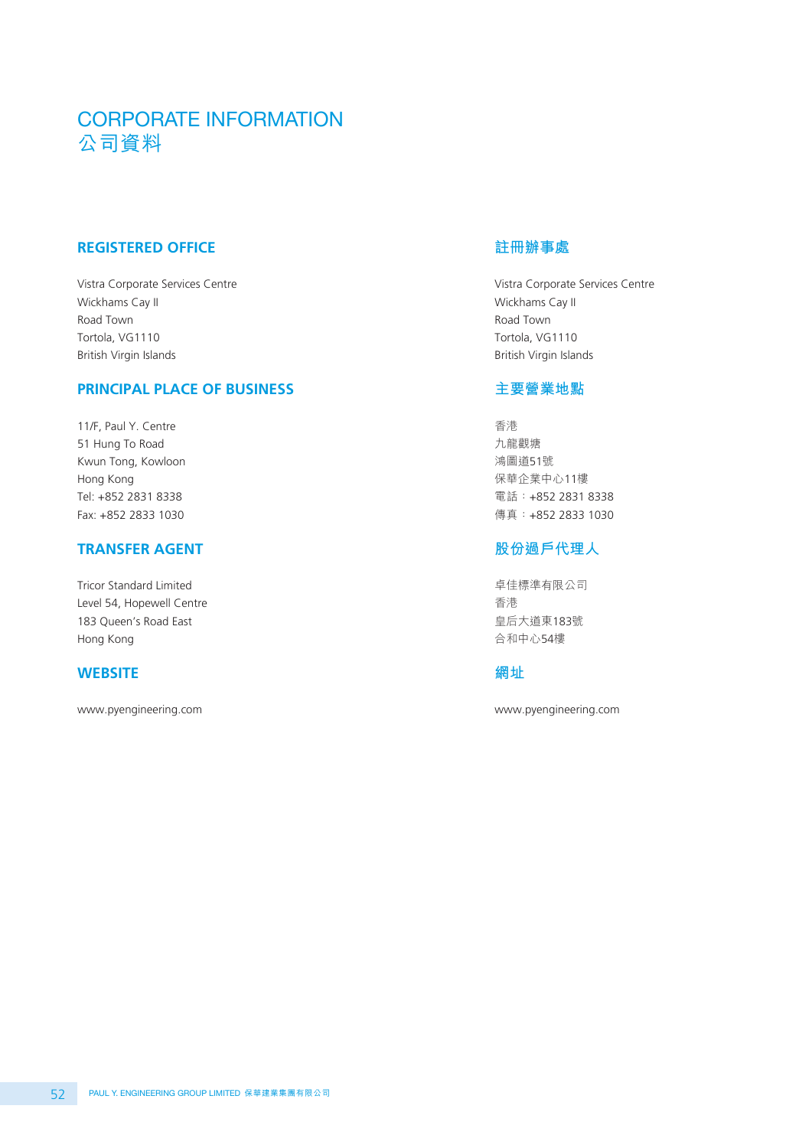# CORPORATE INFORMATION 公司資料

## **REGISTERED OFFICE**

Vistra Corporate Services Centre Wickhams Cay II Road Town Tortola, VG1110 British Virgin Islands

#### **PRINCIPAL PLACE OF BUSINESS**

11/F, Paul Y. Centre 51 Hung To Road Kwun Tong, Kowloon Hong Kong Tel: +852 2831 8338 Fax: +852 2833 1030

#### **TRANSFER AGENT**

Tricor Standard Limited Level 54, Hopewell Centre 183 Queen's Road East Hong Kong

#### **WEBSITE**

www.pyengineering.com

## **註冊辦事處**

Vistra Corporate Services Centre Wickhams Cay II Road Town Tortola, VG1110 British Virgin Islands

## **主要營業地點**

香港 九龍觀塘 鴻圖道51號 保華企業中心11樓 電話:+852 2831 8338 傳真:+852 2833 1030

#### **股份過戶代理人**

卓佳標準有限公司 香港 皇后大道東183號 合和中心54樓

## **網址**

www.pyengineering.com